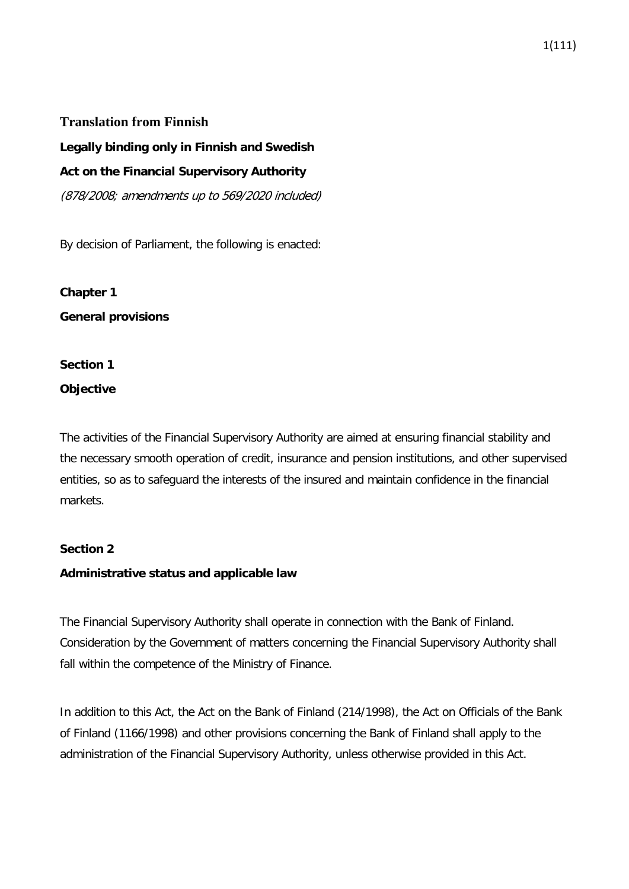# **Translation from Finnish Legally binding only in Finnish and Swedish Act on the Financial Supervisory Authority** (878/2008; amendments up to 569/2020 included)

By decision of Parliament, the following is enacted:

**Chapter 1 General provisions**

## **Section 1 Objective**

The activities of the Financial Supervisory Authority are aimed at ensuring financial stability and the necessary smooth operation of credit, insurance and pension institutions, and other supervised entities, so as to safeguard the interests of the insured and maintain confidence in the financial markets.

## **Section 2**

## **Administrative status and applicable law**

The Financial Supervisory Authority shall operate in connection with the Bank of Finland. Consideration by the Government of matters concerning the Financial Supervisory Authority shall fall within the competence of the Ministry of Finance.

In addition to this Act, the Act on the Bank of Finland (214/1998), the Act on Officials of the Bank of Finland (1166/1998) and other provisions concerning the Bank of Finland shall apply to the administration of the Financial Supervisory Authority, unless otherwise provided in this Act.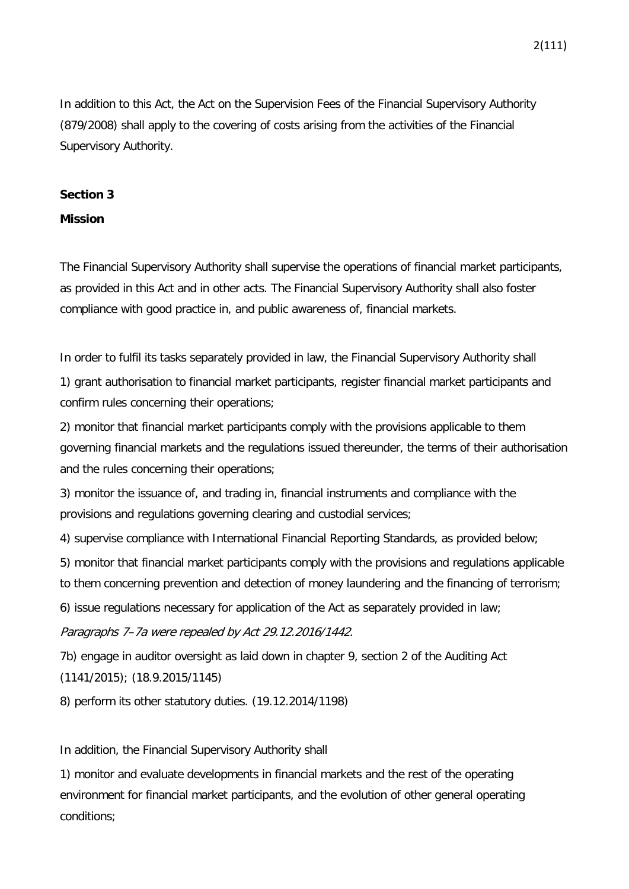In addition to this Act, the Act on the Supervision Fees of the Financial Supervisory Authority (879/2008) shall apply to the covering of costs arising from the activities of the Financial Supervisory Authority.

## **Section 3**

## **Mission**

The Financial Supervisory Authority shall supervise the operations of financial market participants, as provided in this Act and in other acts. The Financial Supervisory Authority shall also foster compliance with good practice in, and public awareness of, financial markets.

In order to fulfil its tasks separately provided in law, the Financial Supervisory Authority shall

1) grant authorisation to financial market participants, register financial market participants and confirm rules concerning their operations;

2) monitor that financial market participants comply with the provisions applicable to them governing financial markets and the regulations issued thereunder, the terms of their authorisation and the rules concerning their operations;

3) monitor the issuance of, and trading in, financial instruments and compliance with the provisions and regulations governing clearing and custodial services;

4) supervise compliance with International Financial Reporting Standards, as provided below;

5) monitor that financial market participants comply with the provisions and regulations applicable

to them concerning prevention and detection of money laundering and the financing of terrorism;

6) issue regulations necessary for application of the Act as separately provided in law;

Paragraphs 7–7a were repealed by Act 29.12.2016/1442.

7b) engage in auditor oversight as laid down in chapter 9, section 2 of the Auditing Act (1141/2015); (18.9.2015/1145)

8) perform its other statutory duties. (19.12.2014/1198)

In addition, the Financial Supervisory Authority shall

1) monitor and evaluate developments in financial markets and the rest of the operating environment for financial market participants, and the evolution of other general operating conditions;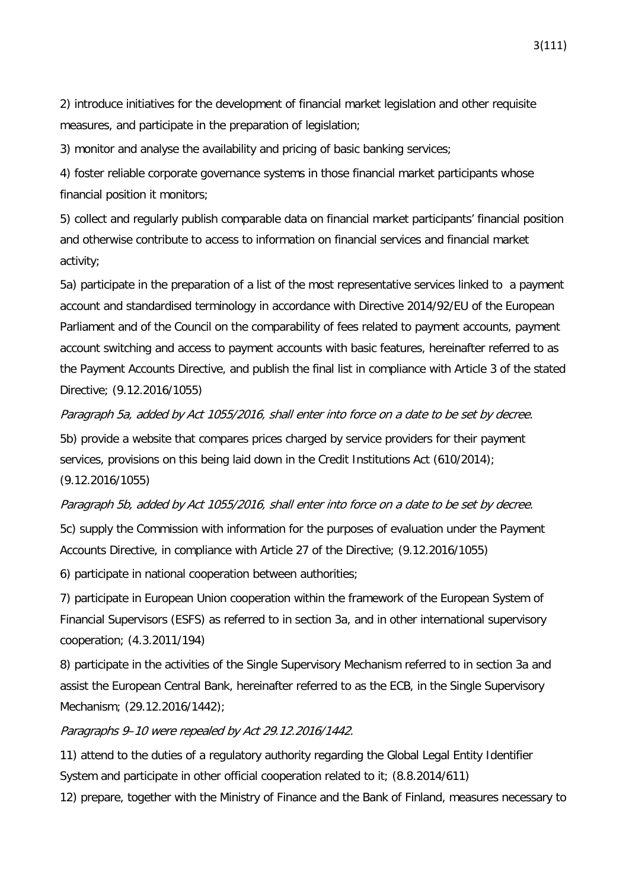2) introduce initiatives for the development of financial market legislation and other requisite measures, and participate in the preparation of legislation;

3) monitor and analyse the availability and pricing of basic banking services;

4) foster reliable corporate governance systems in those financial market participants whose financial position it monitors;

5) collect and regularly publish comparable data on financial market participants' financial position and otherwise contribute to access to information on financial services and financial market activity;

5a) participate in the preparation of a list of the most representative services linked to a payment account and standardised terminology in accordance with Directive 2014/92/EU of the European Parliament and of the Council on the comparability of fees related to payment accounts, payment account switching and access to payment accounts with basic features, hereinafter referred to as the Payment Accounts Directive, and publish the final list in compliance with Article 3 of the stated Directive; (9.12.2016/1055)

Paragraph 5a, added by Act 1055/2016, shall enter into force on a date to be set by decree. 5b) provide a website that compares prices charged by service providers for their payment services, provisions on this being laid down in the Credit Institutions Act (610/2014); (9.12.2016/1055)

Paragraph 5b, added by Act 1055/2016, shall enter into force on a date to be set by decree.

5c) supply the Commission with information for the purposes of evaluation under the Payment Accounts Directive, in compliance with Article 27 of the Directive; (9.12.2016/1055)

6) participate in national cooperation between authorities;

7) participate in European Union cooperation within the framework of the European System of Financial Supervisors (ESFS) as referred to in section 3a, and in other international supervisory cooperation; (4.3.2011/194)

8) participate in the activities of the Single Supervisory Mechanism referred to in section 3a and assist the European Central Bank, hereinafter referred to as the ECB, in the Single Supervisory Mechanism; (29.12.2016/1442);

#### Paragraphs 9–10 were repealed by Act 29.12.2016/1442.

11) attend to the duties of a regulatory authority regarding the Global Legal Entity Identifier System and participate in other official cooperation related to it; (8.8.2014/611)

12) prepare, together with the Ministry of Finance and the Bank of Finland, measures necessary to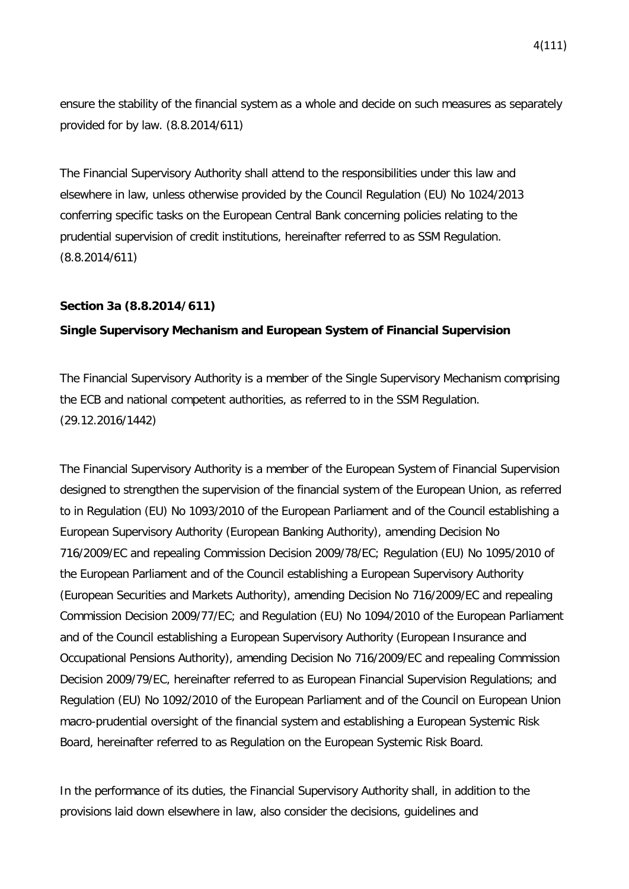ensure the stability of the financial system as a whole and decide on such measures as separately provided for by law. (8.8.2014/611)

The Financial Supervisory Authority shall attend to the responsibilities under this law and elsewhere in law, unless otherwise provided by the Council Regulation (EU) No 1024/2013 conferring specific tasks on the European Central Bank concerning policies relating to the prudential supervision of credit institutions, hereinafter referred to as SSM Regulation. (8.8.2014/611)

#### **Section 3a (8.8.2014/611)**

#### **Single Supervisory Mechanism and European System of Financial Supervision**

The Financial Supervisory Authority is a member of the Single Supervisory Mechanism comprising the ECB and national competent authorities, as referred to in the SSM Regulation. (29.12.2016/1442)

The Financial Supervisory Authority is a member of the European System of Financial Supervision designed to strengthen the supervision of the financial system of the European Union, as referred to in Regulation (EU) No 1093/2010 of the European Parliament and of the Council establishing a European Supervisory Authority (European Banking Authority), amending Decision No 716/2009/EC and repealing Commission Decision 2009/78/EC; Regulation (EU) No 1095/2010 of the European Parliament and of the Council establishing a European Supervisory Authority (European Securities and Markets Authority), amending Decision No 716/2009/EC and repealing Commission Decision 2009/77/EC; and Regulation (EU) No 1094/2010 of the European Parliament and of the Council establishing a European Supervisory Authority (European Insurance and Occupational Pensions Authority), amending Decision No 716/2009/EC and repealing Commission Decision 2009/79/EC, hereinafter referred to as European Financial Supervision Regulations; and Regulation (EU) No 1092/2010 of the European Parliament and of the Council on European Union macro-prudential oversight of the financial system and establishing a European Systemic Risk Board, hereinafter referred to as Regulation on the European Systemic Risk Board.

In the performance of its duties, the Financial Supervisory Authority shall, in addition to the provisions laid down elsewhere in law, also consider the decisions, guidelines and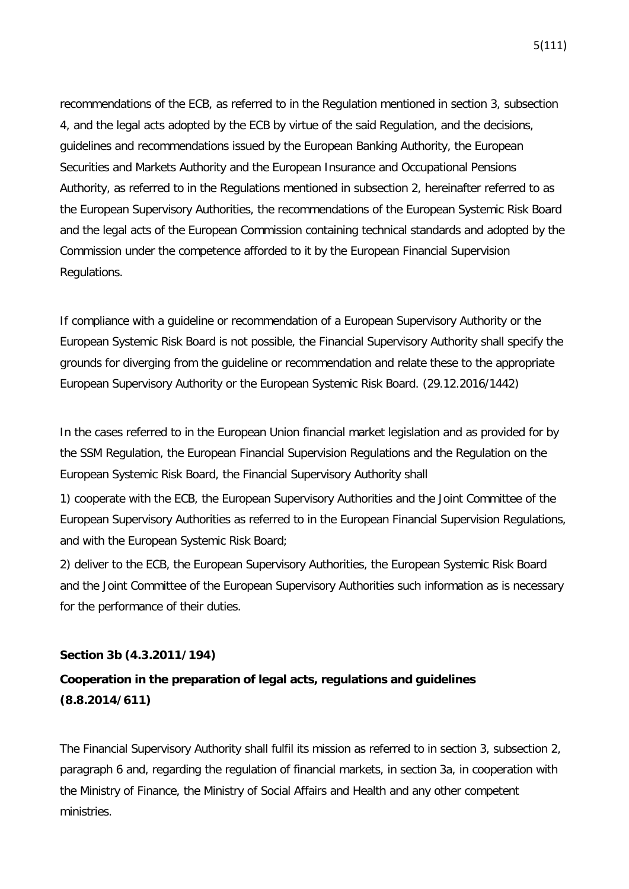recommendations of the ECB, as referred to in the Regulation mentioned in section 3, subsection 4, and the legal acts adopted by the ECB by virtue of the said Regulation, and the decisions, guidelines and recommendations issued by the European Banking Authority, the European Securities and Markets Authority and the European Insurance and Occupational Pensions Authority, as referred to in the Regulations mentioned in subsection 2, hereinafter referred to as the European Supervisory Authorities, the recommendations of the European Systemic Risk Board and the legal acts of the European Commission containing technical standards and adopted by the Commission under the competence afforded to it by the European Financial Supervision Regulations.

If compliance with a guideline or recommendation of a European Supervisory Authority or the European Systemic Risk Board is not possible, the Financial Supervisory Authority shall specify the grounds for diverging from the guideline or recommendation and relate these to the appropriate European Supervisory Authority or the European Systemic Risk Board. (29.12.2016/1442)

In the cases referred to in the European Union financial market legislation and as provided for by the SSM Regulation, the European Financial Supervision Regulations and the Regulation on the European Systemic Risk Board, the Financial Supervisory Authority shall

1) cooperate with the ECB, the European Supervisory Authorities and the Joint Committee of the European Supervisory Authorities as referred to in the European Financial Supervision Regulations, and with the European Systemic Risk Board;

2) deliver to the ECB, the European Supervisory Authorities, the European Systemic Risk Board and the Joint Committee of the European Supervisory Authorities such information as is necessary for the performance of their duties.

#### **Section 3b (4.3.2011/194)**

## **Cooperation in the preparation of legal acts, regulations and guidelines (8.8.2014/611)**

The Financial Supervisory Authority shall fulfil its mission as referred to in section 3, subsection 2, paragraph 6 and, regarding the regulation of financial markets, in section 3a, in cooperation with the Ministry of Finance, the Ministry of Social Affairs and Health and any other competent ministries.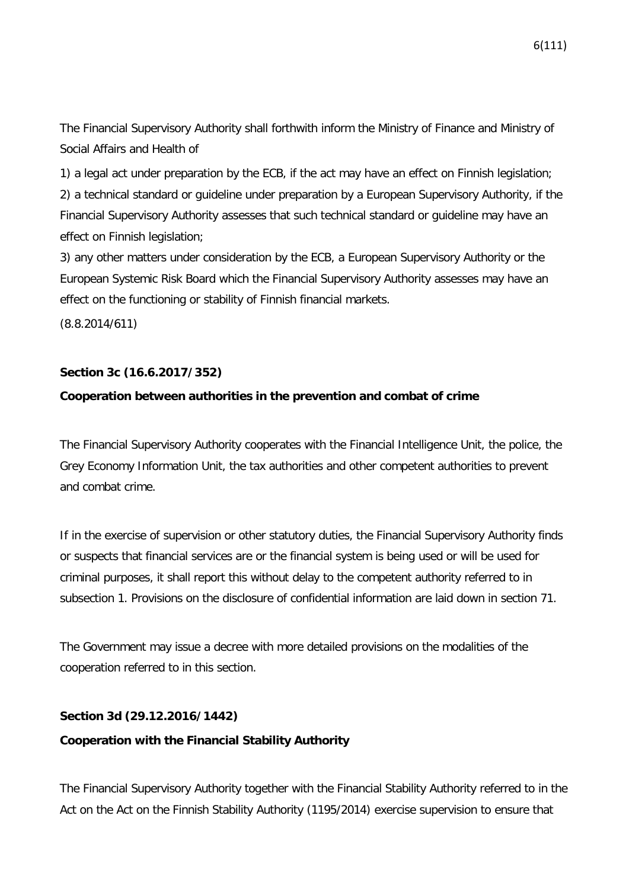The Financial Supervisory Authority shall forthwith inform the Ministry of Finance and Ministry of Social Affairs and Health of

1) a legal act under preparation by the ECB, if the act may have an effect on Finnish legislation; 2) a technical standard or guideline under preparation by a European Supervisory Authority, if the Financial Supervisory Authority assesses that such technical standard or guideline may have an effect on Finnish legislation;

3) any other matters under consideration by the ECB, a European Supervisory Authority or the European Systemic Risk Board which the Financial Supervisory Authority assesses may have an effect on the functioning or stability of Finnish financial markets.

(8.8.2014/611)

### **Section 3c (16.6.2017/352)**

#### **Cooperation between authorities in the prevention and combat of crime**

The Financial Supervisory Authority cooperates with the Financial Intelligence Unit, the police, the Grey Economy Information Unit, the tax authorities and other competent authorities to prevent and combat crime.

If in the exercise of supervision or other statutory duties, the Financial Supervisory Authority finds or suspects that financial services are or the financial system is being used or will be used for criminal purposes, it shall report this without delay to the competent authority referred to in subsection 1. Provisions on the disclosure of confidential information are laid down in section 71.

The Government may issue a decree with more detailed provisions on the modalities of the cooperation referred to in this section.

#### **Section 3d (29.12.2016/1442)**

#### **Cooperation with the Financial Stability Authority**

The Financial Supervisory Authority together with the Financial Stability Authority referred to in the Act on the Act on the Finnish Stability Authority (1195/2014) exercise supervision to ensure that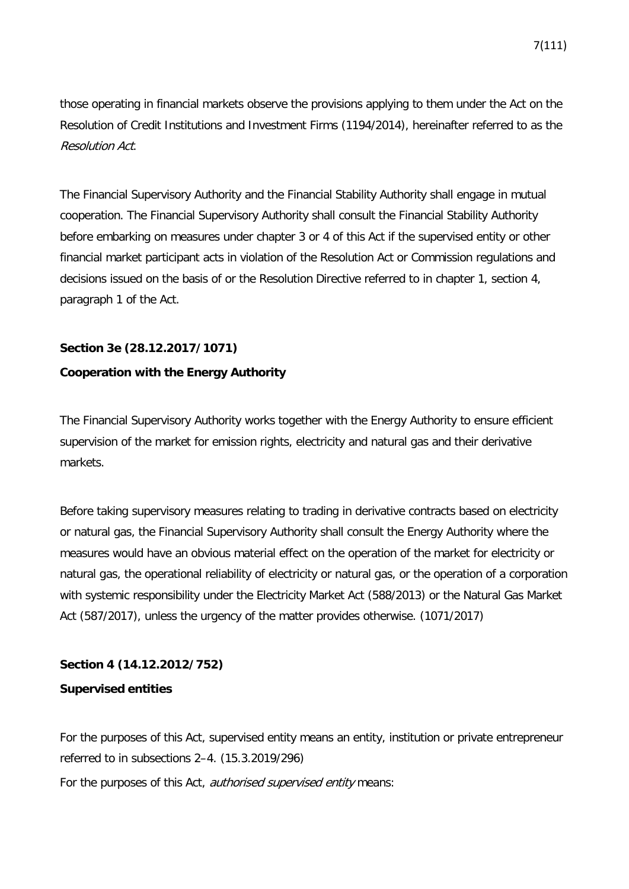those operating in financial markets observe the provisions applying to them under the Act on the Resolution of Credit Institutions and Investment Firms (1194/2014), hereinafter referred to as the Resolution Act.

The Financial Supervisory Authority and the Financial Stability Authority shall engage in mutual cooperation. The Financial Supervisory Authority shall consult the Financial Stability Authority before embarking on measures under chapter 3 or 4 of this Act if the supervised entity or other financial market participant acts in violation of the Resolution Act or Commission regulations and decisions issued on the basis of or the Resolution Directive referred to in chapter 1, section 4, paragraph 1 of the Act.

## **Section 3e (28.12.2017/1071) Cooperation with the Energy Authority**

The Financial Supervisory Authority works together with the Energy Authority to ensure efficient supervision of the market for emission rights, electricity and natural gas and their derivative markets.

Before taking supervisory measures relating to trading in derivative contracts based on electricity or natural gas, the Financial Supervisory Authority shall consult the Energy Authority where the measures would have an obvious material effect on the operation of the market for electricity or natural gas, the operational reliability of electricity or natural gas, or the operation of a corporation with systemic responsibility under the Electricity Market Act (588/2013) or the Natural Gas Market Act (587/2017), unless the urgency of the matter provides otherwise. (1071/2017)

## **Section 4 (14.12.2012/752) Supervised entities**

For the purposes of this Act, supervised entity means an entity, institution or private entrepreneur referred to in subsections 2–4. (15.3.2019/296) For the purposes of this Act, *authorised supervised entity* means: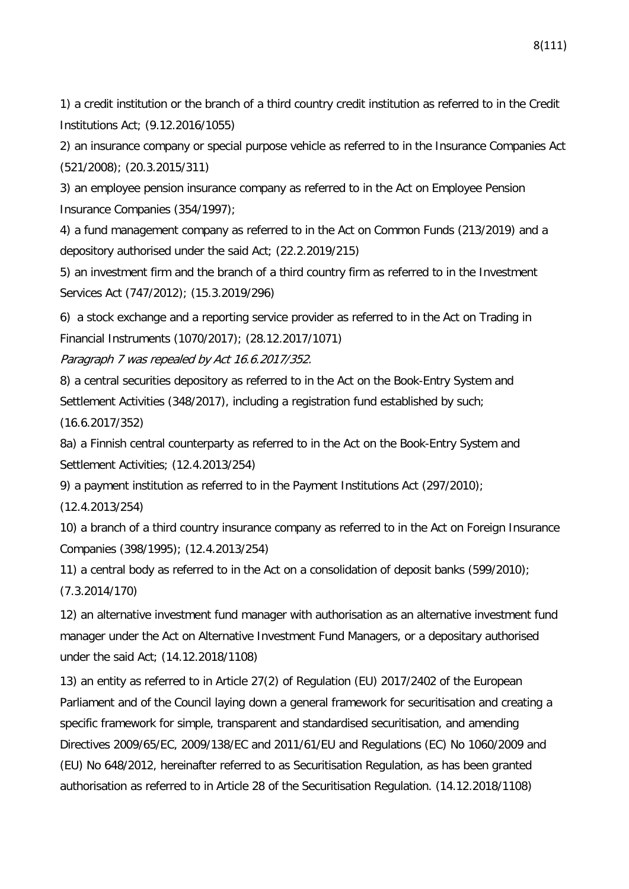1) a credit institution or the branch of a third country credit institution as referred to in the Credit Institutions Act; (9.12.2016/1055)

2) an insurance company or special purpose vehicle as referred to in the Insurance Companies Act (521/2008); (20.3.2015/311)

3) an employee pension insurance company as referred to in the Act on Employee Pension Insurance Companies (354/1997);

4) a fund management company as referred to in the Act on Common Funds (213/2019) and a depository authorised under the said Act; (22.2.2019/215)

5) an investment firm and the branch of a third country firm as referred to in the Investment Services Act (747/2012); (15.3.2019/296)

6) a stock exchange and a reporting service provider as referred to in the Act on Trading in Financial Instruments (1070/2017); (28.12.2017/1071)

Paragraph 7 was repealed by Act 16.6.2017/352.

8) a central securities depository as referred to in the Act on the Book-Entry System and Settlement Activities (348/2017), including a registration fund established by such; (16.6.2017/352)

8a) a Finnish central counterparty as referred to in the Act on the Book-Entry System and Settlement Activities; (12.4.2013/254)

9) a payment institution as referred to in the Payment Institutions Act (297/2010);

(12.4.2013/254)

10) a branch of a third country insurance company as referred to in the Act on Foreign Insurance Companies (398/1995); (12.4.2013/254)

11) a central body as referred to in the Act on a consolidation of deposit banks (599/2010); (7.3.2014/170)

12) an alternative investment fund manager with authorisation as an alternative investment fund manager under the Act on Alternative Investment Fund Managers, or a depositary authorised under the said Act; (14.12.2018/1108)

13) an entity as referred to in Article 27(2) of Regulation (EU) 2017/2402 of the European Parliament and of the Council laying down a general framework for securitisation and creating a specific framework for simple, transparent and standardised securitisation, and amending Directives 2009/65/EC, 2009/138/EC and 2011/61/EU and Regulations (EC) No 1060/2009 and (EU) No 648/2012, hereinafter referred to as Securitisation Regulation, as has been granted authorisation as referred to in Article 28 of the Securitisation Regulation. (14.12.2018/1108)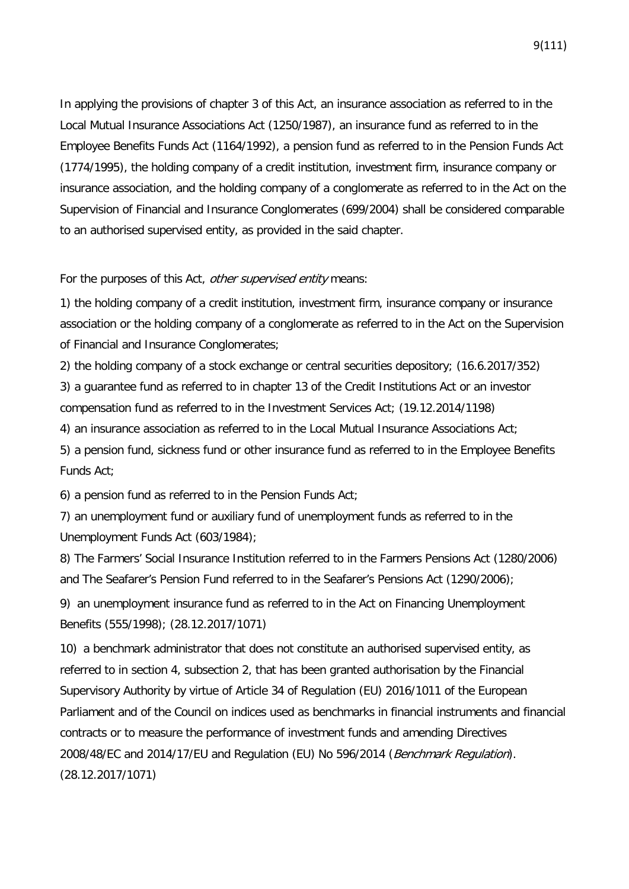In applying the provisions of chapter 3 of this Act, an insurance association as referred to in the Local Mutual Insurance Associations Act (1250/1987), an insurance fund as referred to in the Employee Benefits Funds Act (1164/1992), a pension fund as referred to in the Pension Funds Act (1774/1995), the holding company of a credit institution, investment firm, insurance company or insurance association, and the holding company of a conglomerate as referred to in the Act on the Supervision of Financial and Insurance Conglomerates (699/2004) shall be considered comparable to an authorised supervised entity, as provided in the said chapter.

#### For the purposes of this Act, *other supervised entity* means:

1) the holding company of a credit institution, investment firm, insurance company or insurance association or the holding company of a conglomerate as referred to in the Act on the Supervision of Financial and Insurance Conglomerates;

2) the holding company of a stock exchange or central securities depository; (16.6.2017/352) 3) a guarantee fund as referred to in chapter 13 of the Credit Institutions Act or an investor compensation fund as referred to in the Investment Services Act; (19.12.2014/1198)

4) an insurance association as referred to in the Local Mutual Insurance Associations Act;

5) a pension fund, sickness fund or other insurance fund as referred to in the Employee Benefits Funds Act;

6) a pension fund as referred to in the Pension Funds Act;

7) an unemployment fund or auxiliary fund of unemployment funds as referred to in the Unemployment Funds Act (603/1984);

8) The Farmers' Social Insurance Institution referred to in the Farmers Pensions Act (1280/2006) and The Seafarer's Pension Fund referred to in the Seafarer's Pensions Act (1290/2006);

9) an unemployment insurance fund as referred to in the Act on Financing Unemployment Benefits (555/1998); (28.12.2017/1071)

10) a benchmark administrator that does not constitute an authorised supervised entity, as referred to in section 4, subsection 2, that has been granted authorisation by the Financial Supervisory Authority by virtue of Article 34 of Regulation (EU) 2016/1011 of the European Parliament and of the Council on indices used as benchmarks in financial instruments and financial contracts or to measure the performance of investment funds and amending Directives 2008/48/EC and 2014/17/EU and Regulation (EU) No 596/2014 (Benchmark Regulation). (28.12.2017/1071)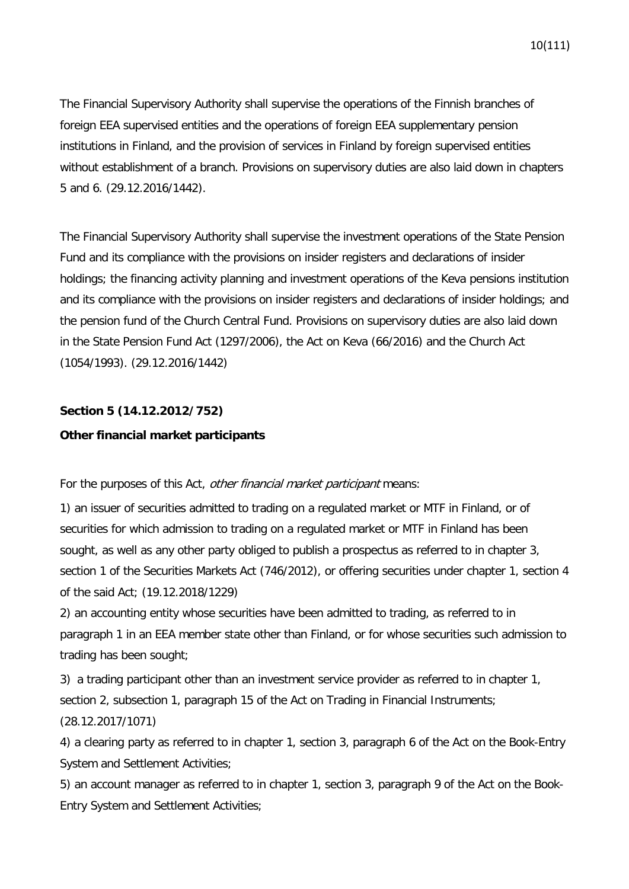The Financial Supervisory Authority shall supervise the operations of the Finnish branches of foreign EEA supervised entities and the operations of foreign EEA supplementary pension institutions in Finland, and the provision of services in Finland by foreign supervised entities without establishment of a branch. Provisions on supervisory duties are also laid down in chapters 5 and 6. (29.12.2016/1442).

The Financial Supervisory Authority shall supervise the investment operations of the State Pension Fund and its compliance with the provisions on insider registers and declarations of insider holdings; the financing activity planning and investment operations of the Keva pensions institution and its compliance with the provisions on insider registers and declarations of insider holdings; and the pension fund of the Church Central Fund. Provisions on supervisory duties are also laid down in the State Pension Fund Act (1297/2006), the Act on Keva (66/2016) and the Church Act (1054/1993). (29.12.2016/1442)

## **Section 5 (14.12.2012/752)**

### **Other financial market participants**

For the purposes of this Act, other financial market participant means:

1) an issuer of securities admitted to trading on a regulated market or MTF in Finland, or of securities for which admission to trading on a regulated market or MTF in Finland has been sought, as well as any other party obliged to publish a prospectus as referred to in chapter 3, section 1 of the Securities Markets Act (746/2012), or offering securities under chapter 1, section 4 of the said Act; (19.12.2018/1229)

2) an accounting entity whose securities have been admitted to trading, as referred to in paragraph 1 in an EEA member state other than Finland, or for whose securities such admission to trading has been sought;

3) a trading participant other than an investment service provider as referred to in chapter 1, section 2, subsection 1, paragraph 15 of the Act on Trading in Financial Instruments; (28.12.2017/1071)

4) a clearing party as referred to in chapter 1, section 3, paragraph 6 of the Act on the Book-Entry System and Settlement Activities;

5) an account manager as referred to in chapter 1, section 3, paragraph 9 of the Act on the Book-Entry System and Settlement Activities;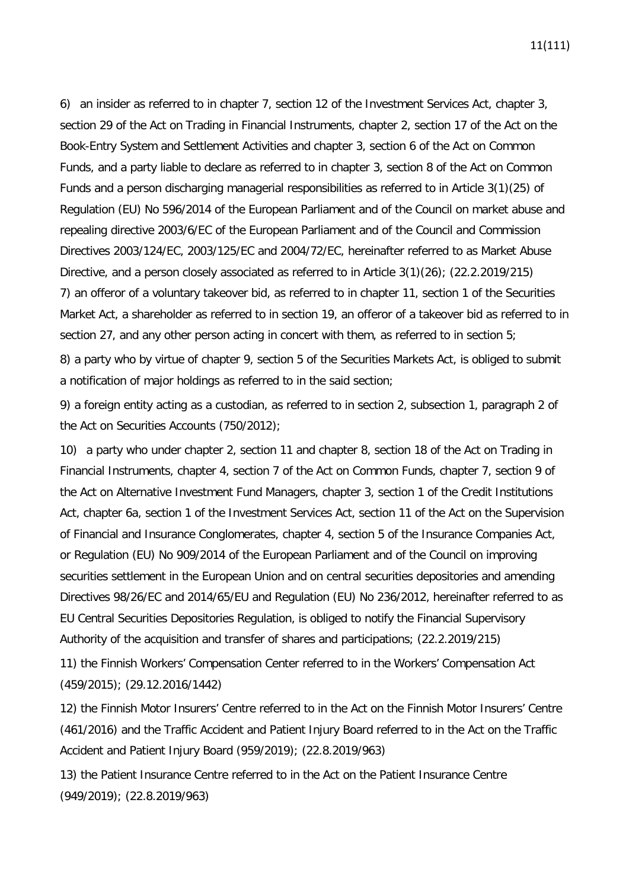6) an insider as referred to in chapter 7, section 12 of the Investment Services Act, chapter 3, section 29 of the Act on Trading in Financial Instruments, chapter 2, section 17 of the Act on the Book-Entry System and Settlement Activities and chapter 3, section 6 of the Act on Common Funds, and a party liable to declare as referred to in chapter 3, section 8 of the Act on Common Funds and a person discharging managerial responsibilities as referred to in Article 3(1)(25) of Regulation (EU) No 596/2014 of the European Parliament and of the Council on market abuse and repealing directive 2003/6/EC of the European Parliament and of the Council and Commission Directives 2003/124/EC, 2003/125/EC and 2004/72/EC, hereinafter referred to as Market Abuse Directive, and a person closely associated as referred to in Article 3(1)(26); (22.2.2019/215) 7) an offeror of a voluntary takeover bid, as referred to in chapter 11, section 1 of the Securities Market Act, a shareholder as referred to in section 19, an offeror of a takeover bid as referred to in section 27, and any other person acting in concert with them, as referred to in section 5; 8) a party who by virtue of chapter 9, section 5 of the Securities Markets Act, is obliged to submit

a notification of major holdings as referred to in the said section;

9) a foreign entity acting as a custodian, as referred to in section 2, subsection 1, paragraph 2 of the Act on Securities Accounts (750/2012);

10) a party who under chapter 2, section 11 and chapter 8, section 18 of the Act on Trading in Financial Instruments, chapter 4, section 7 of the Act on Common Funds, chapter 7, section 9 of the Act on Alternative Investment Fund Managers, chapter 3, section 1 of the Credit Institutions Act, chapter 6a, section 1 of the Investment Services Act, section 11 of the Act on the Supervision of Financial and Insurance Conglomerates, chapter 4, section 5 of the Insurance Companies Act, or Regulation (EU) No 909/2014 of the European Parliament and of the Council on improving securities settlement in the European Union and on central securities depositories and amending Directives 98/26/EC and 2014/65/EU and Regulation (EU) No 236/2012, hereinafter referred to as EU Central Securities Depositories Regulation, is obliged to notify the Financial Supervisory Authority of the acquisition and transfer of shares and participations; (22.2.2019/215)

11) the Finnish Workers' Compensation Center referred to in the Workers' Compensation Act (459/2015); (29.12.2016/1442)

12) the Finnish Motor Insurers' Centre referred to in the Act on the Finnish Motor Insurers' Centre (461/2016) and the Traffic Accident and Patient Injury Board referred to in the Act on the Traffic Accident and Patient Injury Board (959/2019); (22.8.2019/963)

13) the Patient Insurance Centre referred to in the Act on the Patient Insurance Centre (949/2019); (22.8.2019/963)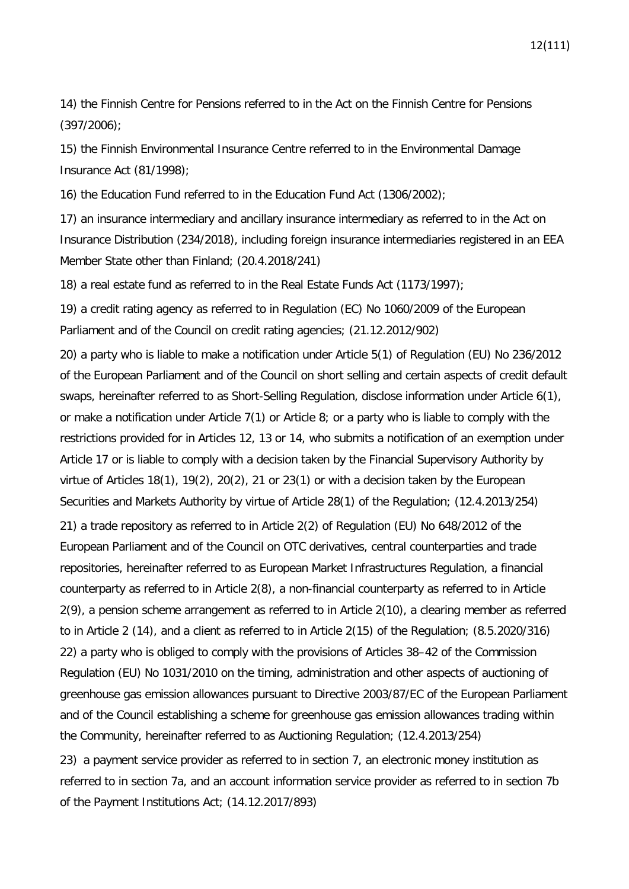14) the Finnish Centre for Pensions referred to in the Act on the Finnish Centre for Pensions (397/2006);

15) the Finnish Environmental Insurance Centre referred to in the Environmental Damage Insurance Act (81/1998);

16) the Education Fund referred to in the Education Fund Act (1306/2002);

17) an insurance intermediary and ancillary insurance intermediary as referred to in the Act on Insurance Distribution (234/2018), including foreign insurance intermediaries registered in an EEA Member State other than Finland; (20.4.2018/241)

18) a real estate fund as referred to in the Real Estate Funds Act (1173/1997);

19) a credit rating agency as referred to in Regulation (EC) No 1060/2009 of the European Parliament and of the Council on credit rating agencies; (21.12.2012/902)

20) a party who is liable to make a notification under Article 5(1) of Regulation (EU) No 236/2012 of the European Parliament and of the Council on short selling and certain aspects of credit default swaps, hereinafter referred to as Short-Selling Regulation, disclose information under Article 6(1), or make a notification under Article 7(1) or Article 8; or a party who is liable to comply with the restrictions provided for in Articles 12, 13 or 14, who submits a notification of an exemption under Article 17 or is liable to comply with a decision taken by the Financial Supervisory Authority by virtue of Articles 18(1), 19(2), 20(2), 21 or 23(1) or with a decision taken by the European Securities and Markets Authority by virtue of Article 28(1) of the Regulation; (12.4.2013/254) 21) a trade repository as referred to in Article 2(2) of Regulation (EU) No 648/2012 of the European Parliament and of the Council on OTC derivatives, central counterparties and trade repositories, hereinafter referred to as European Market Infrastructures Regulation, a financial counterparty as referred to in Article 2(8), a non-financial counterparty as referred to in Article 2(9), a pension scheme arrangement as referred to in Article 2(10), a clearing member as referred to in Article 2 (14), and a client as referred to in Article 2(15) of the Regulation; (8.5.2020/316) 22) a party who is obliged to comply with the provisions of Articles 38–42 of the Commission Regulation (EU) No 1031/2010 on the timing, administration and other aspects of auctioning of greenhouse gas emission allowances pursuant to Directive 2003/87/EC of the European Parliament and of the Council establishing a scheme for greenhouse gas emission allowances trading within the Community, hereinafter referred to as Auctioning Regulation; (12.4.2013/254)

23) a payment service provider as referred to in section 7, an electronic money institution as referred to in section 7a, and an account information service provider as referred to in section 7b of the Payment Institutions Act; (14.12.2017/893)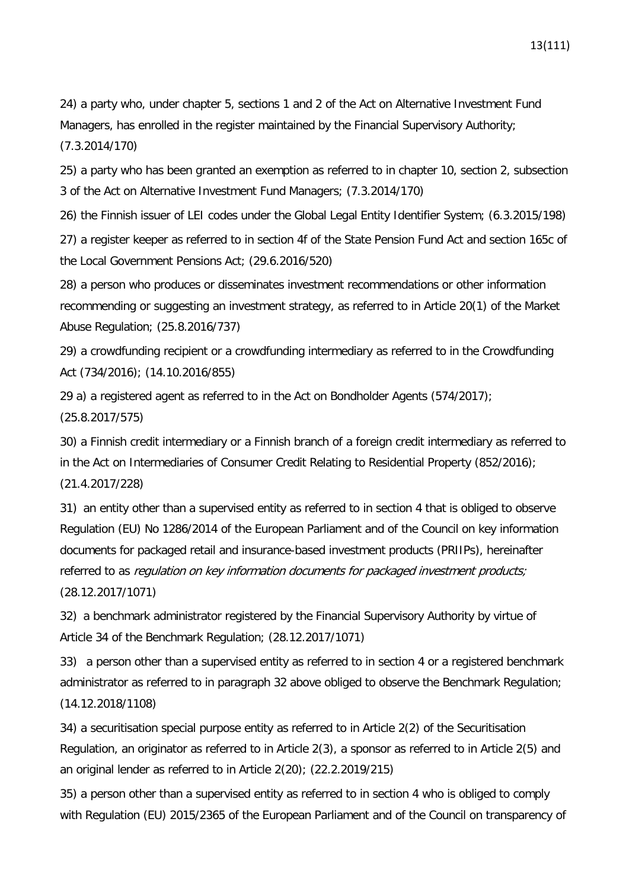24) a party who, under chapter 5, sections 1 and 2 of the Act on Alternative Investment Fund Managers, has enrolled in the register maintained by the Financial Supervisory Authority; (7.3.2014/170)

25) a party who has been granted an exemption as referred to in chapter 10, section 2, subsection 3 of the Act on Alternative Investment Fund Managers; (7.3.2014/170)

26) the Finnish issuer of LEI codes under the Global Legal Entity Identifier System; (6.3.2015/198)

27) a register keeper as referred to in section 4f of the State Pension Fund Act and section 165c of the Local Government Pensions Act; (29.6.2016/520)

28) a person who produces or disseminates investment recommendations or other information recommending or suggesting an investment strategy, as referred to in Article 20(1) of the Market Abuse Regulation; (25.8.2016/737)

29) a crowdfunding recipient or a crowdfunding intermediary as referred to in the Crowdfunding Act (734/2016); (14.10.2016/855)

29 a) a registered agent as referred to in the Act on Bondholder Agents (574/2017); (25.8.2017/575)

30) a Finnish credit intermediary or a Finnish branch of a foreign credit intermediary as referred to in the Act on Intermediaries of Consumer Credit Relating to Residential Property (852/2016); (21.4.2017/228)

31) an entity other than a supervised entity as referred to in section 4 that is obliged to observe Regulation (EU) No 1286/2014 of the European Parliament and of the Council on key information documents for packaged retail and insurance-based investment products (PRIIPs), hereinafter referred to as regulation on key information documents for packaged investment products; (28.12.2017/1071)

32) a benchmark administrator registered by the Financial Supervisory Authority by virtue of Article 34 of the Benchmark Regulation; (28.12.2017/1071)

33) a person other than a supervised entity as referred to in section 4 or a registered benchmark administrator as referred to in paragraph 32 above obliged to observe the Benchmark Regulation; (14.12.2018/1108)

34) a securitisation special purpose entity as referred to in Article 2(2) of the Securitisation Regulation, an originator as referred to in Article 2(3), a sponsor as referred to in Article 2(5) and an original lender as referred to in Article 2(20); (22.2.2019/215)

35) a person other than a supervised entity as referred to in section 4 who is obliged to comply with Regulation (EU) 2015/2365 of the European Parliament and of the Council on transparency of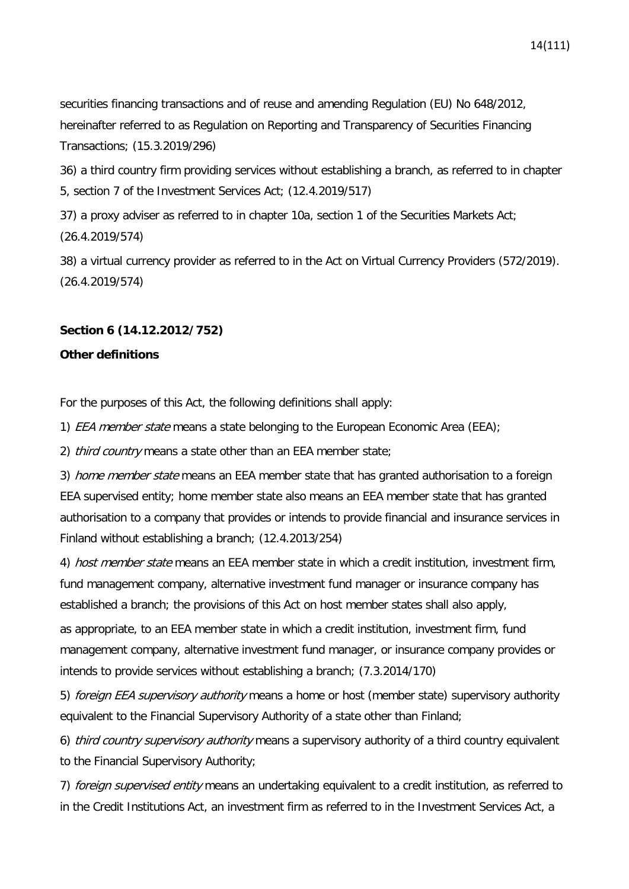securities financing transactions and of reuse and amending Regulation (EU) No 648/2012, hereinafter referred to as Regulation on Reporting and Transparency of Securities Financing Transactions; (15.3.2019/296)

36) a third country firm providing services without establishing a branch, as referred to in chapter 5, section 7 of the Investment Services Act; (12.4.2019/517)

37) a proxy adviser as referred to in chapter 10a, section 1 of the Securities Markets Act; (26.4.2019/574)

38) a virtual currency provider as referred to in the Act on Virtual Currency Providers (572/2019). (26.4.2019/574)

### **Section 6 (14.12.2012/752)**

#### **Other definitions**

For the purposes of this Act, the following definitions shall apply:

1) EEA member state means a state belonging to the European Economic Area (EEA);

2) third country means a state other than an EEA member state;

3) home member state means an EEA member state that has granted authorisation to a foreign EEA supervised entity; home member state also means an EEA member state that has granted authorisation to a company that provides or intends to provide financial and insurance services in Finland without establishing a branch; (12.4.2013/254)

4) host member state means an EEA member state in which a credit institution, investment firm, fund management company, alternative investment fund manager or insurance company has established a branch; the provisions of this Act on host member states shall also apply,

as appropriate, to an EEA member state in which a credit institution, investment firm, fund management company, alternative investment fund manager, or insurance company provides or intends to provide services without establishing a branch; (7.3.2014/170)

5) foreign EEA supervisory authority means a home or host (member state) supervisory authority equivalent to the Financial Supervisory Authority of a state other than Finland;

6) *third country supervisory authority* means a supervisory authority of a third country equivalent to the Financial Supervisory Authority;

7) foreign supervised entity means an undertaking equivalent to a credit institution, as referred to in the Credit Institutions Act, an investment firm as referred to in the Investment Services Act, a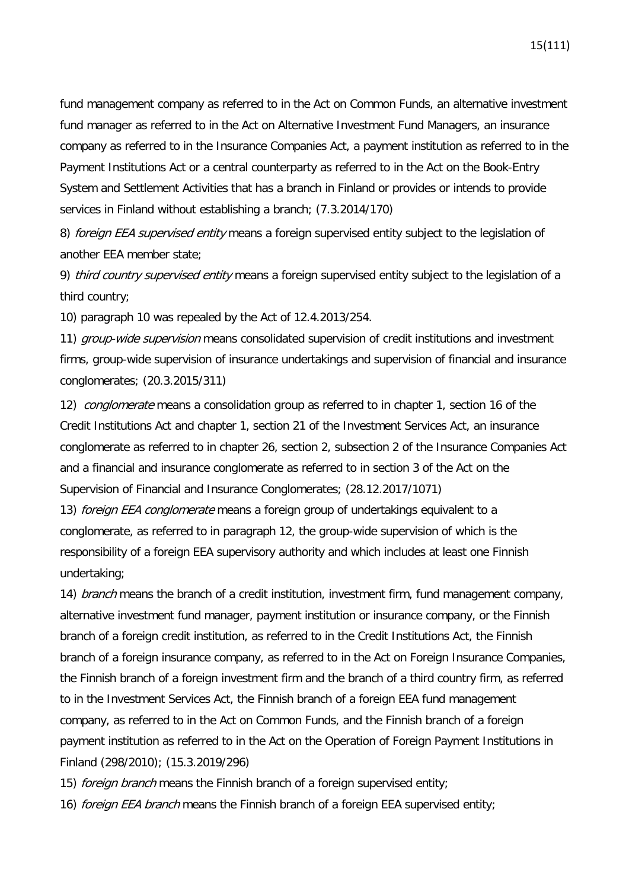fund management company as referred to in the Act on Common Funds, an alternative investment fund manager as referred to in the Act on Alternative Investment Fund Managers, an insurance company as referred to in the Insurance Companies Act, a payment institution as referred to in the Payment Institutions Act or a central counterparty as referred to in the Act on the Book-Entry System and Settlement Activities that has a branch in Finland or provides or intends to provide services in Finland without establishing a branch; (7.3.2014/170)

8) foreign EEA supervised entity means a foreign supervised entity subject to the legislation of another EEA member state;

9) *third country supervised entity* means a foreign supervised entity subject to the legislation of a third country;

10) paragraph 10 was repealed by the Act of 12.4.2013/254.

11) group-wide supervision means consolidated supervision of credit institutions and investment firms, group-wide supervision of insurance undertakings and supervision of financial and insurance conglomerates; (20.3.2015/311)

12) *conglomerate* means a consolidation group as referred to in chapter 1, section 16 of the Credit Institutions Act and chapter 1, section 21 of the Investment Services Act, an insurance conglomerate as referred to in chapter 26, section 2, subsection 2 of the Insurance Companies Act and a financial and insurance conglomerate as referred to in section 3 of the Act on the Supervision of Financial and Insurance Conglomerates; (28.12.2017/1071)

13) foreign EEA conglomerate means a foreign group of undertakings equivalent to a conglomerate, as referred to in paragraph 12, the group-wide supervision of which is the responsibility of a foreign EEA supervisory authority and which includes at least one Finnish undertaking;

14) *branch* means the branch of a credit institution, investment firm, fund management company, alternative investment fund manager, payment institution or insurance company, or the Finnish branch of a foreign credit institution, as referred to in the Credit Institutions Act, the Finnish branch of a foreign insurance company, as referred to in the Act on Foreign Insurance Companies, the Finnish branch of a foreign investment firm and the branch of a third country firm, as referred to in the Investment Services Act, the Finnish branch of a foreign EEA fund management company, as referred to in the Act on Common Funds, and the Finnish branch of a foreign payment institution as referred to in the Act on the Operation of Foreign Payment Institutions in Finland (298/2010); (15.3.2019/296)

15) *foreign branch* means the Finnish branch of a foreign supervised entity;

16) *foreign EEA branch* means the Finnish branch of a foreign EEA supervised entity;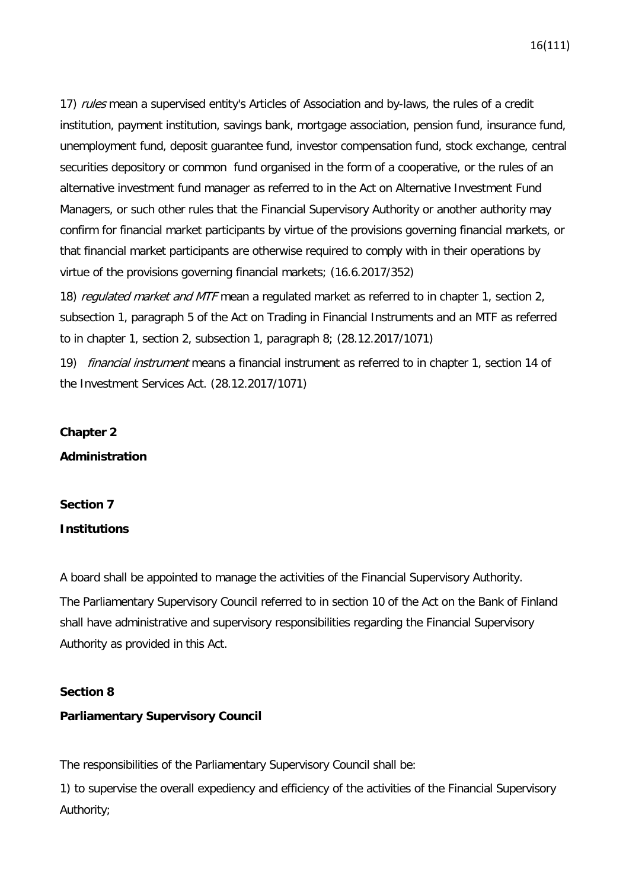17) *rules* mean a supervised entity's Articles of Association and by-laws, the rules of a credit institution, payment institution, savings bank, mortgage association, pension fund, insurance fund, unemployment fund, deposit guarantee fund, investor compensation fund, stock exchange, central securities depository or common fund organised in the form of a cooperative, or the rules of an alternative investment fund manager as referred to in the Act on Alternative Investment Fund Managers, or such other rules that the Financial Supervisory Authority or another authority may confirm for financial market participants by virtue of the provisions governing financial markets, or that financial market participants are otherwise required to comply with in their operations by virtue of the provisions governing financial markets; (16.6.2017/352)

18) requilated market and MTF mean a requilated market as referred to in chapter 1, section 2, subsection 1, paragraph 5 of the Act on Trading in Financial Instruments and an MTF as referred to in chapter 1, section 2, subsection 1, paragraph 8; (28.12.2017/1071)

19) *financial instrument* means a financial instrument as referred to in chapter 1, section 14 of the Investment Services Act. (28.12.2017/1071)

### **Chapter 2**

**Administration**

## **Section 7 Institutions**

A board shall be appointed to manage the activities of the Financial Supervisory Authority. The Parliamentary Supervisory Council referred to in section 10 of the Act on the Bank of Finland shall have administrative and supervisory responsibilities regarding the Financial Supervisory Authority as provided in this Act.

## **Section 8**

## **Parliamentary Supervisory Council**

The responsibilities of the Parliamentary Supervisory Council shall be:

1) to supervise the overall expediency and efficiency of the activities of the Financial Supervisory Authority;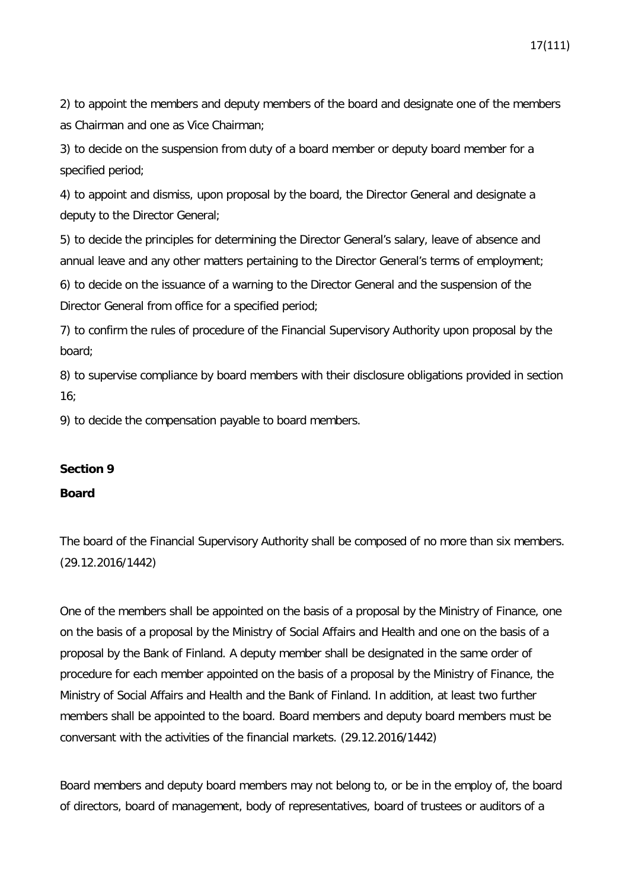2) to appoint the members and deputy members of the board and designate one of the members as Chairman and one as Vice Chairman;

3) to decide on the suspension from duty of a board member or deputy board member for a specified period;

4) to appoint and dismiss, upon proposal by the board, the Director General and designate a deputy to the Director General;

5) to decide the principles for determining the Director General's salary, leave of absence and annual leave and any other matters pertaining to the Director General's terms of employment;

6) to decide on the issuance of a warning to the Director General and the suspension of the Director General from office for a specified period;

7) to confirm the rules of procedure of the Financial Supervisory Authority upon proposal by the board;

8) to supervise compliance by board members with their disclosure obligations provided in section 16;

9) to decide the compensation payable to board members.

#### **Section 9**

### **Board**

The board of the Financial Supervisory Authority shall be composed of no more than six members. (29.12.2016/1442)

One of the members shall be appointed on the basis of a proposal by the Ministry of Finance, one on the basis of a proposal by the Ministry of Social Affairs and Health and one on the basis of a proposal by the Bank of Finland. A deputy member shall be designated in the same order of procedure for each member appointed on the basis of a proposal by the Ministry of Finance, the Ministry of Social Affairs and Health and the Bank of Finland. In addition, at least two further members shall be appointed to the board. Board members and deputy board members must be conversant with the activities of the financial markets. (29.12.2016/1442)

Board members and deputy board members may not belong to, or be in the employ of, the board of directors, board of management, body of representatives, board of trustees or auditors of a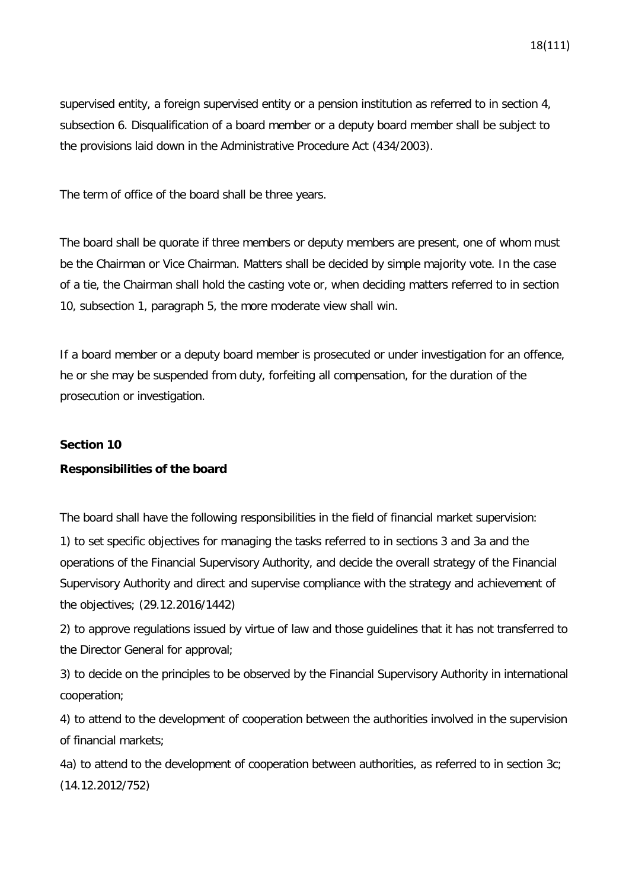supervised entity, a foreign supervised entity or a pension institution as referred to in section 4, subsection 6. Disqualification of a board member or a deputy board member shall be subject to the provisions laid down in the Administrative Procedure Act (434/2003).

The term of office of the board shall be three years.

The board shall be quorate if three members or deputy members are present, one of whom must be the Chairman or Vice Chairman. Matters shall be decided by simple majority vote. In the case of a tie, the Chairman shall hold the casting vote or, when deciding matters referred to in section 10, subsection 1, paragraph 5, the more moderate view shall win.

If a board member or a deputy board member is prosecuted or under investigation for an offence, he or she may be suspended from duty, forfeiting all compensation, for the duration of the prosecution or investigation.

#### **Section 10**

#### **Responsibilities of the board**

The board shall have the following responsibilities in the field of financial market supervision:

1) to set specific objectives for managing the tasks referred to in sections 3 and 3a and the operations of the Financial Supervisory Authority, and decide the overall strategy of the Financial Supervisory Authority and direct and supervise compliance with the strategy and achievement of the objectives; (29.12.2016/1442)

2) to approve regulations issued by virtue of law and those guidelines that it has not transferred to the Director General for approval;

3) to decide on the principles to be observed by the Financial Supervisory Authority in international cooperation;

4) to attend to the development of cooperation between the authorities involved in the supervision of financial markets;

4a) to attend to the development of cooperation between authorities, as referred to in section 3c; (14.12.2012/752)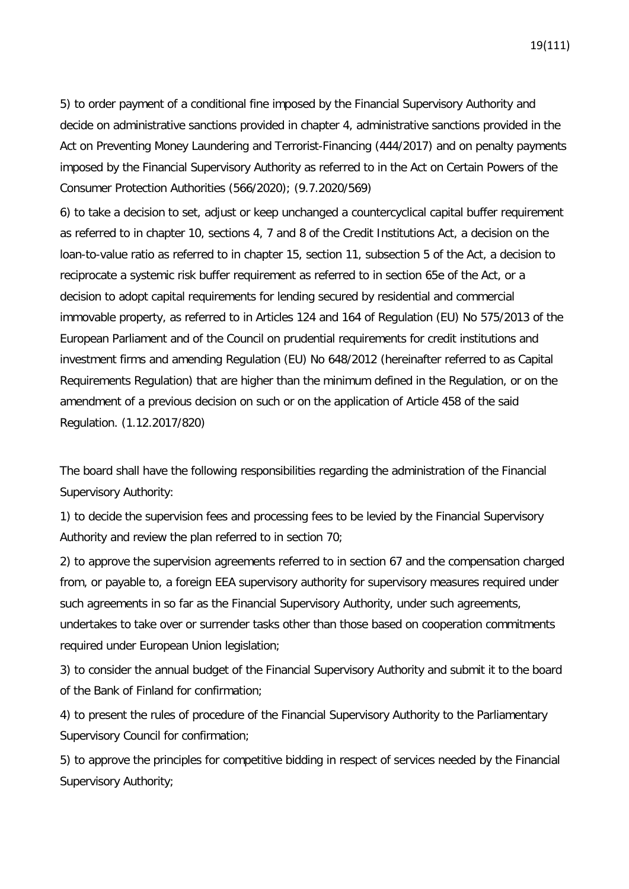5) to order payment of a conditional fine imposed by the Financial Supervisory Authority and decide on administrative sanctions provided in chapter 4, administrative sanctions provided in the Act on Preventing Money Laundering and Terrorist-Financing (444/2017) and on penalty payments imposed by the Financial Supervisory Authority as referred to in the Act on Certain Powers of the Consumer Protection Authorities (566/2020); (9.7.2020/569)

6) to take a decision to set, adjust or keep unchanged a countercyclical capital buffer requirement as referred to in chapter 10, sections 4, 7 and 8 of the Credit Institutions Act, a decision on the loan-to-value ratio as referred to in chapter 15, section 11, subsection 5 of the Act, a decision to reciprocate a systemic risk buffer requirement as referred to in section 65e of the Act, or a decision to adopt capital requirements for lending secured by residential and commercial immovable property, as referred to in Articles 124 and 164 of Regulation (EU) No 575/2013 of the European Parliament and of the Council on prudential requirements for credit institutions and investment firms and amending Regulation (EU) No 648/2012 (hereinafter referred to as Capital Requirements Regulation) that are higher than the minimum defined in the Regulation, or on the amendment of a previous decision on such or on the application of Article 458 of the said Regulation. (1.12.2017/820)

The board shall have the following responsibilities regarding the administration of the Financial Supervisory Authority:

1) to decide the supervision fees and processing fees to be levied by the Financial Supervisory Authority and review the plan referred to in section 70;

2) to approve the supervision agreements referred to in section 67 and the compensation charged from, or payable to, a foreign EEA supervisory authority for supervisory measures required under such agreements in so far as the Financial Supervisory Authority, under such agreements, undertakes to take over or surrender tasks other than those based on cooperation commitments required under European Union legislation;

3) to consider the annual budget of the Financial Supervisory Authority and submit it to the board of the Bank of Finland for confirmation;

4) to present the rules of procedure of the Financial Supervisory Authority to the Parliamentary Supervisory Council for confirmation;

5) to approve the principles for competitive bidding in respect of services needed by the Financial Supervisory Authority;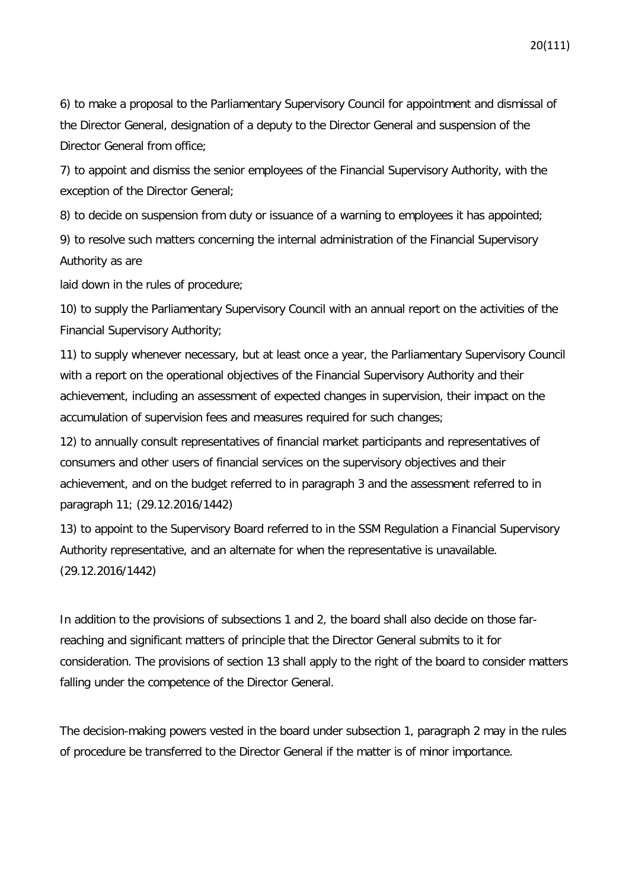6) to make a proposal to the Parliamentary Supervisory Council for appointment and dismissal of the Director General, designation of a deputy to the Director General and suspension of the Director General from office;

7) to appoint and dismiss the senior employees of the Financial Supervisory Authority, with the exception of the Director General;

8) to decide on suspension from duty or issuance of a warning to employees it has appointed;

9) to resolve such matters concerning the internal administration of the Financial Supervisory Authority as are

laid down in the rules of procedure;

10) to supply the Parliamentary Supervisory Council with an annual report on the activities of the Financial Supervisory Authority;

11) to supply whenever necessary, but at least once a year, the Parliamentary Supervisory Council with a report on the operational objectives of the Financial Supervisory Authority and their achievement, including an assessment of expected changes in supervision, their impact on the accumulation of supervision fees and measures required for such changes;

12) to annually consult representatives of financial market participants and representatives of consumers and other users of financial services on the supervisory objectives and their achievement, and on the budget referred to in paragraph 3 and the assessment referred to in paragraph 11; (29.12.2016/1442)

13) to appoint to the Supervisory Board referred to in the SSM Regulation a Financial Supervisory Authority representative, and an alternate for when the representative is unavailable. (29.12.2016/1442)

In addition to the provisions of subsections 1 and 2, the board shall also decide on those farreaching and significant matters of principle that the Director General submits to it for consideration. The provisions of section 13 shall apply to the right of the board to consider matters falling under the competence of the Director General.

The decision-making powers vested in the board under subsection 1, paragraph 2 may in the rules of procedure be transferred to the Director General if the matter is of minor importance.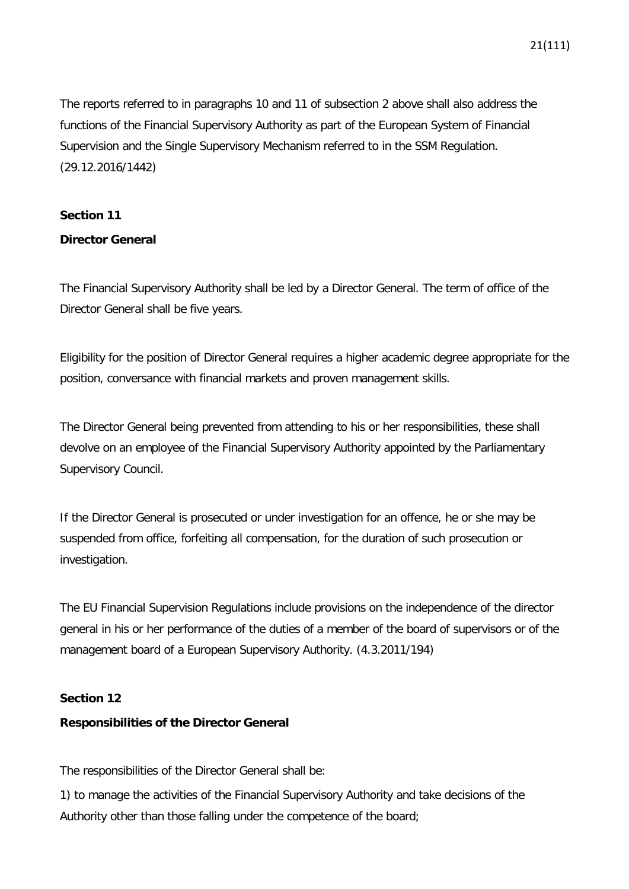The reports referred to in paragraphs 10 and 11 of subsection 2 above shall also address the functions of the Financial Supervisory Authority as part of the European System of Financial Supervision and the Single Supervisory Mechanism referred to in the SSM Regulation. (29.12.2016/1442)

## **Section 11**

## **Director General**

The Financial Supervisory Authority shall be led by a Director General. The term of office of the Director General shall be five years.

Eligibility for the position of Director General requires a higher academic degree appropriate for the position, conversance with financial markets and proven management skills.

The Director General being prevented from attending to his or her responsibilities, these shall devolve on an employee of the Financial Supervisory Authority appointed by the Parliamentary Supervisory Council.

If the Director General is prosecuted or under investigation for an offence, he or she may be suspended from office, forfeiting all compensation, for the duration of such prosecution or investigation.

The EU Financial Supervision Regulations include provisions on the independence of the director general in his or her performance of the duties of a member of the board of supervisors or of the management board of a European Supervisory Authority. (4.3.2011/194)

## **Section 12**

## **Responsibilities of the Director General**

The responsibilities of the Director General shall be:

1) to manage the activities of the Financial Supervisory Authority and take decisions of the Authority other than those falling under the competence of the board;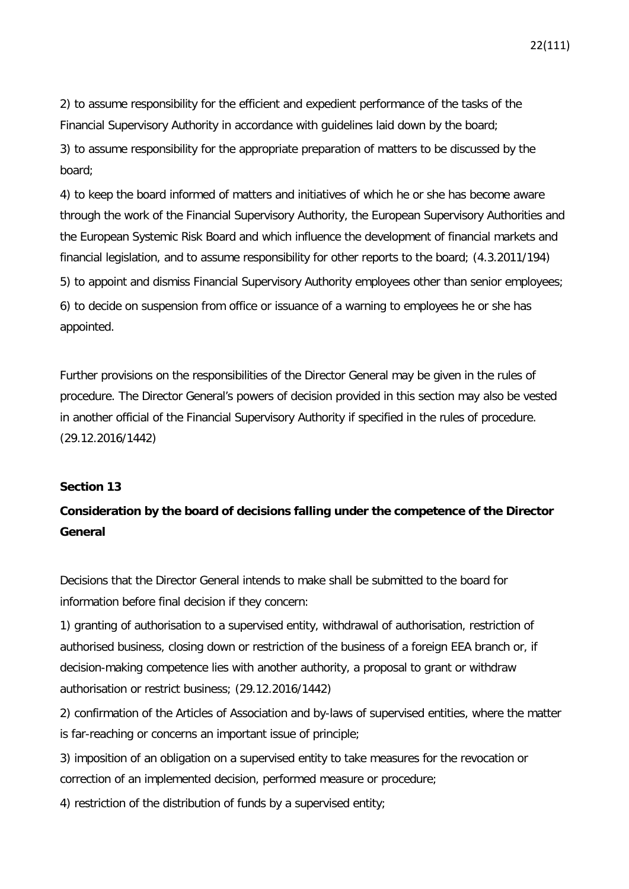2) to assume responsibility for the efficient and expedient performance of the tasks of the Financial Supervisory Authority in accordance with guidelines laid down by the board;

3) to assume responsibility for the appropriate preparation of matters to be discussed by the board;

4) to keep the board informed of matters and initiatives of which he or she has become aware through the work of the Financial Supervisory Authority, the European Supervisory Authorities and the European Systemic Risk Board and which influence the development of financial markets and financial legislation, and to assume responsibility for other reports to the board; (4.3.2011/194) 5) to appoint and dismiss Financial Supervisory Authority employees other than senior employees; 6) to decide on suspension from office or issuance of a warning to employees he or she has appointed.

Further provisions on the responsibilities of the Director General may be given in the rules of procedure. The Director General's powers of decision provided in this section may also be vested in another official of the Financial Supervisory Authority if specified in the rules of procedure. (29.12.2016/1442)

#### **Section 13**

## **Consideration by the board of decisions falling under the competence of the Director General**

Decisions that the Director General intends to make shall be submitted to the board for information before final decision if they concern:

1) granting of authorisation to a supervised entity, withdrawal of authorisation, restriction of authorised business, closing down or restriction of the business of a foreign EEA branch or, if decision-making competence lies with another authority, a proposal to grant or withdraw authorisation or restrict business; (29.12.2016/1442)

2) confirmation of the Articles of Association and by-laws of supervised entities, where the matter is far-reaching or concerns an important issue of principle;

3) imposition of an obligation on a supervised entity to take measures for the revocation or correction of an implemented decision, performed measure or procedure;

4) restriction of the distribution of funds by a supervised entity;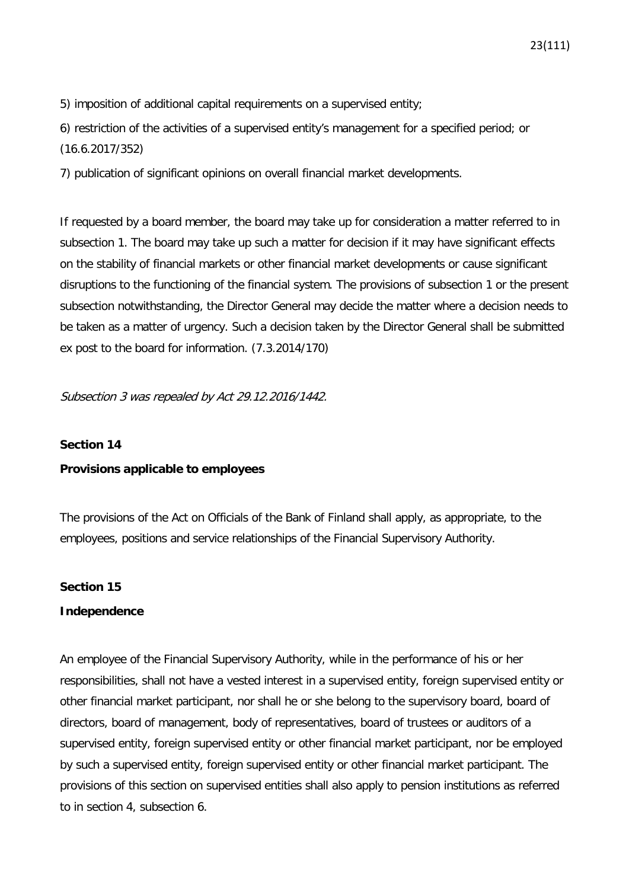5) imposition of additional capital requirements on a supervised entity;

6) restriction of the activities of a supervised entity's management for a specified period; or (16.6.2017/352)

7) publication of significant opinions on overall financial market developments.

If requested by a board member, the board may take up for consideration a matter referred to in subsection 1. The board may take up such a matter for decision if it may have significant effects on the stability of financial markets or other financial market developments or cause significant disruptions to the functioning of the financial system. The provisions of subsection 1 or the present subsection notwithstanding, the Director General may decide the matter where a decision needs to be taken as a matter of urgency. Such a decision taken by the Director General shall be submitted ex post to the board for information. (7.3.2014/170)

Subsection 3 was repealed by Act 29.12.2016/1442.

#### **Section 14**

#### **Provisions applicable to employees**

The provisions of the Act on Officials of the Bank of Finland shall apply, as appropriate, to the employees, positions and service relationships of the Financial Supervisory Authority.

#### **Section 15**

#### **Independence**

An employee of the Financial Supervisory Authority, while in the performance of his or her responsibilities, shall not have a vested interest in a supervised entity, foreign supervised entity or other financial market participant, nor shall he or she belong to the supervisory board, board of directors, board of management, body of representatives, board of trustees or auditors of a supervised entity, foreign supervised entity or other financial market participant, nor be employed by such a supervised entity, foreign supervised entity or other financial market participant. The provisions of this section on supervised entities shall also apply to pension institutions as referred to in section 4, subsection 6.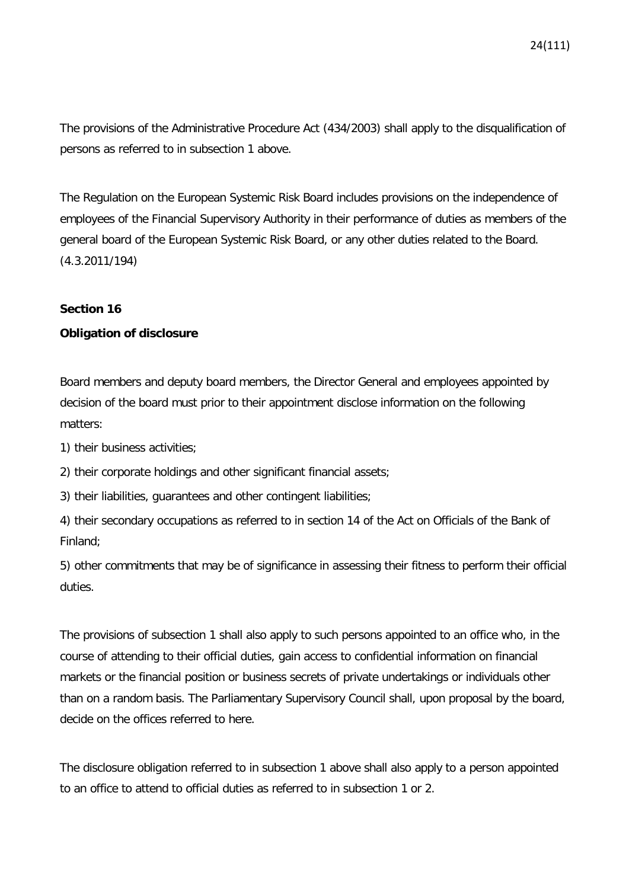The provisions of the Administrative Procedure Act (434/2003) shall apply to the disqualification of persons as referred to in subsection 1 above.

The Regulation on the European Systemic Risk Board includes provisions on the independence of employees of the Financial Supervisory Authority in their performance of duties as members of the general board of the European Systemic Risk Board, or any other duties related to the Board. (4.3.2011/194)

### **Section 16**

#### **Obligation of disclosure**

Board members and deputy board members, the Director General and employees appointed by decision of the board must prior to their appointment disclose information on the following matters:

- 1) their business activities;
- 2) their corporate holdings and other significant financial assets;
- 3) their liabilities, guarantees and other contingent liabilities;

4) their secondary occupations as referred to in section 14 of the Act on Officials of the Bank of Finland;

5) other commitments that may be of significance in assessing their fitness to perform their official duties.

The provisions of subsection 1 shall also apply to such persons appointed to an office who, in the course of attending to their official duties, gain access to confidential information on financial markets or the financial position or business secrets of private undertakings or individuals other than on a random basis. The Parliamentary Supervisory Council shall, upon proposal by the board, decide on the offices referred to here.

The disclosure obligation referred to in subsection 1 above shall also apply to a person appointed to an office to attend to official duties as referred to in subsection 1 or 2.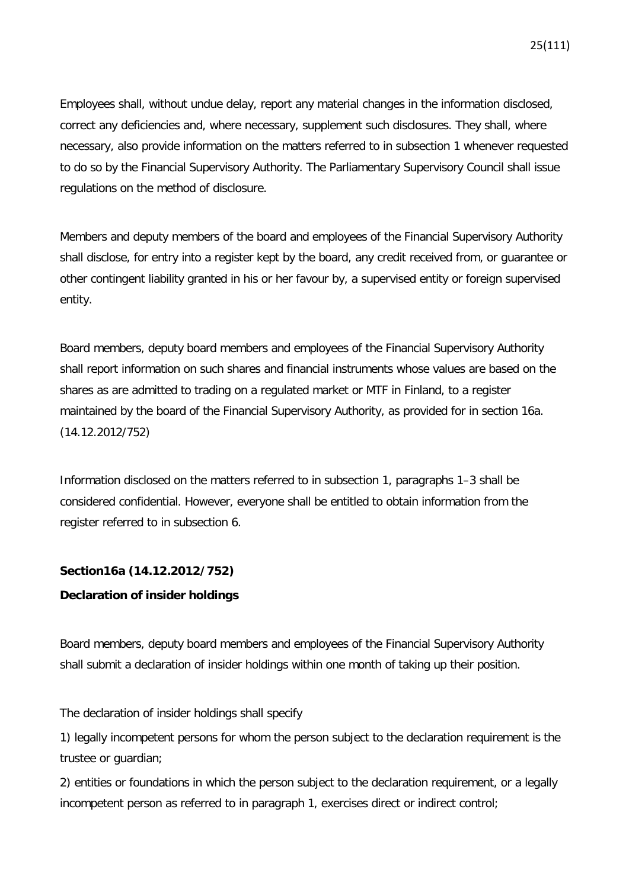Employees shall, without undue delay, report any material changes in the information disclosed, correct any deficiencies and, where necessary, supplement such disclosures. They shall, where necessary, also provide information on the matters referred to in subsection 1 whenever requested to do so by the Financial Supervisory Authority. The Parliamentary Supervisory Council shall issue regulations on the method of disclosure.

Members and deputy members of the board and employees of the Financial Supervisory Authority shall disclose, for entry into a register kept by the board, any credit received from, or guarantee or other contingent liability granted in his or her favour by, a supervised entity or foreign supervised entity.

Board members, deputy board members and employees of the Financial Supervisory Authority shall report information on such shares and financial instruments whose values are based on the shares as are admitted to trading on a regulated market or MTF in Finland, to a register maintained by the board of the Financial Supervisory Authority, as provided for in section 16a. (14.12.2012/752)

Information disclosed on the matters referred to in subsection 1, paragraphs 1–3 shall be considered confidential. However, everyone shall be entitled to obtain information from the register referred to in subsection 6.

# **Section16a (14.12.2012/752)**

## **Declaration of insider holdings**

Board members, deputy board members and employees of the Financial Supervisory Authority shall submit a declaration of insider holdings within one month of taking up their position.

The declaration of insider holdings shall specify

1) legally incompetent persons for whom the person subject to the declaration requirement is the trustee or guardian;

2) entities or foundations in which the person subject to the declaration requirement, or a legally incompetent person as referred to in paragraph 1, exercises direct or indirect control;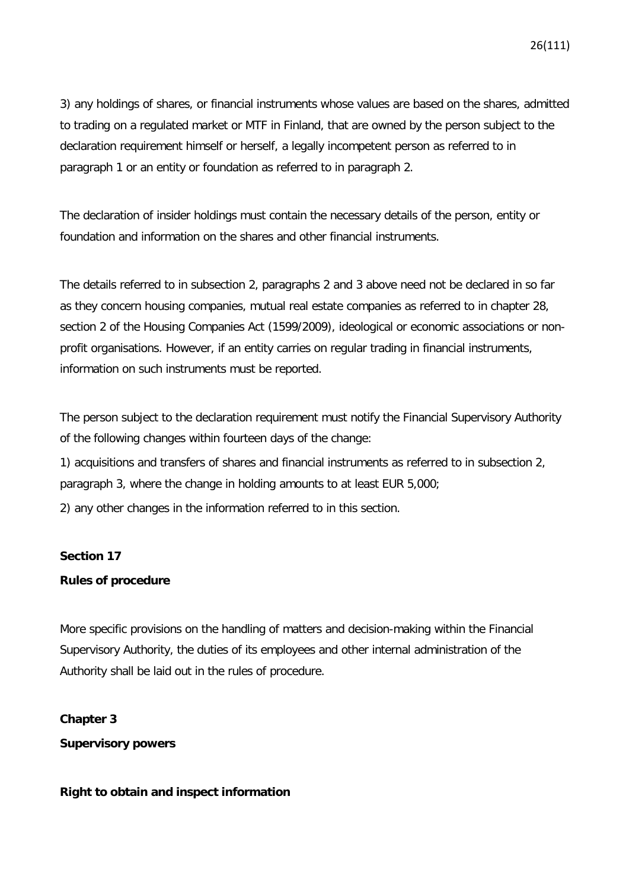3) any holdings of shares, or financial instruments whose values are based on the shares, admitted to trading on a regulated market or MTF in Finland, that are owned by the person subject to the declaration requirement himself or herself, a legally incompetent person as referred to in paragraph 1 or an entity or foundation as referred to in paragraph 2.

The declaration of insider holdings must contain the necessary details of the person, entity or foundation and information on the shares and other financial instruments.

The details referred to in subsection 2, paragraphs 2 and 3 above need not be declared in so far as they concern housing companies, mutual real estate companies as referred to in chapter 28, section 2 of the Housing Companies Act (1599/2009), ideological or economic associations or nonprofit organisations. However, if an entity carries on regular trading in financial instruments, information on such instruments must be reported.

The person subject to the declaration requirement must notify the Financial Supervisory Authority of the following changes within fourteen days of the change:

1) acquisitions and transfers of shares and financial instruments as referred to in subsection 2, paragraph 3, where the change in holding amounts to at least EUR 5,000;

2) any other changes in the information referred to in this section.

## **Section 17**

## **Rules of procedure**

More specific provisions on the handling of matters and decision-making within the Financial Supervisory Authority, the duties of its employees and other internal administration of the Authority shall be laid out in the rules of procedure.

## **Chapter 3**

**Supervisory powers**

## **Right to obtain and inspect information**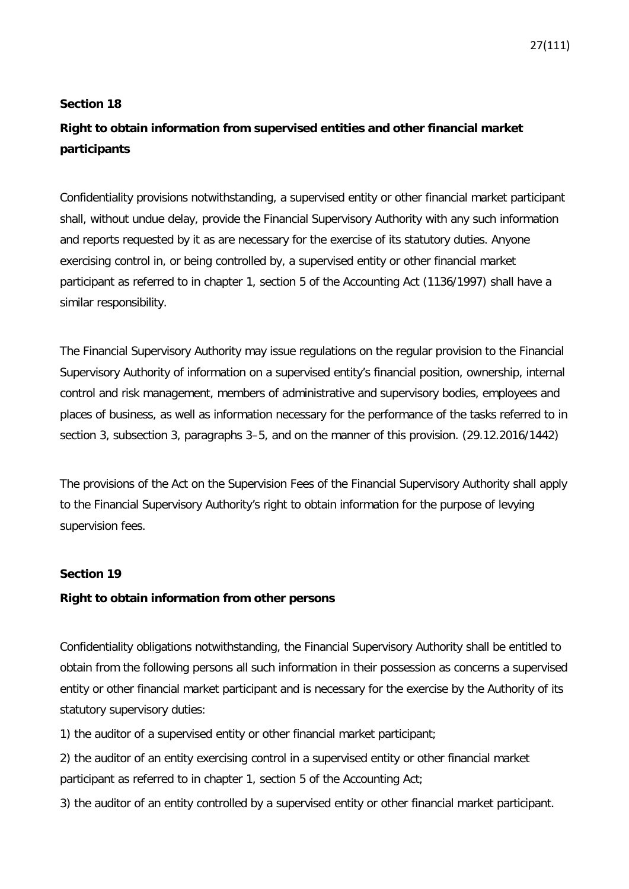### **Section 18**

## **Right to obtain information from supervised entities and other financial market participants**

Confidentiality provisions notwithstanding, a supervised entity or other financial market participant shall, without undue delay, provide the Financial Supervisory Authority with any such information and reports requested by it as are necessary for the exercise of its statutory duties. Anyone exercising control in, or being controlled by, a supervised entity or other financial market participant as referred to in chapter 1, section 5 of the Accounting Act (1136/1997) shall have a similar responsibility.

The Financial Supervisory Authority may issue regulations on the regular provision to the Financial Supervisory Authority of information on a supervised entity's financial position, ownership, internal control and risk management, members of administrative and supervisory bodies, employees and places of business, as well as information necessary for the performance of the tasks referred to in section 3, subsection 3, paragraphs 3–5, and on the manner of this provision. (29.12.2016/1442)

The provisions of the Act on the Supervision Fees of the Financial Supervisory Authority shall apply to the Financial Supervisory Authority's right to obtain information for the purpose of levying supervision fees.

#### **Section 19**

#### **Right to obtain information from other persons**

Confidentiality obligations notwithstanding, the Financial Supervisory Authority shall be entitled to obtain from the following persons all such information in their possession as concerns a supervised entity or other financial market participant and is necessary for the exercise by the Authority of its statutory supervisory duties:

1) the auditor of a supervised entity or other financial market participant;

2) the auditor of an entity exercising control in a supervised entity or other financial market participant as referred to in chapter 1, section 5 of the Accounting Act;

3) the auditor of an entity controlled by a supervised entity or other financial market participant.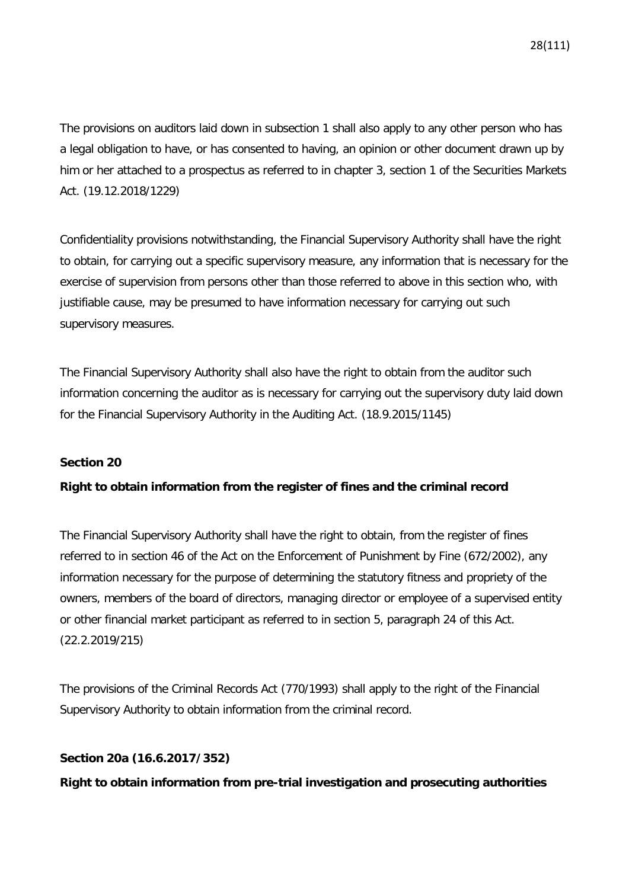The provisions on auditors laid down in subsection 1 shall also apply to any other person who has a legal obligation to have, or has consented to having, an opinion or other document drawn up by him or her attached to a prospectus as referred to in chapter 3, section 1 of the Securities Markets Act. (19.12.2018/1229)

Confidentiality provisions notwithstanding, the Financial Supervisory Authority shall have the right to obtain, for carrying out a specific supervisory measure, any information that is necessary for the exercise of supervision from persons other than those referred to above in this section who, with justifiable cause, may be presumed to have information necessary for carrying out such supervisory measures.

The Financial Supervisory Authority shall also have the right to obtain from the auditor such information concerning the auditor as is necessary for carrying out the supervisory duty laid down for the Financial Supervisory Authority in the Auditing Act. (18.9.2015/1145)

#### **Section 20**

## **Right to obtain information from the register of fines and the criminal record**

The Financial Supervisory Authority shall have the right to obtain, from the register of fines referred to in section 46 of the Act on the Enforcement of Punishment by Fine (672/2002), any information necessary for the purpose of determining the statutory fitness and propriety of the owners, members of the board of directors, managing director or employee of a supervised entity or other financial market participant as referred to in section 5, paragraph 24 of this Act. (22.2.2019/215)

The provisions of the Criminal Records Act (770/1993) shall apply to the right of the Financial Supervisory Authority to obtain information from the criminal record.

## **Section 20a (16.6.2017/352)**

## **Right to obtain information from pre-trial investigation and prosecuting authorities**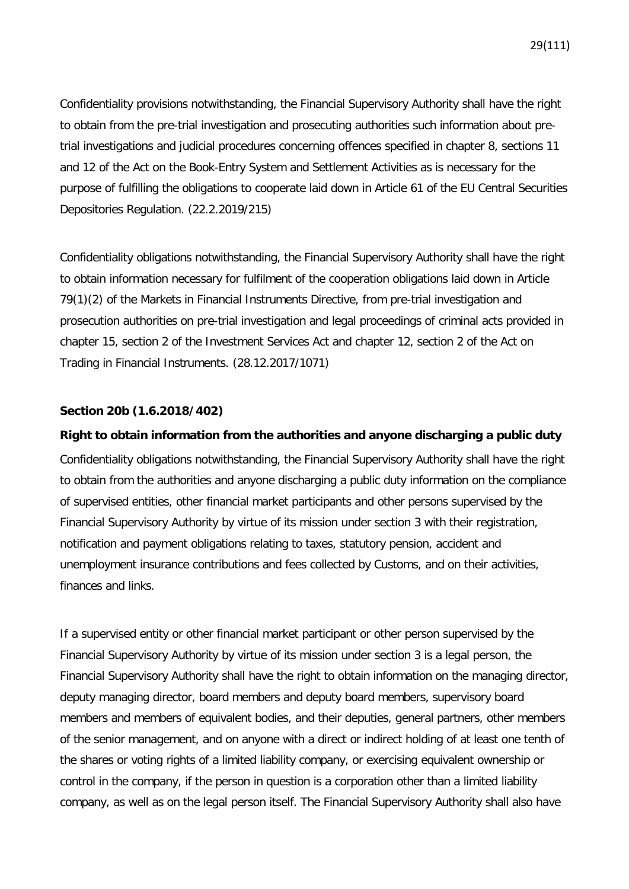Confidentiality provisions notwithstanding, the Financial Supervisory Authority shall have the right to obtain from the pre-trial investigation and prosecuting authorities such information about pretrial investigations and judicial procedures concerning offences specified in chapter 8, sections 11 and 12 of the Act on the Book-Entry System and Settlement Activities as is necessary for the purpose of fulfilling the obligations to cooperate laid down in Article 61 of the EU Central Securities Depositories Regulation. (22.2.2019/215)

Confidentiality obligations notwithstanding, the Financial Supervisory Authority shall have the right to obtain information necessary for fulfilment of the cooperation obligations laid down in Article 79(1)(2) of the Markets in Financial Instruments Directive, from pre-trial investigation and prosecution authorities on pre-trial investigation and legal proceedings of criminal acts provided in chapter 15, section 2 of the Investment Services Act and chapter 12, section 2 of the Act on Trading in Financial Instruments. (28.12.2017/1071)

#### **Section 20b (1.6.2018/402)**

#### **Right to obtain information from the authorities and anyone discharging a public duty**

Confidentiality obligations notwithstanding, the Financial Supervisory Authority shall have the right to obtain from the authorities and anyone discharging a public duty information on the compliance of supervised entities, other financial market participants and other persons supervised by the Financial Supervisory Authority by virtue of its mission under section 3 with their registration, notification and payment obligations relating to taxes, statutory pension, accident and unemployment insurance contributions and fees collected by Customs, and on their activities, finances and links.

If a supervised entity or other financial market participant or other person supervised by the Financial Supervisory Authority by virtue of its mission under section 3 is a legal person, the Financial Supervisory Authority shall have the right to obtain information on the managing director, deputy managing director, board members and deputy board members, supervisory board members and members of equivalent bodies, and their deputies, general partners, other members of the senior management, and on anyone with a direct or indirect holding of at least one tenth of the shares or voting rights of a limited liability company, or exercising equivalent ownership or control in the company, if the person in question is a corporation other than a limited liability company, as well as on the legal person itself. The Financial Supervisory Authority shall also have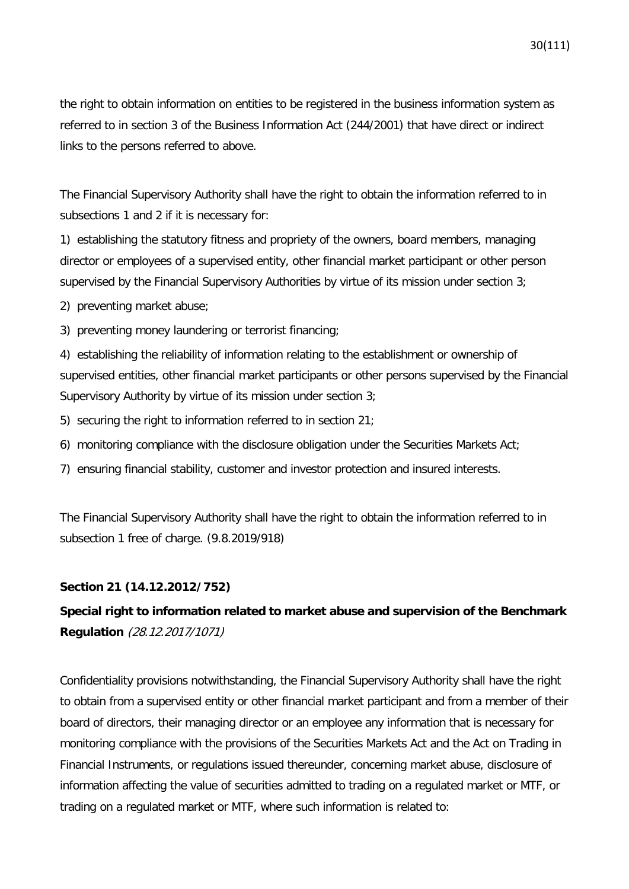the right to obtain information on entities to be registered in the business information system as referred to in section 3 of the Business Information Act (244/2001) that have direct or indirect links to the persons referred to above.

The Financial Supervisory Authority shall have the right to obtain the information referred to in subsections 1 and 2 if it is necessary for:

1) establishing the statutory fitness and propriety of the owners, board members, managing director or employees of a supervised entity, other financial market participant or other person supervised by the Financial Supervisory Authorities by virtue of its mission under section 3;

2) preventing market abuse;

3) preventing money laundering or terrorist financing;

4) establishing the reliability of information relating to the establishment or ownership of supervised entities, other financial market participants or other persons supervised by the Financial Supervisory Authority by virtue of its mission under section 3;

5) securing the right to information referred to in section 21;

6) monitoring compliance with the disclosure obligation under the Securities Markets Act;

7) ensuring financial stability, customer and investor protection and insured interests.

The Financial Supervisory Authority shall have the right to obtain the information referred to in subsection 1 free of charge. (9.8.2019/918)

#### **Section 21 (14.12.2012/752)**

## **Special right to information related to market abuse and supervision of the Benchmark Regulation** (28.12.2017/1071)

Confidentiality provisions notwithstanding, the Financial Supervisory Authority shall have the right to obtain from a supervised entity or other financial market participant and from a member of their board of directors, their managing director or an employee any information that is necessary for monitoring compliance with the provisions of the Securities Markets Act and the Act on Trading in Financial Instruments, or regulations issued thereunder, concerning market abuse, disclosure of information affecting the value of securities admitted to trading on a regulated market or MTF, or trading on a regulated market or MTF, where such information is related to: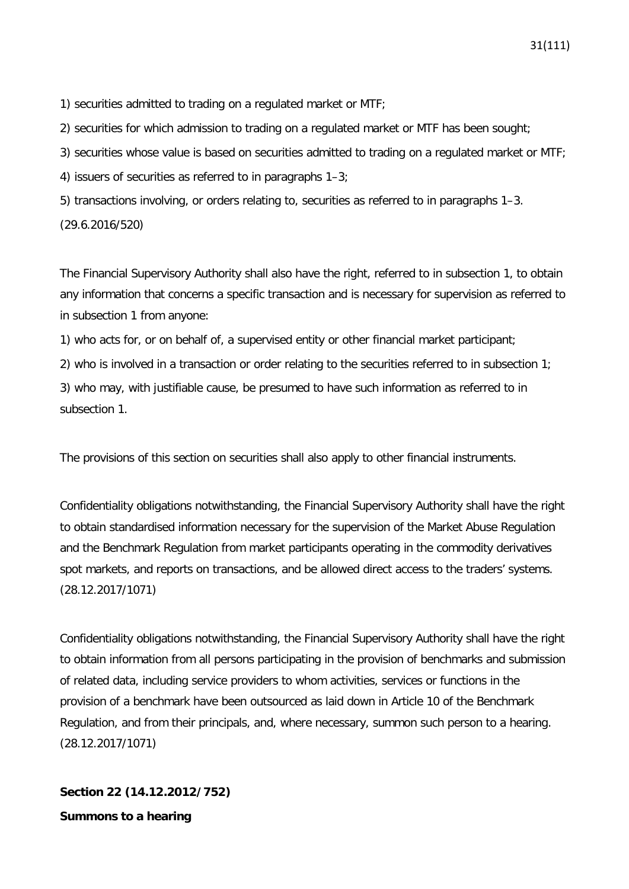1) securities admitted to trading on a regulated market or MTF;

2) securities for which admission to trading on a regulated market or MTF has been sought;

3) securities whose value is based on securities admitted to trading on a regulated market or MTF;

4) issuers of securities as referred to in paragraphs 1–3;

5) transactions involving, or orders relating to, securities as referred to in paragraphs 1–3.

(29.6.2016/520)

The Financial Supervisory Authority shall also have the right, referred to in subsection 1, to obtain any information that concerns a specific transaction and is necessary for supervision as referred to in subsection 1 from anyone:

1) who acts for, or on behalf of, a supervised entity or other financial market participant;

2) who is involved in a transaction or order relating to the securities referred to in subsection 1;

3) who may, with justifiable cause, be presumed to have such information as referred to in subsection 1.

The provisions of this section on securities shall also apply to other financial instruments.

Confidentiality obligations notwithstanding, the Financial Supervisory Authority shall have the right to obtain standardised information necessary for the supervision of the Market Abuse Regulation and the Benchmark Regulation from market participants operating in the commodity derivatives spot markets, and reports on transactions, and be allowed direct access to the traders' systems. (28.12.2017/1071)

Confidentiality obligations notwithstanding, the Financial Supervisory Authority shall have the right to obtain information from all persons participating in the provision of benchmarks and submission of related data, including service providers to whom activities, services or functions in the provision of a benchmark have been outsourced as laid down in Article 10 of the Benchmark Regulation, and from their principals, and, where necessary, summon such person to a hearing. (28.12.2017/1071)

**Section 22 (14.12.2012/752) Summons to a hearing**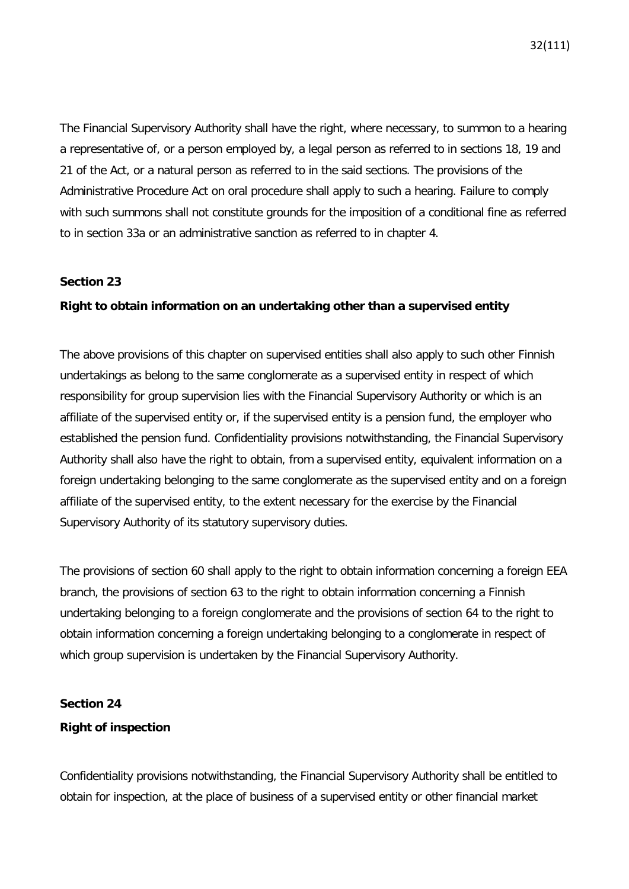The Financial Supervisory Authority shall have the right, where necessary, to summon to a hearing a representative of, or a person employed by, a legal person as referred to in sections 18, 19 and 21 of the Act, or a natural person as referred to in the said sections. The provisions of the Administrative Procedure Act on oral procedure shall apply to such a hearing. Failure to comply with such summons shall not constitute grounds for the imposition of a conditional fine as referred to in section 33a or an administrative sanction as referred to in chapter 4.

#### **Section 23**

#### **Right to obtain information on an undertaking other than a supervised entity**

The above provisions of this chapter on supervised entities shall also apply to such other Finnish undertakings as belong to the same conglomerate as a supervised entity in respect of which responsibility for group supervision lies with the Financial Supervisory Authority or which is an affiliate of the supervised entity or, if the supervised entity is a pension fund, the employer who established the pension fund. Confidentiality provisions notwithstanding, the Financial Supervisory Authority shall also have the right to obtain, from a supervised entity, equivalent information on a foreign undertaking belonging to the same conglomerate as the supervised entity and on a foreign affiliate of the supervised entity, to the extent necessary for the exercise by the Financial Supervisory Authority of its statutory supervisory duties.

The provisions of section 60 shall apply to the right to obtain information concerning a foreign EEA branch, the provisions of section 63 to the right to obtain information concerning a Finnish undertaking belonging to a foreign conglomerate and the provisions of section 64 to the right to obtain information concerning a foreign undertaking belonging to a conglomerate in respect of which group supervision is undertaken by the Financial Supervisory Authority.

#### **Section 24**

## **Right of inspection**

Confidentiality provisions notwithstanding, the Financial Supervisory Authority shall be entitled to obtain for inspection, at the place of business of a supervised entity or other financial market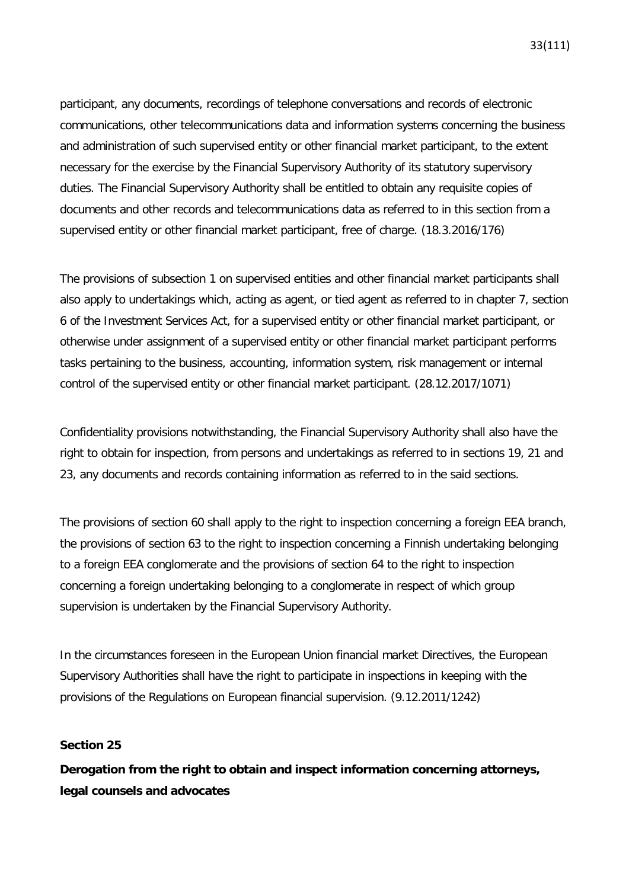participant, any documents, recordings of telephone conversations and records of electronic communications, other telecommunications data and information systems concerning the business and administration of such supervised entity or other financial market participant, to the extent necessary for the exercise by the Financial Supervisory Authority of its statutory supervisory duties. The Financial Supervisory Authority shall be entitled to obtain any requisite copies of documents and other records and telecommunications data as referred to in this section from a supervised entity or other financial market participant, free of charge. (18.3.2016/176)

The provisions of subsection 1 on supervised entities and other financial market participants shall also apply to undertakings which, acting as agent, or tied agent as referred to in chapter 7, section 6 of the Investment Services Act, for a supervised entity or other financial market participant, or otherwise under assignment of a supervised entity or other financial market participant performs tasks pertaining to the business, accounting, information system, risk management or internal control of the supervised entity or other financial market participant. (28.12.2017/1071)

Confidentiality provisions notwithstanding, the Financial Supervisory Authority shall also have the right to obtain for inspection, from persons and undertakings as referred to in sections 19, 21 and 23, any documents and records containing information as referred to in the said sections.

The provisions of section 60 shall apply to the right to inspection concerning a foreign EEA branch, the provisions of section 63 to the right to inspection concerning a Finnish undertaking belonging to a foreign EEA conglomerate and the provisions of section 64 to the right to inspection concerning a foreign undertaking belonging to a conglomerate in respect of which group supervision is undertaken by the Financial Supervisory Authority.

In the circumstances foreseen in the European Union financial market Directives, the European Supervisory Authorities shall have the right to participate in inspections in keeping with the provisions of the Regulations on European financial supervision. (9.12.2011/1242)

#### **Section 25**

**Derogation from the right to obtain and inspect information concerning attorneys, legal counsels and advocates**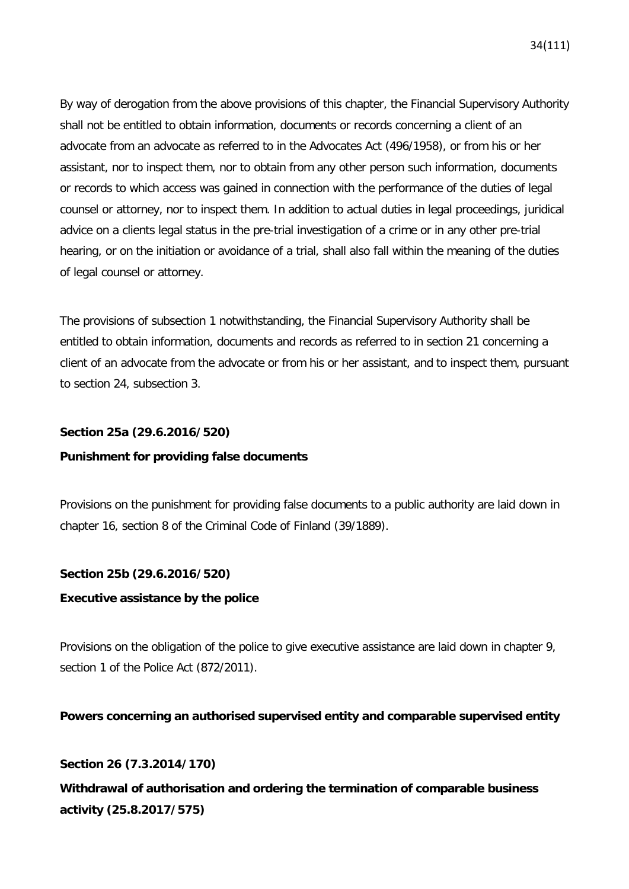By way of derogation from the above provisions of this chapter, the Financial Supervisory Authority shall not be entitled to obtain information, documents or records concerning a client of an advocate from an advocate as referred to in the Advocates Act (496/1958), or from his or her assistant, nor to inspect them, nor to obtain from any other person such information, documents or records to which access was gained in connection with the performance of the duties of legal counsel or attorney, nor to inspect them. In addition to actual duties in legal proceedings, juridical advice on a clients legal status in the pre-trial investigation of a crime or in any other pre-trial hearing, or on the initiation or avoidance of a trial, shall also fall within the meaning of the duties of legal counsel or attorney.

The provisions of subsection 1 notwithstanding, the Financial Supervisory Authority shall be entitled to obtain information, documents and records as referred to in section 21 concerning a client of an advocate from the advocate or from his or her assistant, and to inspect them, pursuant to section 24, subsection 3.

#### **Section 25a (29.6.2016/520)**

#### **Punishment for providing false documents**

Provisions on the punishment for providing false documents to a public authority are laid down in chapter 16, section 8 of the Criminal Code of Finland (39/1889).

#### **Section 25b (29.6.2016/520)**

#### **Executive assistance by the police**

Provisions on the obligation of the police to give executive assistance are laid down in chapter 9, section 1 of the Police Act (872/2011).

#### **Powers concerning an authorised supervised entity and comparable supervised entity**

#### **Section 26 (7.3.2014/170)**

**Withdrawal of authorisation and ordering the termination of comparable business activity (25.8.2017/575)**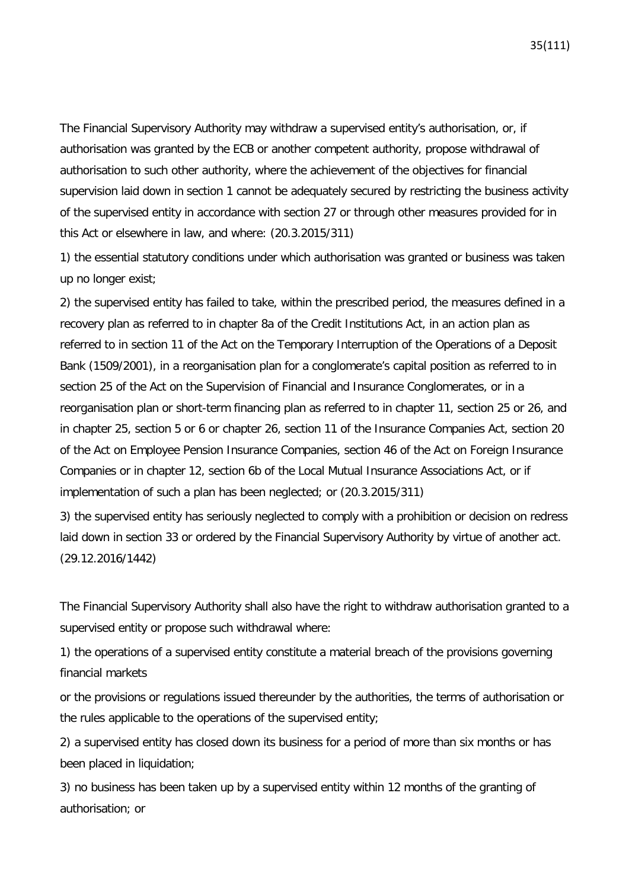The Financial Supervisory Authority may withdraw a supervised entity's authorisation, or, if authorisation was granted by the ECB or another competent authority, propose withdrawal of authorisation to such other authority, where the achievement of the objectives for financial supervision laid down in section 1 cannot be adequately secured by restricting the business activity of the supervised entity in accordance with section 27 or through other measures provided for in this Act or elsewhere in law, and where: (20.3.2015/311)

1) the essential statutory conditions under which authorisation was granted or business was taken up no longer exist;

2) the supervised entity has failed to take, within the prescribed period, the measures defined in a recovery plan as referred to in chapter 8a of the Credit Institutions Act, in an action plan as referred to in section 11 of the Act on the Temporary Interruption of the Operations of a Deposit Bank (1509/2001), in a reorganisation plan for a conglomerate's capital position as referred to in section 25 of the Act on the Supervision of Financial and Insurance Conglomerates, or in a reorganisation plan or short-term financing plan as referred to in chapter 11, section 25 or 26, and in chapter 25, section 5 or 6 or chapter 26, section 11 of the Insurance Companies Act, section 20 of the Act on Employee Pension Insurance Companies, section 46 of the Act on Foreign Insurance Companies or in chapter 12, section 6b of the Local Mutual Insurance Associations Act, or if implementation of such a plan has been neglected; or (20.3.2015/311)

3) the supervised entity has seriously neglected to comply with a prohibition or decision on redress laid down in section 33 or ordered by the Financial Supervisory Authority by virtue of another act. (29.12.2016/1442)

The Financial Supervisory Authority shall also have the right to withdraw authorisation granted to a supervised entity or propose such withdrawal where:

1) the operations of a supervised entity constitute a material breach of the provisions governing financial markets

or the provisions or regulations issued thereunder by the authorities, the terms of authorisation or the rules applicable to the operations of the supervised entity;

2) a supervised entity has closed down its business for a period of more than six months or has been placed in liquidation;

3) no business has been taken up by a supervised entity within 12 months of the granting of authorisation; or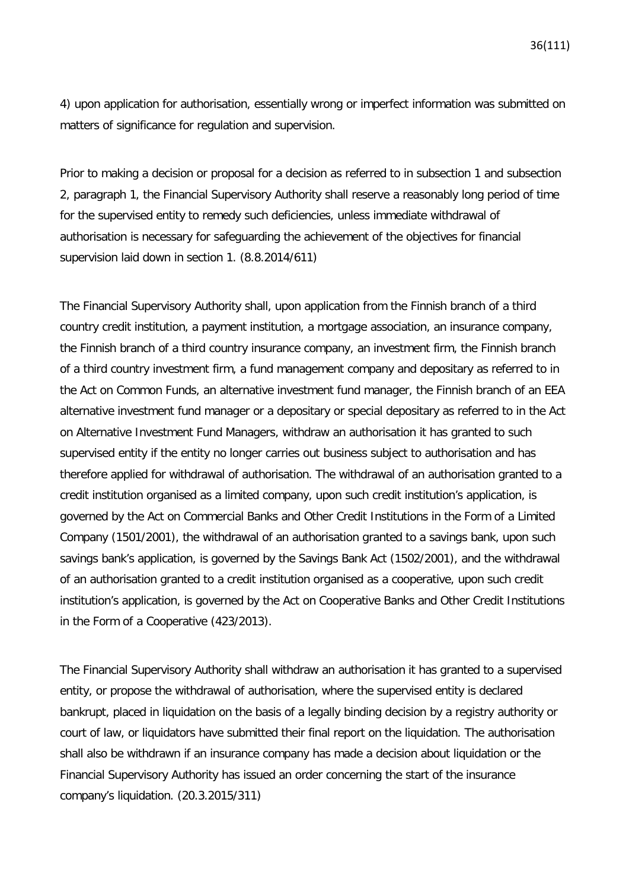4) upon application for authorisation, essentially wrong or imperfect information was submitted on matters of significance for regulation and supervision.

Prior to making a decision or proposal for a decision as referred to in subsection 1 and subsection 2, paragraph 1, the Financial Supervisory Authority shall reserve a reasonably long period of time for the supervised entity to remedy such deficiencies, unless immediate withdrawal of authorisation is necessary for safeguarding the achievement of the objectives for financial supervision laid down in section 1. (8.8.2014/611)

The Financial Supervisory Authority shall, upon application from the Finnish branch of a third country credit institution, a payment institution, a mortgage association, an insurance company, the Finnish branch of a third country insurance company, an investment firm, the Finnish branch of a third country investment firm, a fund management company and depositary as referred to in the Act on Common Funds, an alternative investment fund manager, the Finnish branch of an EEA alternative investment fund manager or a depositary or special depositary as referred to in the Act on Alternative Investment Fund Managers, withdraw an authorisation it has granted to such supervised entity if the entity no longer carries out business subject to authorisation and has therefore applied for withdrawal of authorisation. The withdrawal of an authorisation granted to a credit institution organised as a limited company, upon such credit institution's application, is governed by the Act on Commercial Banks and Other Credit Institutions in the Form of a Limited Company (1501/2001), the withdrawal of an authorisation granted to a savings bank, upon such savings bank's application, is governed by the Savings Bank Act (1502/2001), and the withdrawal of an authorisation granted to a credit institution organised as a cooperative, upon such credit institution's application, is governed by the Act on Cooperative Banks and Other Credit Institutions in the Form of a Cooperative (423/2013).

The Financial Supervisory Authority shall withdraw an authorisation it has granted to a supervised entity, or propose the withdrawal of authorisation, where the supervised entity is declared bankrupt, placed in liquidation on the basis of a legally binding decision by a registry authority or court of law, or liquidators have submitted their final report on the liquidation. The authorisation shall also be withdrawn if an insurance company has made a decision about liquidation or the Financial Supervisory Authority has issued an order concerning the start of the insurance company's liquidation. (20.3.2015/311)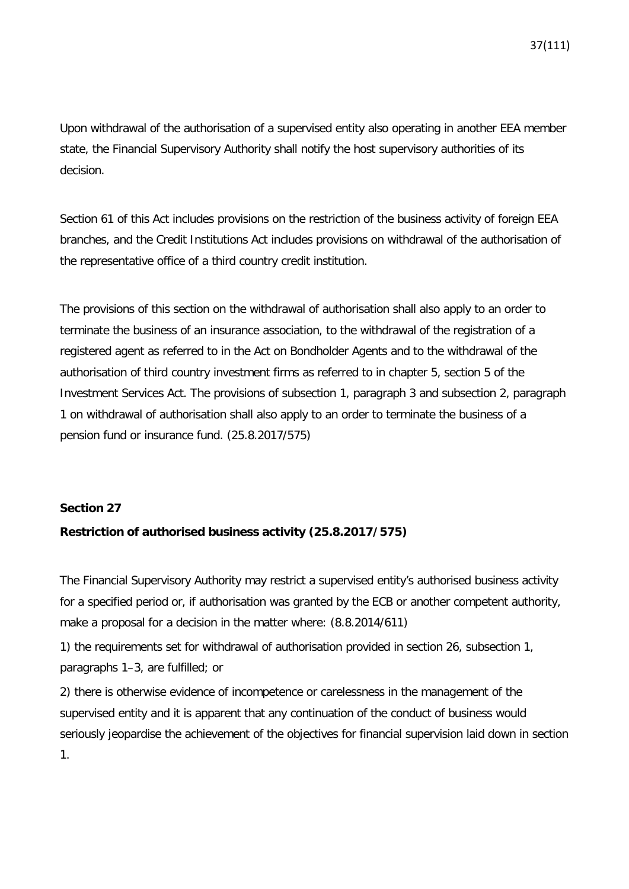Upon withdrawal of the authorisation of a supervised entity also operating in another EEA member state, the Financial Supervisory Authority shall notify the host supervisory authorities of its decision.

Section 61 of this Act includes provisions on the restriction of the business activity of foreign EEA branches, and the Credit Institutions Act includes provisions on withdrawal of the authorisation of the representative office of a third country credit institution.

The provisions of this section on the withdrawal of authorisation shall also apply to an order to terminate the business of an insurance association, to the withdrawal of the registration of a registered agent as referred to in the Act on Bondholder Agents and to the withdrawal of the authorisation of third country investment firms as referred to in chapter 5, section 5 of the Investment Services Act. The provisions of subsection 1, paragraph 3 and subsection 2, paragraph 1 on withdrawal of authorisation shall also apply to an order to terminate the business of a pension fund or insurance fund. (25.8.2017/575)

### **Section 27**

### **Restriction of authorised business activity (25.8.2017/575)**

The Financial Supervisory Authority may restrict a supervised entity's authorised business activity for a specified period or, if authorisation was granted by the ECB or another competent authority, make a proposal for a decision in the matter where: (8.8.2014/611)

1) the requirements set for withdrawal of authorisation provided in section 26, subsection 1, paragraphs 1–3, are fulfilled; or

2) there is otherwise evidence of incompetence or carelessness in the management of the supervised entity and it is apparent that any continuation of the conduct of business would seriously jeopardise the achievement of the objectives for financial supervision laid down in section 1.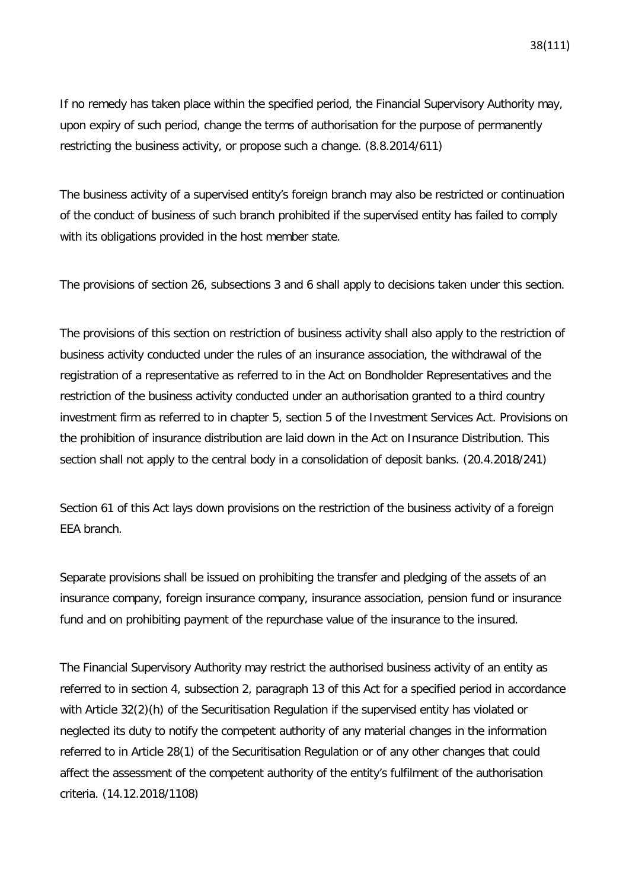If no remedy has taken place within the specified period, the Financial Supervisory Authority may, upon expiry of such period, change the terms of authorisation for the purpose of permanently restricting the business activity, or propose such a change. (8.8.2014/611)

The business activity of a supervised entity's foreign branch may also be restricted or continuation of the conduct of business of such branch prohibited if the supervised entity has failed to comply with its obligations provided in the host member state.

The provisions of section 26, subsections 3 and 6 shall apply to decisions taken under this section.

The provisions of this section on restriction of business activity shall also apply to the restriction of business activity conducted under the rules of an insurance association, the withdrawal of the registration of a representative as referred to in the Act on Bondholder Representatives and the restriction of the business activity conducted under an authorisation granted to a third country investment firm as referred to in chapter 5, section 5 of the Investment Services Act. Provisions on the prohibition of insurance distribution are laid down in the Act on Insurance Distribution. This section shall not apply to the central body in a consolidation of deposit banks. (20.4.2018/241)

Section 61 of this Act lays down provisions on the restriction of the business activity of a foreign EEA branch.

Separate provisions shall be issued on prohibiting the transfer and pledging of the assets of an insurance company, foreign insurance company, insurance association, pension fund or insurance fund and on prohibiting payment of the repurchase value of the insurance to the insured.

The Financial Supervisory Authority may restrict the authorised business activity of an entity as referred to in section 4, subsection 2, paragraph 13 of this Act for a specified period in accordance with Article 32(2)(h) of the Securitisation Regulation if the supervised entity has violated or neglected its duty to notify the competent authority of any material changes in the information referred to in Article 28(1) of the Securitisation Regulation or of any other changes that could affect the assessment of the competent authority of the entity's fulfilment of the authorisation criteria. (14.12.2018/1108)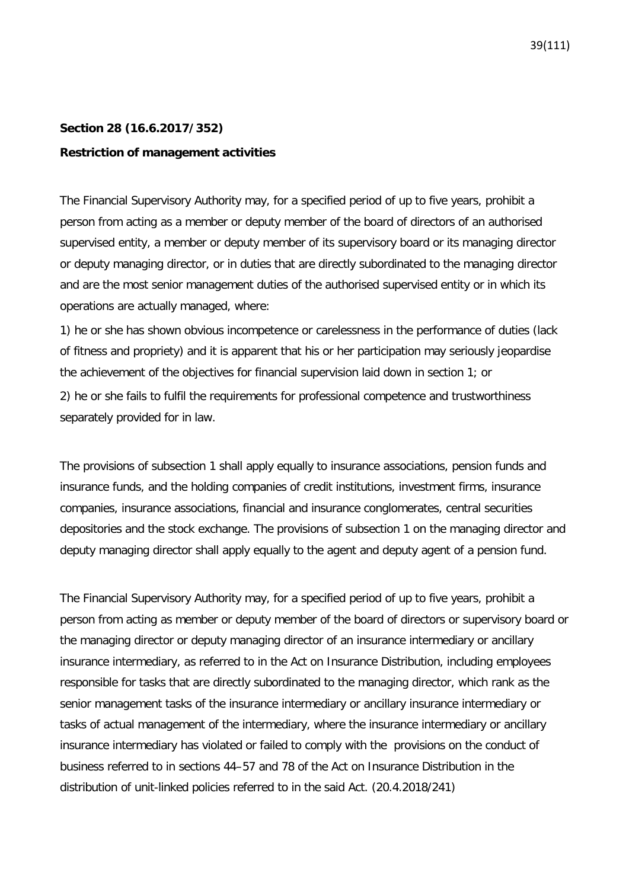### **Section 28 (16.6.2017/352)**

### **Restriction of management activities**

The Financial Supervisory Authority may, for a specified period of up to five years, prohibit a person from acting as a member or deputy member of the board of directors of an authorised supervised entity, a member or deputy member of its supervisory board or its managing director or deputy managing director, or in duties that are directly subordinated to the managing director and are the most senior management duties of the authorised supervised entity or in which its operations are actually managed, where:

1) he or she has shown obvious incompetence or carelessness in the performance of duties (lack of fitness and propriety) and it is apparent that his or her participation may seriously jeopardise the achievement of the objectives for financial supervision laid down in section 1; or 2) he or she fails to fulfil the requirements for professional competence and trustworthiness separately provided for in law.

The provisions of subsection 1 shall apply equally to insurance associations, pension funds and insurance funds, and the holding companies of credit institutions, investment firms, insurance companies, insurance associations, financial and insurance conglomerates, central securities depositories and the stock exchange. The provisions of subsection 1 on the managing director and deputy managing director shall apply equally to the agent and deputy agent of a pension fund.

The Financial Supervisory Authority may, for a specified period of up to five years, prohibit a person from acting as member or deputy member of the board of directors or supervisory board or the managing director or deputy managing director of an insurance intermediary or ancillary insurance intermediary, as referred to in the Act on Insurance Distribution, including employees responsible for tasks that are directly subordinated to the managing director, which rank as the senior management tasks of the insurance intermediary or ancillary insurance intermediary or tasks of actual management of the intermediary, where the insurance intermediary or ancillary insurance intermediary has violated or failed to comply with the provisions on the conduct of business referred to in sections 44–57 and 78 of the Act on Insurance Distribution in the distribution of unit-linked policies referred to in the said Act. (20.4.2018/241)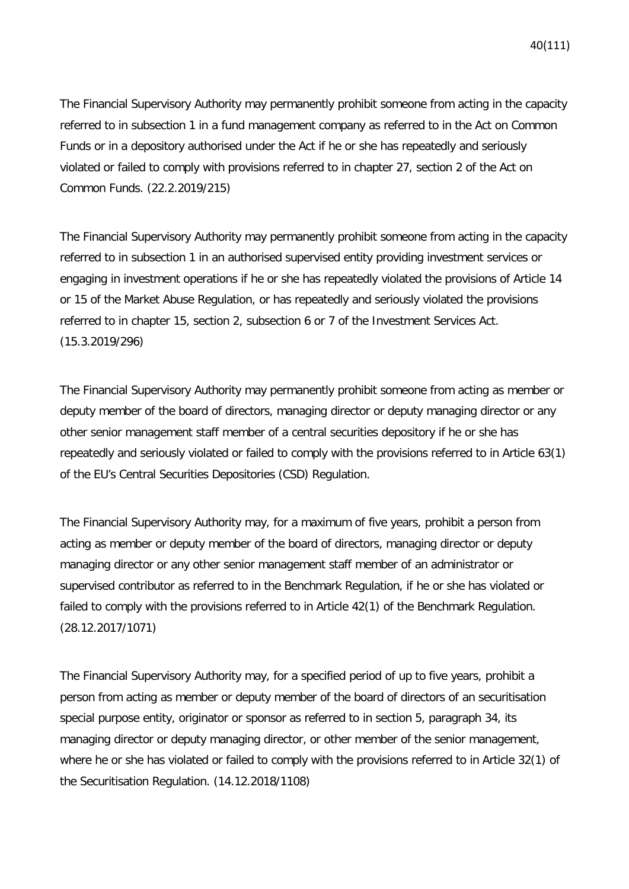The Financial Supervisory Authority may permanently prohibit someone from acting in the capacity referred to in subsection 1 in a fund management company as referred to in the Act on Common Funds or in a depository authorised under the Act if he or she has repeatedly and seriously violated or failed to comply with provisions referred to in chapter 27, section 2 of the Act on Common Funds. (22.2.2019/215)

The Financial Supervisory Authority may permanently prohibit someone from acting in the capacity referred to in subsection 1 in an authorised supervised entity providing investment services or engaging in investment operations if he or she has repeatedly violated the provisions of Article 14 or 15 of the Market Abuse Regulation, or has repeatedly and seriously violated the provisions referred to in chapter 15, section 2, subsection 6 or 7 of the Investment Services Act. (15.3.2019/296)

The Financial Supervisory Authority may permanently prohibit someone from acting as member or deputy member of the board of directors, managing director or deputy managing director or any other senior management staff member of a central securities depository if he or she has repeatedly and seriously violated or failed to comply with the provisions referred to in Article 63(1) of the EU's Central Securities Depositories (CSD) Regulation.

The Financial Supervisory Authority may, for a maximum of five years, prohibit a person from acting as member or deputy member of the board of directors, managing director or deputy managing director or any other senior management staff member of an administrator or supervised contributor as referred to in the Benchmark Regulation, if he or she has violated or failed to comply with the provisions referred to in Article 42(1) of the Benchmark Regulation. (28.12.2017/1071)

The Financial Supervisory Authority may, for a specified period of up to five years, prohibit a person from acting as member or deputy member of the board of directors of an securitisation special purpose entity, originator or sponsor as referred to in section 5, paragraph 34, its managing director or deputy managing director, or other member of the senior management, where he or she has violated or failed to comply with the provisions referred to in Article 32(1) of the Securitisation Regulation. (14.12.2018/1108)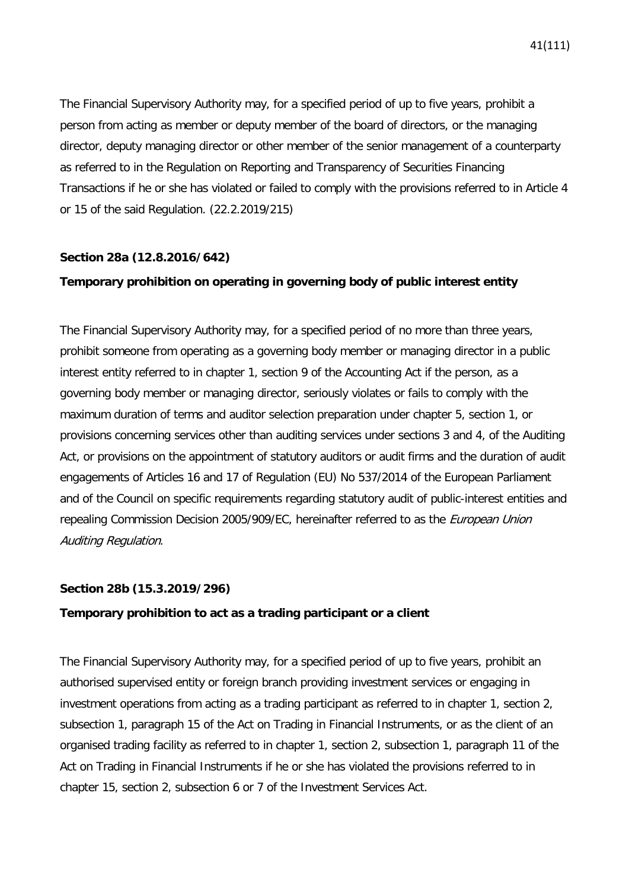The Financial Supervisory Authority may, for a specified period of up to five years, prohibit a person from acting as member or deputy member of the board of directors, or the managing director, deputy managing director or other member of the senior management of a counterparty as referred to in the Regulation on Reporting and Transparency of Securities Financing Transactions if he or she has violated or failed to comply with the provisions referred to in Article 4 or 15 of the said Regulation. (22.2.2019/215)

### **Section 28a (12.8.2016/642)**

### **Temporary prohibition on operating in governing body of public interest entity**

The Financial Supervisory Authority may, for a specified period of no more than three years, prohibit someone from operating as a governing body member or managing director in a public interest entity referred to in chapter 1, section 9 of the Accounting Act if the person, as a governing body member or managing director, seriously violates or fails to comply with the maximum duration of terms and auditor selection preparation under chapter 5, section 1, or provisions concerning services other than auditing services under sections 3 and 4, of the Auditing Act, or provisions on the appointment of statutory auditors or audit firms and the duration of audit engagements of Articles 16 and 17 of Regulation (EU) No 537/2014 of the European Parliament and of the Council on specific requirements regarding statutory audit of public-interest entities and repealing Commission Decision 2005/909/EC, hereinafter referred to as the *European Union* Auditing Regulation.

### **Section 28b (15.3.2019/296)**

### **Temporary prohibition to act as a trading participant or a client**

The Financial Supervisory Authority may, for a specified period of up to five years, prohibit an authorised supervised entity or foreign branch providing investment services or engaging in investment operations from acting as a trading participant as referred to in chapter 1, section 2, subsection 1, paragraph 15 of the Act on Trading in Financial Instruments, or as the client of an organised trading facility as referred to in chapter 1, section 2, subsection 1, paragraph 11 of the Act on Trading in Financial Instruments if he or she has violated the provisions referred to in chapter 15, section 2, subsection 6 or 7 of the Investment Services Act.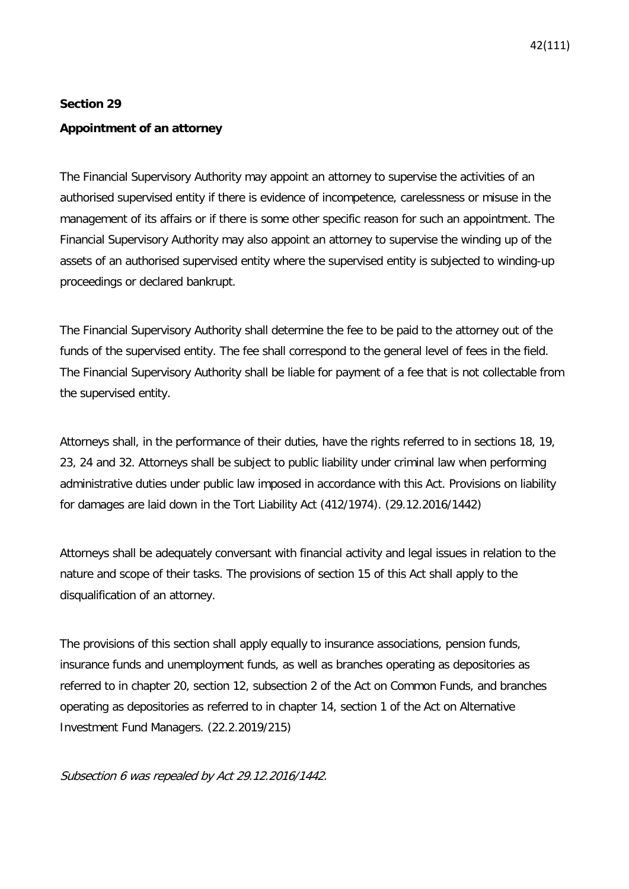# **Section 29 Appointment of an attorney**

The Financial Supervisory Authority may appoint an attorney to supervise the activities of an authorised supervised entity if there is evidence of incompetence, carelessness or misuse in the management of its affairs or if there is some other specific reason for such an appointment. The Financial Supervisory Authority may also appoint an attorney to supervise the winding up of the assets of an authorised supervised entity where the supervised entity is subjected to winding-up proceedings or declared bankrupt.

The Financial Supervisory Authority shall determine the fee to be paid to the attorney out of the funds of the supervised entity. The fee shall correspond to the general level of fees in the field. The Financial Supervisory Authority shall be liable for payment of a fee that is not collectable from the supervised entity.

Attorneys shall, in the performance of their duties, have the rights referred to in sections 18, 19, 23, 24 and 32. Attorneys shall be subject to public liability under criminal law when performing administrative duties under public law imposed in accordance with this Act. Provisions on liability for damages are laid down in the Tort Liability Act (412/1974). (29.12.2016/1442)

Attorneys shall be adequately conversant with financial activity and legal issues in relation to the nature and scope of their tasks. The provisions of section 15 of this Act shall apply to the disqualification of an attorney.

The provisions of this section shall apply equally to insurance associations, pension funds, insurance funds and unemployment funds, as well as branches operating as depositories as referred to in chapter 20, section 12, subsection 2 of the Act on Common Funds, and branches operating as depositories as referred to in chapter 14, section 1 of the Act on Alternative Investment Fund Managers. (22.2.2019/215)

Subsection 6 was repealed by Act 29.12.2016/1442.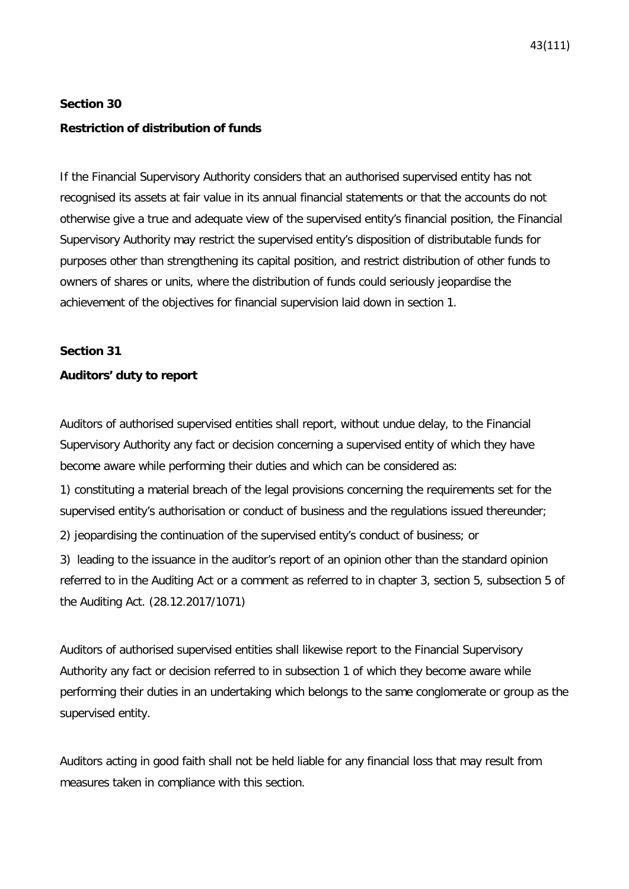# **Section 30 Restriction of distribution of funds**

If the Financial Supervisory Authority considers that an authorised supervised entity has not recognised its assets at fair value in its annual financial statements or that the accounts do not otherwise give a true and adequate view of the supervised entity's financial position, the Financial Supervisory Authority may restrict the supervised entity's disposition of distributable funds for purposes other than strengthening its capital position, and restrict distribution of other funds to owners of shares or units, where the distribution of funds could seriously jeopardise the achievement of the objectives for financial supervision laid down in section 1.

# **Section 31**

# **Auditors' duty to report**

Auditors of authorised supervised entities shall report, without undue delay, to the Financial Supervisory Authority any fact or decision concerning a supervised entity of which they have become aware while performing their duties and which can be considered as:

1) constituting a material breach of the legal provisions concerning the requirements set for the supervised entity's authorisation or conduct of business and the regulations issued thereunder;

2) jeopardising the continuation of the supervised entity's conduct of business; or

3) leading to the issuance in the auditor's report of an opinion other than the standard opinion referred to in the Auditing Act or a comment as referred to in chapter 3, section 5, subsection 5 of the Auditing Act. (28.12.2017/1071)

Auditors of authorised supervised entities shall likewise report to the Financial Supervisory Authority any fact or decision referred to in subsection 1 of which they become aware while performing their duties in an undertaking which belongs to the same conglomerate or group as the supervised entity.

Auditors acting in good faith shall not be held liable for any financial loss that may result from measures taken in compliance with this section.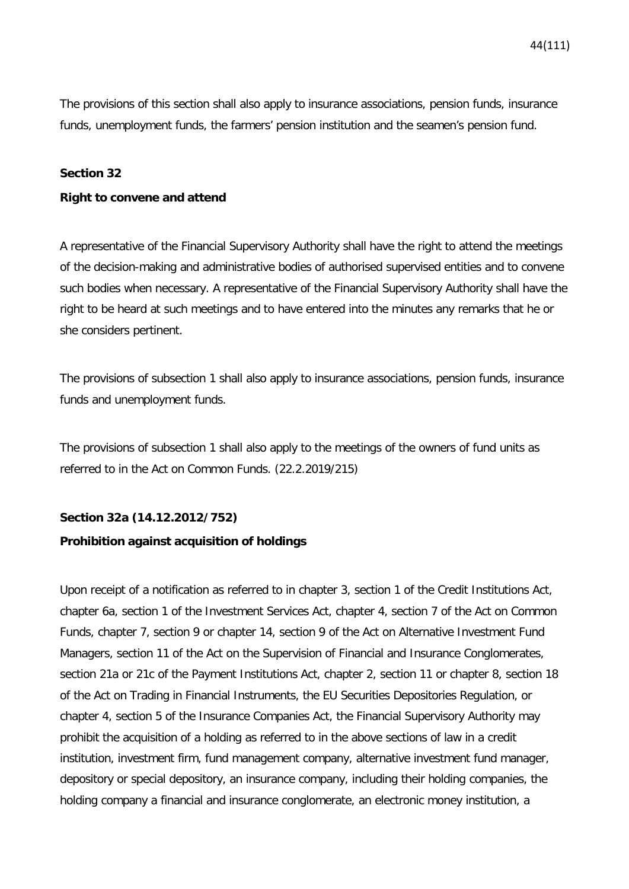The provisions of this section shall also apply to insurance associations, pension funds, insurance funds, unemployment funds, the farmers' pension institution and the seamen's pension fund.

### **Section 32**

### **Right to convene and attend**

A representative of the Financial Supervisory Authority shall have the right to attend the meetings of the decision-making and administrative bodies of authorised supervised entities and to convene such bodies when necessary. A representative of the Financial Supervisory Authority shall have the right to be heard at such meetings and to have entered into the minutes any remarks that he or she considers pertinent.

The provisions of subsection 1 shall also apply to insurance associations, pension funds, insurance funds and unemployment funds.

The provisions of subsection 1 shall also apply to the meetings of the owners of fund units as referred to in the Act on Common Funds. (22.2.2019/215)

### **Section 32a (14.12.2012/752)**

### **Prohibition against acquisition of holdings**

Upon receipt of a notification as referred to in chapter 3, section 1 of the Credit Institutions Act, chapter 6a, section 1 of the Investment Services Act, chapter 4, section 7 of the Act on Common Funds, chapter 7, section 9 or chapter 14, section 9 of the Act on Alternative Investment Fund Managers, section 11 of the Act on the Supervision of Financial and Insurance Conglomerates, section 21a or 21c of the Payment Institutions Act, chapter 2, section 11 or chapter 8, section 18 of the Act on Trading in Financial Instruments, the EU Securities Depositories Regulation, or chapter 4, section 5 of the Insurance Companies Act, the Financial Supervisory Authority may prohibit the acquisition of a holding as referred to in the above sections of law in a credit institution, investment firm, fund management company, alternative investment fund manager, depository or special depository, an insurance company, including their holding companies, the holding company a financial and insurance conglomerate, an electronic money institution, a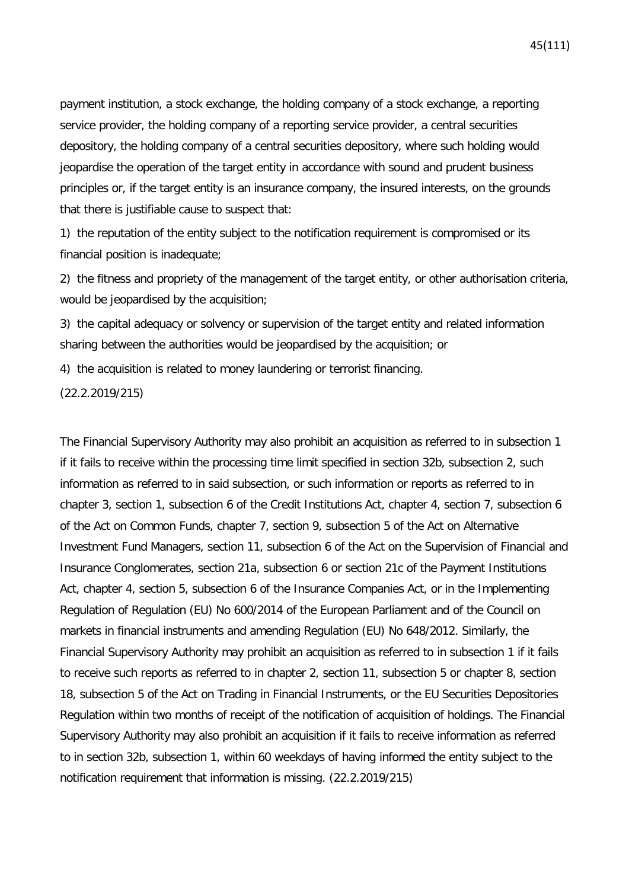payment institution, a stock exchange, the holding company of a stock exchange, a reporting service provider, the holding company of a reporting service provider, a central securities depository, the holding company of a central securities depository, where such holding would jeopardise the operation of the target entity in accordance with sound and prudent business principles or, if the target entity is an insurance company, the insured interests, on the grounds that there is justifiable cause to suspect that:

1) the reputation of the entity subject to the notification requirement is compromised or its financial position is inadequate;

2) the fitness and propriety of the management of the target entity, or other authorisation criteria, would be jeopardised by the acquisition;

3) the capital adequacy or solvency or supervision of the target entity and related information sharing between the authorities would be jeopardised by the acquisition; or

4) the acquisition is related to money laundering or terrorist financing.

(22.2.2019/215)

The Financial Supervisory Authority may also prohibit an acquisition as referred to in subsection 1 if it fails to receive within the processing time limit specified in section 32b, subsection 2, such information as referred to in said subsection, or such information or reports as referred to in chapter 3, section 1, subsection 6 of the Credit Institutions Act, chapter 4, section 7, subsection 6 of the Act on Common Funds, chapter 7, section 9, subsection 5 of the Act on Alternative Investment Fund Managers, section 11, subsection 6 of the Act on the Supervision of Financial and Insurance Conglomerates, section 21a, subsection 6 or section 21c of the Payment Institutions Act, chapter 4, section 5, subsection 6 of the Insurance Companies Act, or in the Implementing Regulation of Regulation (EU) No 600/2014 of the European Parliament and of the Council on markets in financial instruments and amending Regulation (EU) No 648/2012. Similarly, the Financial Supervisory Authority may prohibit an acquisition as referred to in subsection 1 if it fails to receive such reports as referred to in chapter 2, section 11, subsection 5 or chapter 8, section 18, subsection 5 of the Act on Trading in Financial Instruments, or the EU Securities Depositories Regulation within two months of receipt of the notification of acquisition of holdings. The Financial Supervisory Authority may also prohibit an acquisition if it fails to receive information as referred to in section 32b, subsection 1, within 60 weekdays of having informed the entity subject to the notification requirement that information is missing. (22.2.2019/215)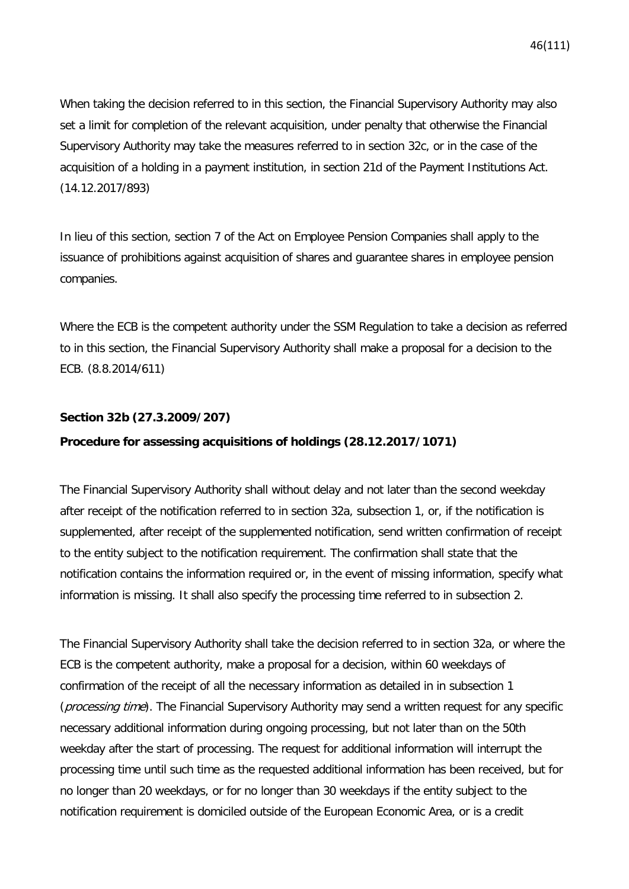When taking the decision referred to in this section, the Financial Supervisory Authority may also set a limit for completion of the relevant acquisition, under penalty that otherwise the Financial Supervisory Authority may take the measures referred to in section 32c, or in the case of the acquisition of a holding in a payment institution, in section 21d of the Payment Institutions Act. (14.12.2017/893)

In lieu of this section, section 7 of the Act on Employee Pension Companies shall apply to the issuance of prohibitions against acquisition of shares and guarantee shares in employee pension companies.

Where the ECB is the competent authority under the SSM Regulation to take a decision as referred to in this section, the Financial Supervisory Authority shall make a proposal for a decision to the ECB. (8.8.2014/611)

### **Section 32b (27.3.2009/207)**

## **Procedure for assessing acquisitions of holdings (28.12.2017/1071)**

The Financial Supervisory Authority shall without delay and not later than the second weekday after receipt of the notification referred to in section 32a, subsection 1, or, if the notification is supplemented, after receipt of the supplemented notification, send written confirmation of receipt to the entity subject to the notification requirement. The confirmation shall state that the notification contains the information required or, in the event of missing information, specify what information is missing. It shall also specify the processing time referred to in subsection 2.

The Financial Supervisory Authority shall take the decision referred to in section 32a, or where the ECB is the competent authority, make a proposal for a decision, within 60 weekdays of confirmation of the receipt of all the necessary information as detailed in in subsection 1 (processing time). The Financial Supervisory Authority may send a written request for any specific necessary additional information during ongoing processing, but not later than on the 50th weekday after the start of processing. The request for additional information will interrupt the processing time until such time as the requested additional information has been received, but for no longer than 20 weekdays, or for no longer than 30 weekdays if the entity subject to the notification requirement is domiciled outside of the European Economic Area, or is a credit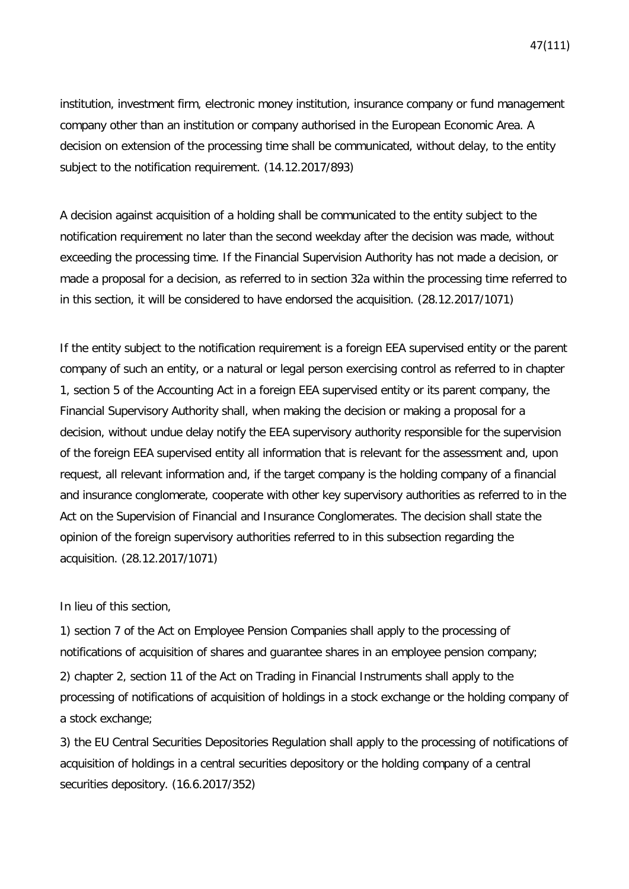institution, investment firm, electronic money institution, insurance company or fund management company other than an institution or company authorised in the European Economic Area. A decision on extension of the processing time shall be communicated, without delay, to the entity subject to the notification requirement. (14.12.2017/893)

A decision against acquisition of a holding shall be communicated to the entity subject to the notification requirement no later than the second weekday after the decision was made, without exceeding the processing time. If the Financial Supervision Authority has not made a decision, or made a proposal for a decision, as referred to in section 32a within the processing time referred to in this section, it will be considered to have endorsed the acquisition. (28.12.2017/1071)

If the entity subject to the notification requirement is a foreign EEA supervised entity or the parent company of such an entity, or a natural or legal person exercising control as referred to in chapter 1, section 5 of the Accounting Act in a foreign EEA supervised entity or its parent company, the Financial Supervisory Authority shall, when making the decision or making a proposal for a decision, without undue delay notify the EEA supervisory authority responsible for the supervision of the foreign EEA supervised entity all information that is relevant for the assessment and, upon request, all relevant information and, if the target company is the holding company of a financial and insurance conglomerate, cooperate with other key supervisory authorities as referred to in the Act on the Supervision of Financial and Insurance Conglomerates. The decision shall state the opinion of the foreign supervisory authorities referred to in this subsection regarding the acquisition. (28.12.2017/1071)

In lieu of this section,

1) section 7 of the Act on Employee Pension Companies shall apply to the processing of notifications of acquisition of shares and guarantee shares in an employee pension company;

2) chapter 2, section 11 of the Act on Trading in Financial Instruments shall apply to the processing of notifications of acquisition of holdings in a stock exchange or the holding company of a stock exchange;

3) the EU Central Securities Depositories Regulation shall apply to the processing of notifications of acquisition of holdings in a central securities depository or the holding company of a central securities depository. (16.6.2017/352)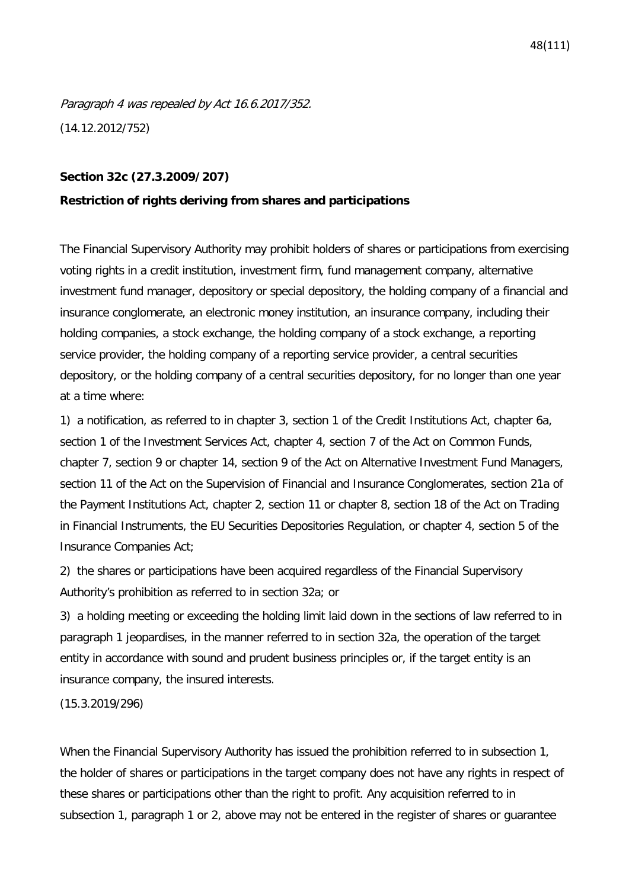Paragraph 4 was repealed by Act 16.6.2017/352. (14.12.2012/752)

#### **Section 32c (27.3.2009/207)**

### **Restriction of rights deriving from shares and participations**

The Financial Supervisory Authority may prohibit holders of shares or participations from exercising voting rights in a credit institution, investment firm, fund management company, alternative investment fund manager, depository or special depository, the holding company of a financial and insurance conglomerate, an electronic money institution, an insurance company, including their holding companies, a stock exchange, the holding company of a stock exchange, a reporting service provider, the holding company of a reporting service provider, a central securities depository, or the holding company of a central securities depository, for no longer than one year at a time where:

1) a notification, as referred to in chapter 3, section 1 of the Credit Institutions Act, chapter 6a, section 1 of the Investment Services Act, chapter 4, section 7 of the Act on Common Funds, chapter 7, section 9 or chapter 14, section 9 of the Act on Alternative Investment Fund Managers, section 11 of the Act on the Supervision of Financial and Insurance Conglomerates, section 21a of the Payment Institutions Act, chapter 2, section 11 or chapter 8, section 18 of the Act on Trading in Financial Instruments, the EU Securities Depositories Regulation, or chapter 4, section 5 of the Insurance Companies Act;

2) the shares or participations have been acquired regardless of the Financial Supervisory Authority's prohibition as referred to in section 32a; or

3) a holding meeting or exceeding the holding limit laid down in the sections of law referred to in paragraph 1 jeopardises, in the manner referred to in section 32a, the operation of the target entity in accordance with sound and prudent business principles or, if the target entity is an insurance company, the insured interests.

(15.3.2019/296)

When the Financial Supervisory Authority has issued the prohibition referred to in subsection 1, the holder of shares or participations in the target company does not have any rights in respect of these shares or participations other than the right to profit. Any acquisition referred to in subsection 1, paragraph 1 or 2, above may not be entered in the register of shares or guarantee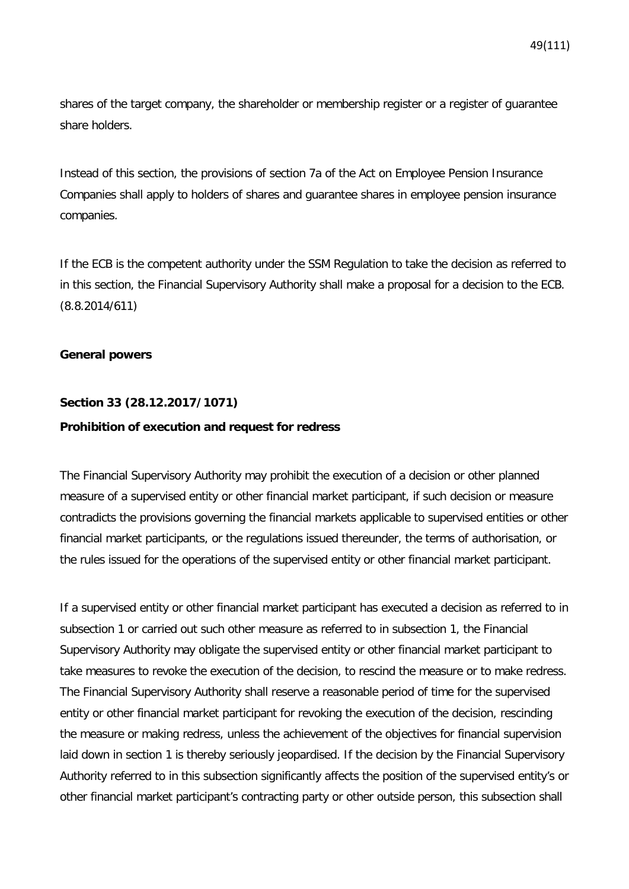shares of the target company, the shareholder or membership register or a register of guarantee share holders.

Instead of this section, the provisions of section 7a of the Act on Employee Pension Insurance Companies shall apply to holders of shares and guarantee shares in employee pension insurance companies.

If the ECB is the competent authority under the SSM Regulation to take the decision as referred to in this section, the Financial Supervisory Authority shall make a proposal for a decision to the ECB. (8.8.2014/611)

### **General powers**

#### **Section 33 (28.12.2017/1071)**

### **Prohibition of execution and request for redress**

The Financial Supervisory Authority may prohibit the execution of a decision or other planned measure of a supervised entity or other financial market participant, if such decision or measure contradicts the provisions governing the financial markets applicable to supervised entities or other financial market participants, or the regulations issued thereunder, the terms of authorisation, or the rules issued for the operations of the supervised entity or other financial market participant.

If a supervised entity or other financial market participant has executed a decision as referred to in subsection 1 or carried out such other measure as referred to in subsection 1, the Financial Supervisory Authority may obligate the supervised entity or other financial market participant to take measures to revoke the execution of the decision, to rescind the measure or to make redress. The Financial Supervisory Authority shall reserve a reasonable period of time for the supervised entity or other financial market participant for revoking the execution of the decision, rescinding the measure or making redress, unless the achievement of the objectives for financial supervision laid down in section 1 is thereby seriously jeopardised. If the decision by the Financial Supervisory Authority referred to in this subsection significantly affects the position of the supervised entity's or other financial market participant's contracting party or other outside person, this subsection shall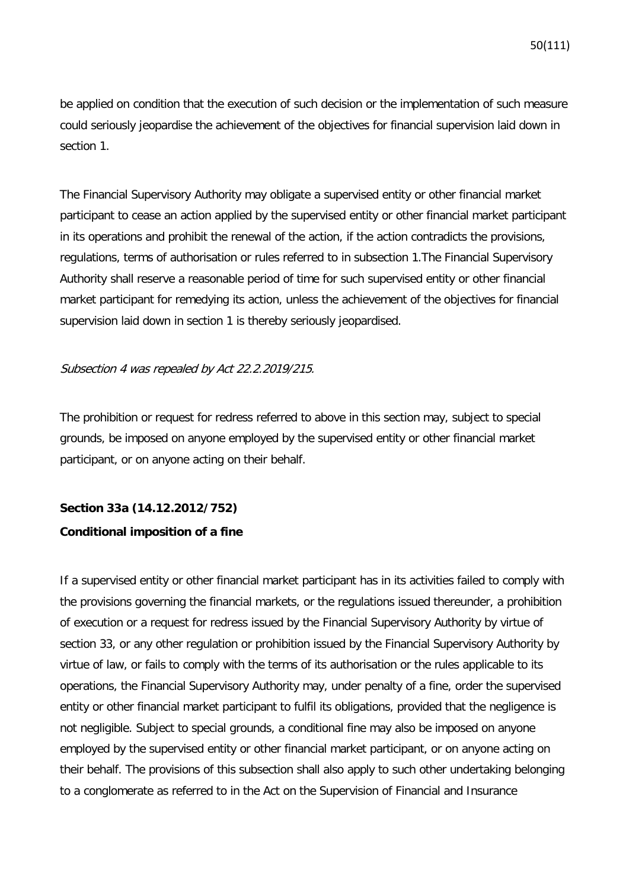be applied on condition that the execution of such decision or the implementation of such measure could seriously jeopardise the achievement of the objectives for financial supervision laid down in section 1.

The Financial Supervisory Authority may obligate a supervised entity or other financial market participant to cease an action applied by the supervised entity or other financial market participant in its operations and prohibit the renewal of the action, if the action contradicts the provisions, regulations, terms of authorisation or rules referred to in subsection 1.The Financial Supervisory Authority shall reserve a reasonable period of time for such supervised entity or other financial market participant for remedying its action, unless the achievement of the objectives for financial supervision laid down in section 1 is thereby seriously jeopardised.

### Subsection 4 was repealed by Act 22.2.2019/215.

The prohibition or request for redress referred to above in this section may, subject to special grounds, be imposed on anyone employed by the supervised entity or other financial market participant, or on anyone acting on their behalf.

# **Section 33a (14.12.2012/752) Conditional imposition of a fine**

If a supervised entity or other financial market participant has in its activities failed to comply with the provisions governing the financial markets, or the regulations issued thereunder, a prohibition of execution or a request for redress issued by the Financial Supervisory Authority by virtue of section 33, or any other regulation or prohibition issued by the Financial Supervisory Authority by virtue of law, or fails to comply with the terms of its authorisation or the rules applicable to its operations, the Financial Supervisory Authority may, under penalty of a fine, order the supervised entity or other financial market participant to fulfil its obligations, provided that the negligence is not negligible. Subject to special grounds, a conditional fine may also be imposed on anyone employed by the supervised entity or other financial market participant, or on anyone acting on their behalf. The provisions of this subsection shall also apply to such other undertaking belonging to a conglomerate as referred to in the Act on the Supervision of Financial and Insurance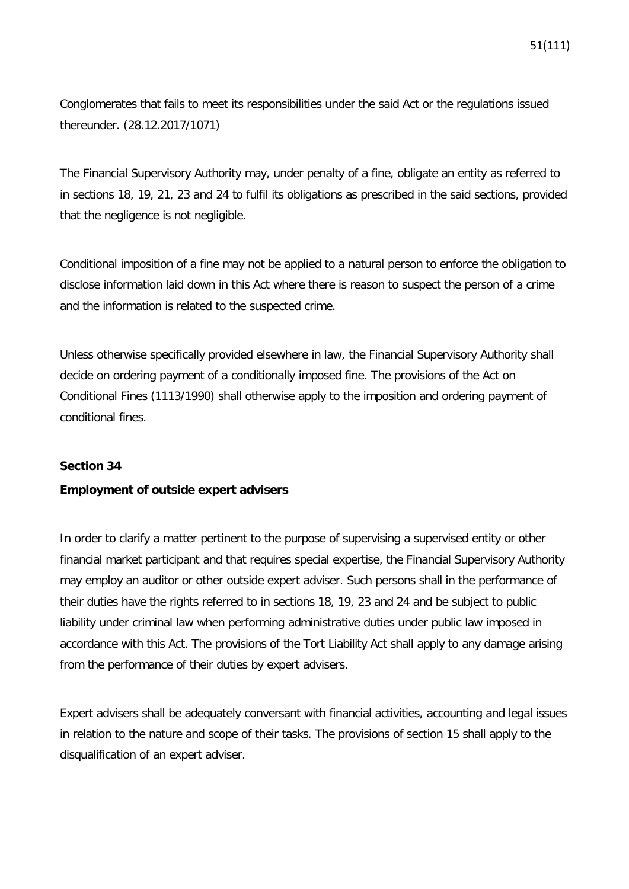Conglomerates that fails to meet its responsibilities under the said Act or the regulations issued thereunder. (28.12.2017/1071)

The Financial Supervisory Authority may, under penalty of a fine, obligate an entity as referred to in sections 18, 19, 21, 23 and 24 to fulfil its obligations as prescribed in the said sections, provided that the negligence is not negligible.

Conditional imposition of a fine may not be applied to a natural person to enforce the obligation to disclose information laid down in this Act where there is reason to suspect the person of a crime and the information is related to the suspected crime.

Unless otherwise specifically provided elsewhere in law, the Financial Supervisory Authority shall decide on ordering payment of a conditionally imposed fine. The provisions of the Act on Conditional Fines (1113/1990) shall otherwise apply to the imposition and ordering payment of conditional fines.

### **Section 34**

### **Employment of outside expert advisers**

In order to clarify a matter pertinent to the purpose of supervising a supervised entity or other financial market participant and that requires special expertise, the Financial Supervisory Authority may employ an auditor or other outside expert adviser. Such persons shall in the performance of their duties have the rights referred to in sections 18, 19, 23 and 24 and be subject to public liability under criminal law when performing administrative duties under public law imposed in accordance with this Act. The provisions of the Tort Liability Act shall apply to any damage arising from the performance of their duties by expert advisers.

Expert advisers shall be adequately conversant with financial activities, accounting and legal issues in relation to the nature and scope of their tasks. The provisions of section 15 shall apply to the disqualification of an expert adviser.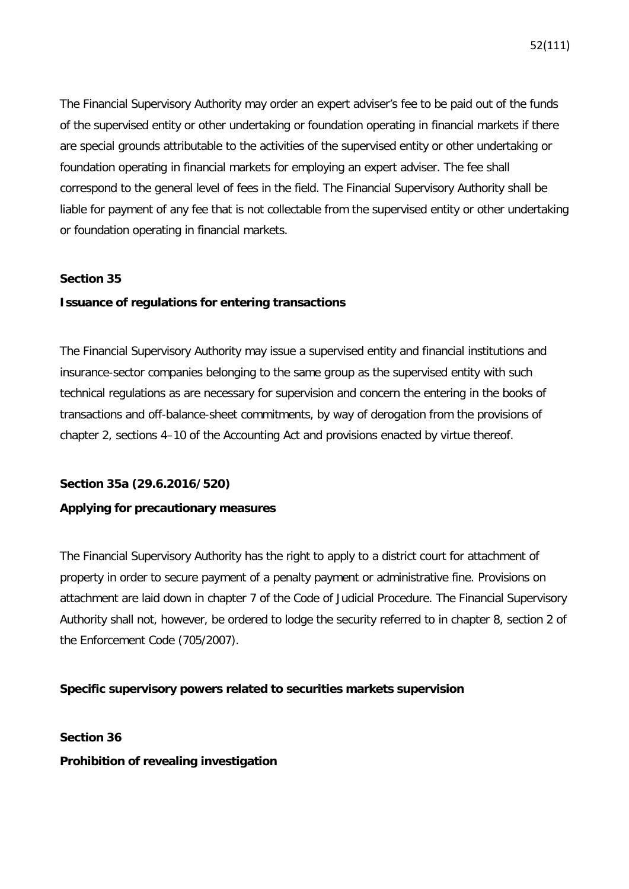The Financial Supervisory Authority may order an expert adviser's fee to be paid out of the funds of the supervised entity or other undertaking or foundation operating in financial markets if there are special grounds attributable to the activities of the supervised entity or other undertaking or foundation operating in financial markets for employing an expert adviser. The fee shall correspond to the general level of fees in the field. The Financial Supervisory Authority shall be liable for payment of any fee that is not collectable from the supervised entity or other undertaking or foundation operating in financial markets.

### **Section 35**

### **Issuance of regulations for entering transactions**

The Financial Supervisory Authority may issue a supervised entity and financial institutions and insurance-sector companies belonging to the same group as the supervised entity with such technical regulations as are necessary for supervision and concern the entering in the books of transactions and off-balance-sheet commitments, by way of derogation from the provisions of chapter 2, sections 4–10 of the Accounting Act and provisions enacted by virtue thereof.

### **Section 35a (29.6.2016/520)**

### **Applying for precautionary measures**

The Financial Supervisory Authority has the right to apply to a district court for attachment of property in order to secure payment of a penalty payment or administrative fine. Provisions on attachment are laid down in chapter 7 of the Code of Judicial Procedure. The Financial Supervisory Authority shall not, however, be ordered to lodge the security referred to in chapter 8, section 2 of the Enforcement Code (705/2007).

### **Specific supervisory powers related to securities markets supervision**

**Section 36 Prohibition of revealing investigation**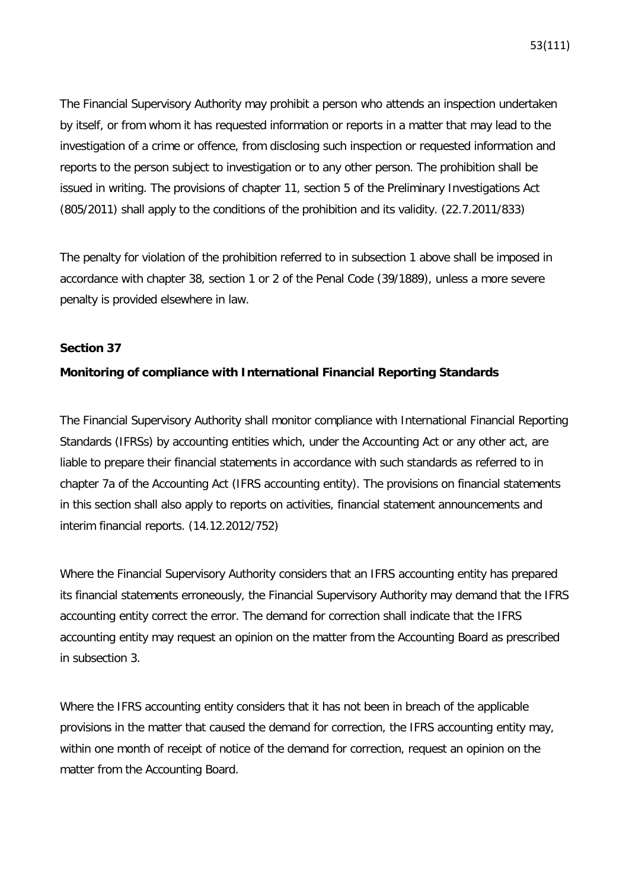The Financial Supervisory Authority may prohibit a person who attends an inspection undertaken by itself, or from whom it has requested information or reports in a matter that may lead to the investigation of a crime or offence, from disclosing such inspection or requested information and reports to the person subject to investigation or to any other person. The prohibition shall be issued in writing. The provisions of chapter 11, section 5 of the Preliminary Investigations Act (805/2011) shall apply to the conditions of the prohibition and its validity. (22.7.2011/833)

The penalty for violation of the prohibition referred to in subsection 1 above shall be imposed in accordance with chapter 38, section 1 or 2 of the Penal Code (39/1889), unless a more severe penalty is provided elsewhere in law.

### **Section 37**

## **Monitoring of compliance with International Financial Reporting Standards**

The Financial Supervisory Authority shall monitor compliance with International Financial Reporting Standards (IFRSs) by accounting entities which, under the Accounting Act or any other act, are liable to prepare their financial statements in accordance with such standards as referred to in chapter 7a of the Accounting Act (IFRS accounting entity). The provisions on financial statements in this section shall also apply to reports on activities, financial statement announcements and interim financial reports. (14.12.2012/752)

Where the Financial Supervisory Authority considers that an IFRS accounting entity has prepared its financial statements erroneously, the Financial Supervisory Authority may demand that the IFRS accounting entity correct the error. The demand for correction shall indicate that the IFRS accounting entity may request an opinion on the matter from the Accounting Board as prescribed in subsection 3.

Where the IFRS accounting entity considers that it has not been in breach of the applicable provisions in the matter that caused the demand for correction, the IFRS accounting entity may, within one month of receipt of notice of the demand for correction, request an opinion on the matter from the Accounting Board.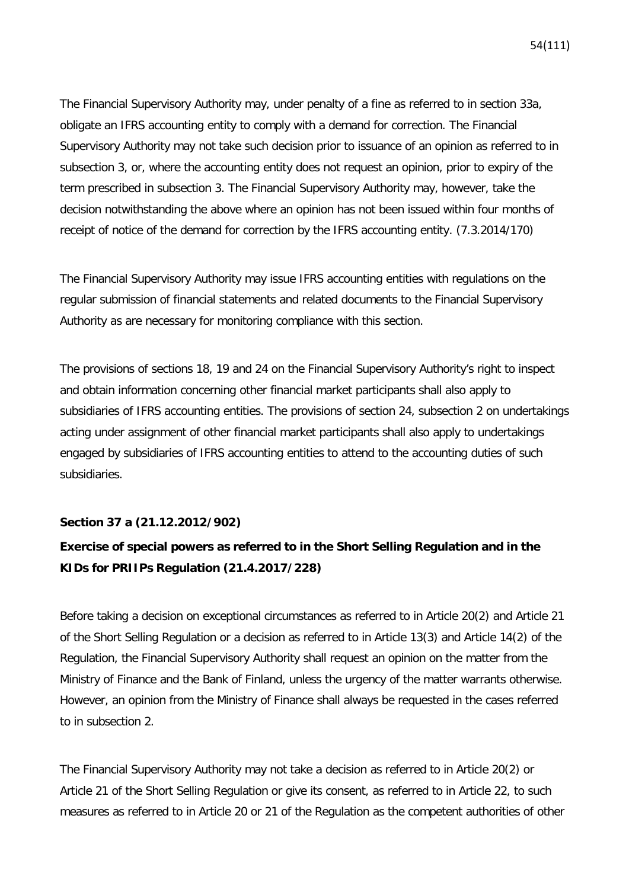The Financial Supervisory Authority may, under penalty of a fine as referred to in section 33a, obligate an IFRS accounting entity to comply with a demand for correction. The Financial Supervisory Authority may not take such decision prior to issuance of an opinion as referred to in subsection 3, or, where the accounting entity does not request an opinion, prior to expiry of the term prescribed in subsection 3. The Financial Supervisory Authority may, however, take the decision notwithstanding the above where an opinion has not been issued within four months of receipt of notice of the demand for correction by the IFRS accounting entity. (7.3.2014/170)

The Financial Supervisory Authority may issue IFRS accounting entities with regulations on the regular submission of financial statements and related documents to the Financial Supervisory Authority as are necessary for monitoring compliance with this section.

The provisions of sections 18, 19 and 24 on the Financial Supervisory Authority's right to inspect and obtain information concerning other financial market participants shall also apply to subsidiaries of IFRS accounting entities. The provisions of section 24, subsection 2 on undertakings acting under assignment of other financial market participants shall also apply to undertakings engaged by subsidiaries of IFRS accounting entities to attend to the accounting duties of such subsidiaries.

### **Section 37 a (21.12.2012/902)**

# **Exercise of special powers as referred to in the Short Selling Regulation and in the KIDs for PRIIPs Regulation (21.4.2017/228)**

Before taking a decision on exceptional circumstances as referred to in Article 20(2) and Article 21 of the Short Selling Regulation or a decision as referred to in Article 13(3) and Article 14(2) of the Regulation, the Financial Supervisory Authority shall request an opinion on the matter from the Ministry of Finance and the Bank of Finland, unless the urgency of the matter warrants otherwise. However, an opinion from the Ministry of Finance shall always be requested in the cases referred to in subsection 2.

The Financial Supervisory Authority may not take a decision as referred to in Article 20(2) or Article 21 of the Short Selling Regulation or give its consent, as referred to in Article 22, to such measures as referred to in Article 20 or 21 of the Regulation as the competent authorities of other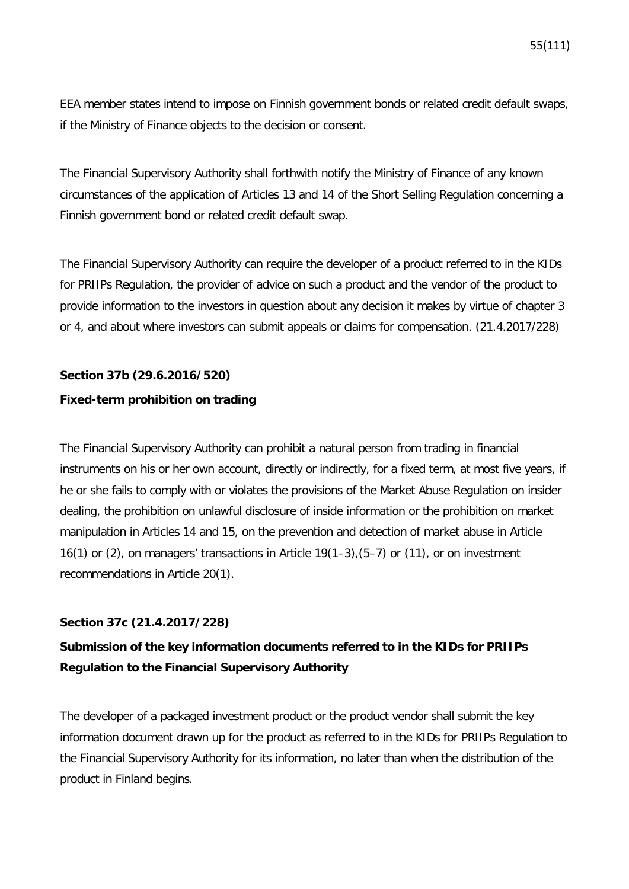EEA member states intend to impose on Finnish government bonds or related credit default swaps, if the Ministry of Finance objects to the decision or consent.

The Financial Supervisory Authority shall forthwith notify the Ministry of Finance of any known circumstances of the application of Articles 13 and 14 of the Short Selling Regulation concerning a Finnish government bond or related credit default swap.

The Financial Supervisory Authority can require the developer of a product referred to in the KIDs for PRIIPs Regulation, the provider of advice on such a product and the vendor of the product to provide information to the investors in question about any decision it makes by virtue of chapter 3 or 4, and about where investors can submit appeals or claims for compensation. (21.4.2017/228)

# **Section 37b (29.6.2016/520)**

### **Fixed-term prohibition on trading**

The Financial Supervisory Authority can prohibit a natural person from trading in financial instruments on his or her own account, directly or indirectly, for a fixed term, at most five years, if he or she fails to comply with or violates the provisions of the Market Abuse Regulation on insider dealing, the prohibition on unlawful disclosure of inside information or the prohibition on market manipulation in Articles 14 and 15, on the prevention and detection of market abuse in Article 16(1) or (2), on managers' transactions in Article 19(1–3),(5–7) or (11), or on investment recommendations in Article 20(1).

### **Section 37c (21.4.2017/228)**

# **Submission of the key information documents referred to in the KIDs for PRIIPs Regulation to the Financial Supervisory Authority**

The developer of a packaged investment product or the product vendor shall submit the key information document drawn up for the product as referred to in the KIDs for PRIIPs Regulation to the Financial Supervisory Authority for its information, no later than when the distribution of the product in Finland begins.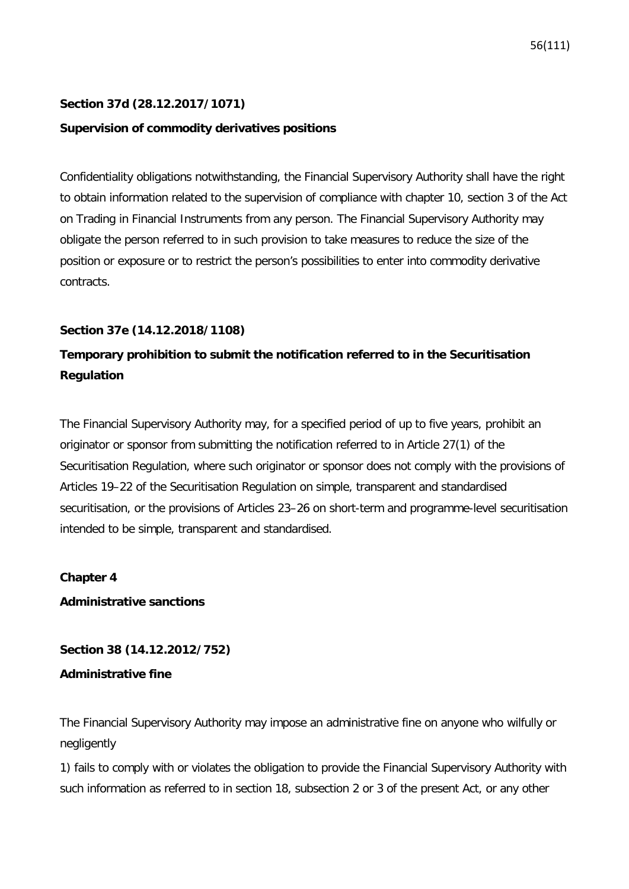# **Section 37d (28.12.2017/1071)**

# **Supervision of commodity derivatives positions**

Confidentiality obligations notwithstanding, the Financial Supervisory Authority shall have the right to obtain information related to the supervision of compliance with chapter 10, section 3 of the Act on Trading in Financial Instruments from any person. The Financial Supervisory Authority may obligate the person referred to in such provision to take measures to reduce the size of the position or exposure or to restrict the person's possibilities to enter into commodity derivative contracts.

# **Section 37e (14.12.2018/1108)**

# **Temporary prohibition to submit the notification referred to in the Securitisation Regulation**

The Financial Supervisory Authority may, for a specified period of up to five years, prohibit an originator or sponsor from submitting the notification referred to in Article 27(1) of the Securitisation Regulation, where such originator or sponsor does not comply with the provisions of Articles 19–22 of the Securitisation Regulation on simple, transparent and standardised securitisation, or the provisions of Articles 23–26 on short-term and programme-level securitisation intended to be simple, transparent and standardised.

**Chapter 4**

**Administrative sanctions**

**Section 38 (14.12.2012/752) Administrative fine**

The Financial Supervisory Authority may impose an administrative fine on anyone who wilfully or negligently

1) fails to comply with or violates the obligation to provide the Financial Supervisory Authority with such information as referred to in section 18, subsection 2 or 3 of the present Act, or any other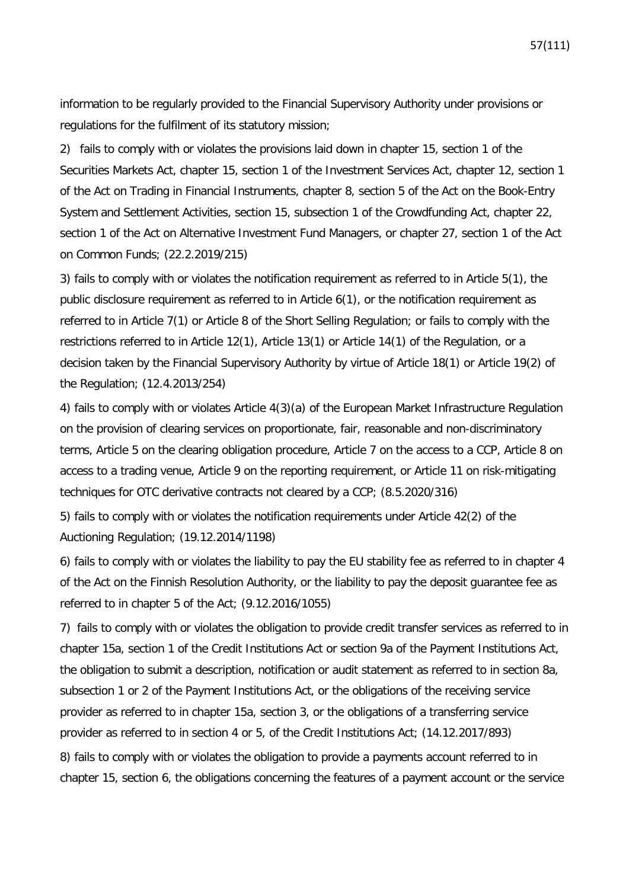information to be regularly provided to the Financial Supervisory Authority under provisions or regulations for the fulfilment of its statutory mission;

2) fails to comply with or violates the provisions laid down in chapter 15, section 1 of the Securities Markets Act, chapter 15, section 1 of the Investment Services Act, chapter 12, section 1 of the Act on Trading in Financial Instruments, chapter 8, section 5 of the Act on the Book-Entry System and Settlement Activities, section 15, subsection 1 of the Crowdfunding Act, chapter 22, section 1 of the Act on Alternative Investment Fund Managers, or chapter 27, section 1 of the Act on Common Funds; (22.2.2019/215)

3) fails to comply with or violates the notification requirement as referred to in Article 5(1), the public disclosure requirement as referred to in Article 6(1), or the notification requirement as referred to in Article 7(1) or Article 8 of the Short Selling Regulation; or fails to comply with the restrictions referred to in Article 12(1), Article 13(1) or Article 14(1) of the Regulation, or a decision taken by the Financial Supervisory Authority by virtue of Article 18(1) or Article 19(2) of the Regulation; (12.4.2013/254)

4) fails to comply with or violates Article 4(3)(a) of the European Market Infrastructure Regulation on the provision of clearing services on proportionate, fair, reasonable and non-discriminatory terms, Article 5 on the clearing obligation procedure, Article 7 on the access to a CCP, Article 8 on access to a trading venue, Article 9 on the reporting requirement, or Article 11 on risk-mitigating techniques for OTC derivative contracts not cleared by a CCP; (8.5.2020/316)

5) fails to comply with or violates the notification requirements under Article 42(2) of the Auctioning Regulation; (19.12.2014/1198)

6) fails to comply with or violates the liability to pay the EU stability fee as referred to in chapter 4 of the Act on the Finnish Resolution Authority, or the liability to pay the deposit guarantee fee as referred to in chapter 5 of the Act; (9.12.2016/1055)

7) fails to comply with or violates the obligation to provide credit transfer services as referred to in chapter 15a, section 1 of the Credit Institutions Act or section 9a of the Payment Institutions Act, the obligation to submit a description, notification or audit statement as referred to in section 8a, subsection 1 or 2 of the Payment Institutions Act, or the obligations of the receiving service provider as referred to in chapter 15a, section 3, or the obligations of a transferring service provider as referred to in section 4 or 5, of the Credit Institutions Act; (14.12.2017/893)

8) fails to comply with or violates the obligation to provide a payments account referred to in chapter 15, section 6, the obligations concerning the features of a payment account or the service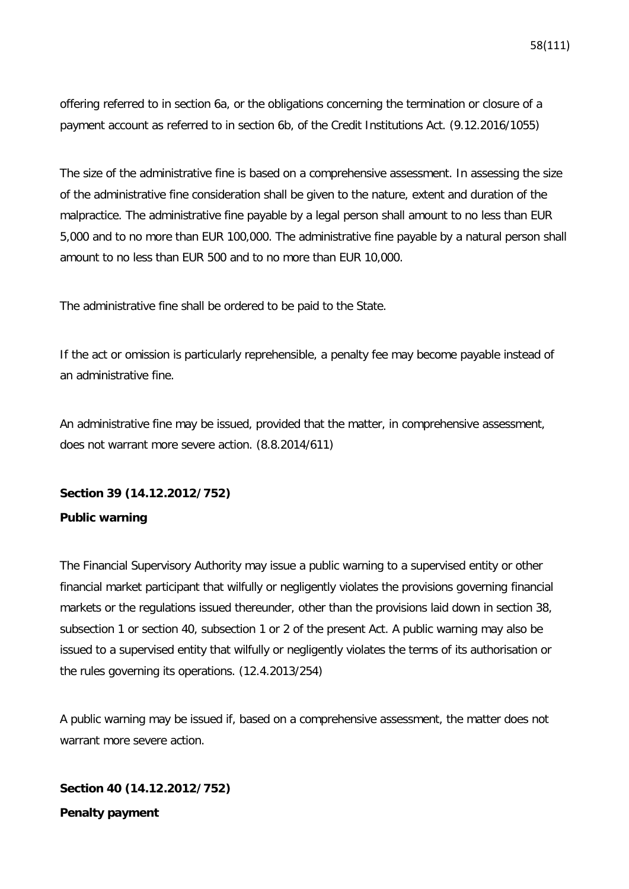offering referred to in section 6a, or the obligations concerning the termination or closure of a payment account as referred to in section 6b, of the Credit Institutions Act. (9.12.2016/1055)

The size of the administrative fine is based on a comprehensive assessment. In assessing the size of the administrative fine consideration shall be given to the nature, extent and duration of the malpractice. The administrative fine payable by a legal person shall amount to no less than EUR 5,000 and to no more than EUR 100,000. The administrative fine payable by a natural person shall amount to no less than EUR 500 and to no more than EUR 10,000.

The administrative fine shall be ordered to be paid to the State.

If the act or omission is particularly reprehensible, a penalty fee may become payable instead of an administrative fine.

An administrative fine may be issued, provided that the matter, in comprehensive assessment, does not warrant more severe action. (8.8.2014/611)

### **Section 39 (14.12.2012/752)**

### **Public warning**

The Financial Supervisory Authority may issue a public warning to a supervised entity or other financial market participant that wilfully or negligently violates the provisions governing financial markets or the regulations issued thereunder, other than the provisions laid down in section 38, subsection 1 or section 40, subsection 1 or 2 of the present Act. A public warning may also be issued to a supervised entity that wilfully or negligently violates the terms of its authorisation or the rules governing its operations. (12.4.2013/254)

A public warning may be issued if, based on a comprehensive assessment, the matter does not warrant more severe action.

**Section 40 (14.12.2012/752) Penalty payment**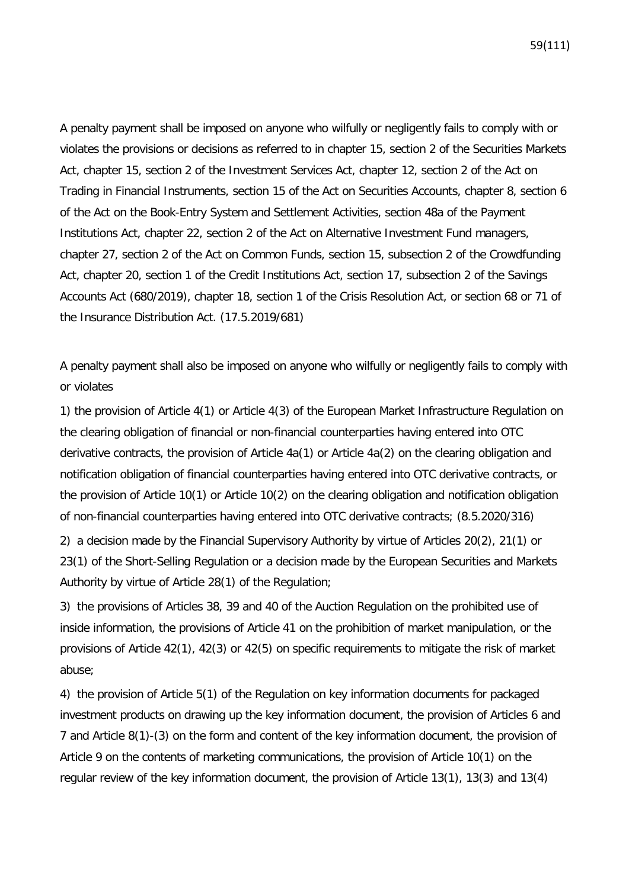A penalty payment shall be imposed on anyone who wilfully or negligently fails to comply with or violates the provisions or decisions as referred to in chapter 15, section 2 of the Securities Markets Act, chapter 15, section 2 of the Investment Services Act, chapter 12, section 2 of the Act on Trading in Financial Instruments, section 15 of the Act on Securities Accounts, chapter 8, section 6 of the Act on the Book-Entry System and Settlement Activities, section 48a of the Payment Institutions Act, chapter 22, section 2 of the Act on Alternative Investment Fund managers, chapter 27, section 2 of the Act on Common Funds, section 15, subsection 2 of the Crowdfunding Act, chapter 20, section 1 of the Credit Institutions Act, section 17, subsection 2 of the Savings Accounts Act (680/2019), chapter 18, section 1 of the Crisis Resolution Act, or section 68 or 71 of the Insurance Distribution Act. (17.5.2019/681)

A penalty payment shall also be imposed on anyone who wilfully or negligently fails to comply with or violates

1) the provision of Article 4(1) or Article 4(3) of the European Market Infrastructure Regulation on the clearing obligation of financial or non-financial counterparties having entered into OTC derivative contracts, the provision of Article 4a(1) or Article 4a(2) on the clearing obligation and notification obligation of financial counterparties having entered into OTC derivative contracts, or the provision of Article 10(1) or Article 10(2) on the clearing obligation and notification obligation of non-financial counterparties having entered into OTC derivative contracts; (8.5.2020/316)

2) a decision made by the Financial Supervisory Authority by virtue of Articles 20(2), 21(1) or 23(1) of the Short-Selling Regulation or a decision made by the European Securities and Markets Authority by virtue of Article 28(1) of the Regulation;

3) the provisions of Articles 38, 39 and 40 of the Auction Regulation on the prohibited use of inside information, the provisions of Article 41 on the prohibition of market manipulation, or the provisions of Article 42(1), 42(3) or 42(5) on specific requirements to mitigate the risk of market abuse;

4) the provision of Article 5(1) of the Regulation on key information documents for packaged investment products on drawing up the key information document, the provision of Articles 6 and 7 and Article 8(1)-(3) on the form and content of the key information document, the provision of Article 9 on the contents of marketing communications, the provision of Article 10(1) on the regular review of the key information document, the provision of Article 13(1), 13(3) and 13(4)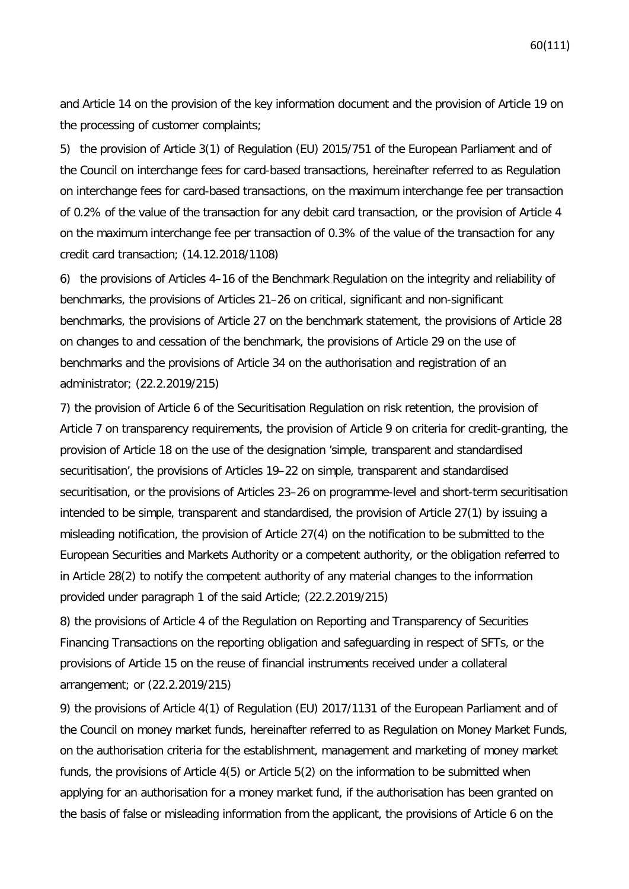and Article 14 on the provision of the key information document and the provision of Article 19 on the processing of customer complaints;

5) the provision of Article 3(1) of Regulation (EU) 2015/751 of the European Parliament and of the Council on interchange fees for card-based transactions, hereinafter referred to as Regulation on interchange fees for card-based transactions, on the maximum interchange fee per transaction of 0.2% of the value of the transaction for any debit card transaction, or the provision of Article 4 on the maximum interchange fee per transaction of 0.3% of the value of the transaction for any credit card transaction; (14.12.2018/1108)

6) the provisions of Articles 4–16 of the Benchmark Regulation on the integrity and reliability of benchmarks, the provisions of Articles 21–26 on critical, significant and non-significant benchmarks, the provisions of Article 27 on the benchmark statement, the provisions of Article 28 on changes to and cessation of the benchmark, the provisions of Article 29 on the use of benchmarks and the provisions of Article 34 on the authorisation and registration of an administrator; (22.2.2019/215)

7) the provision of Article 6 of the Securitisation Regulation on risk retention, the provision of Article 7 on transparency requirements, the provision of Article 9 on criteria for credit-granting, the provision of Article 18 on the use of the designation 'simple, transparent and standardised securitisation', the provisions of Articles 19–22 on simple, transparent and standardised securitisation, or the provisions of Articles 23–26 on programme-level and short-term securitisation intended to be simple, transparent and standardised, the provision of Article 27(1) by issuing a misleading notification, the provision of Article 27(4) on the notification to be submitted to the European Securities and Markets Authority or a competent authority, or the obligation referred to in Article 28(2) to notify the competent authority of any material changes to the information provided under paragraph 1 of the said Article; (22.2.2019/215)

8) the provisions of Article 4 of the Regulation on Reporting and Transparency of Securities Financing Transactions on the reporting obligation and safeguarding in respect of SFTs, or the provisions of Article 15 on the reuse of financial instruments received under a collateral arrangement; or (22.2.2019/215)

9) the provisions of Article 4(1) of Regulation (EU) 2017/1131 of the European Parliament and of the Council on money market funds, hereinafter referred to as Regulation on Money Market Funds, on the authorisation criteria for the establishment, management and marketing of money market funds, the provisions of Article 4(5) or Article 5(2) on the information to be submitted when applying for an authorisation for a money market fund, if the authorisation has been granted on the basis of false or misleading information from the applicant, the provisions of Article 6 on the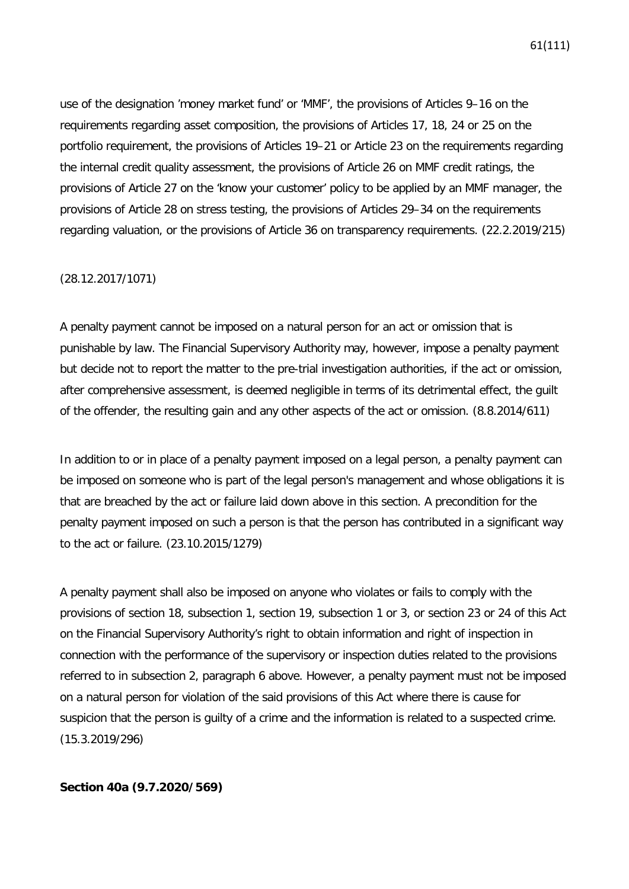use of the designation 'money market fund' or 'MMF', the provisions of Articles 9–16 on the requirements regarding asset composition, the provisions of Articles 17, 18, 24 or 25 on the portfolio requirement, the provisions of Articles 19–21 or Article 23 on the requirements regarding the internal credit quality assessment, the provisions of Article 26 on MMF credit ratings, the provisions of Article 27 on the 'know your customer' policy to be applied by an MMF manager, the provisions of Article 28 on stress testing, the provisions of Articles 29–34 on the requirements regarding valuation, or the provisions of Article 36 on transparency requirements. (22.2.2019/215)

### (28.12.2017/1071)

A penalty payment cannot be imposed on a natural person for an act or omission that is punishable by law. The Financial Supervisory Authority may, however, impose a penalty payment but decide not to report the matter to the pre-trial investigation authorities, if the act or omission, after comprehensive assessment, is deemed negligible in terms of its detrimental effect, the guilt of the offender, the resulting gain and any other aspects of the act or omission. (8.8.2014/611)

In addition to or in place of a penalty payment imposed on a legal person, a penalty payment can be imposed on someone who is part of the legal person's management and whose obligations it is that are breached by the act or failure laid down above in this section. A precondition for the penalty payment imposed on such a person is that the person has contributed in a significant way to the act or failure. (23.10.2015/1279)

A penalty payment shall also be imposed on anyone who violates or fails to comply with the provisions of section 18, subsection 1, section 19, subsection 1 or 3, or section 23 or 24 of this Act on the Financial Supervisory Authority's right to obtain information and right of inspection in connection with the performance of the supervisory or inspection duties related to the provisions referred to in subsection 2, paragraph 6 above. However, a penalty payment must not be imposed on a natural person for violation of the said provisions of this Act where there is cause for suspicion that the person is guilty of a crime and the information is related to a suspected crime. (15.3.2019/296)

### **Section 40a (9.7.2020/569)**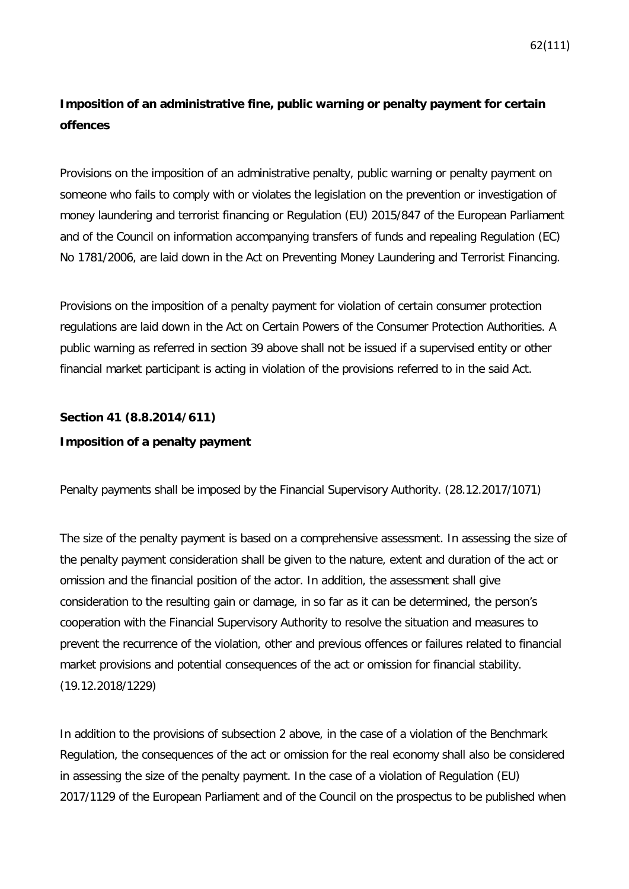# **Imposition of an administrative fine, public warning or penalty payment for certain offences**

Provisions on the imposition of an administrative penalty, public warning or penalty payment on someone who fails to comply with or violates the legislation on the prevention or investigation of money laundering and terrorist financing or Regulation (EU) 2015/847 of the European Parliament and of the Council on information accompanying transfers of funds and repealing Regulation (EC) No 1781/2006, are laid down in the Act on Preventing Money Laundering and Terrorist Financing.

Provisions on the imposition of a penalty payment for violation of certain consumer protection regulations are laid down in the Act on Certain Powers of the Consumer Protection Authorities. A public warning as referred in section 39 above shall not be issued if a supervised entity or other financial market participant is acting in violation of the provisions referred to in the said Act.

# **Section 41 (8.8.2014/611) Imposition of a penalty payment**

Penalty payments shall be imposed by the Financial Supervisory Authority. (28.12.2017/1071)

The size of the penalty payment is based on a comprehensive assessment. In assessing the size of the penalty payment consideration shall be given to the nature, extent and duration of the act or omission and the financial position of the actor. In addition, the assessment shall give consideration to the resulting gain or damage, in so far as it can be determined, the person's cooperation with the Financial Supervisory Authority to resolve the situation and measures to prevent the recurrence of the violation, other and previous offences or failures related to financial market provisions and potential consequences of the act or omission for financial stability. (19.12.2018/1229)

In addition to the provisions of subsection 2 above, in the case of a violation of the Benchmark Regulation, the consequences of the act or omission for the real economy shall also be considered in assessing the size of the penalty payment. In the case of a violation of Regulation (EU) 2017/1129 of the European Parliament and of the Council on the prospectus to be published when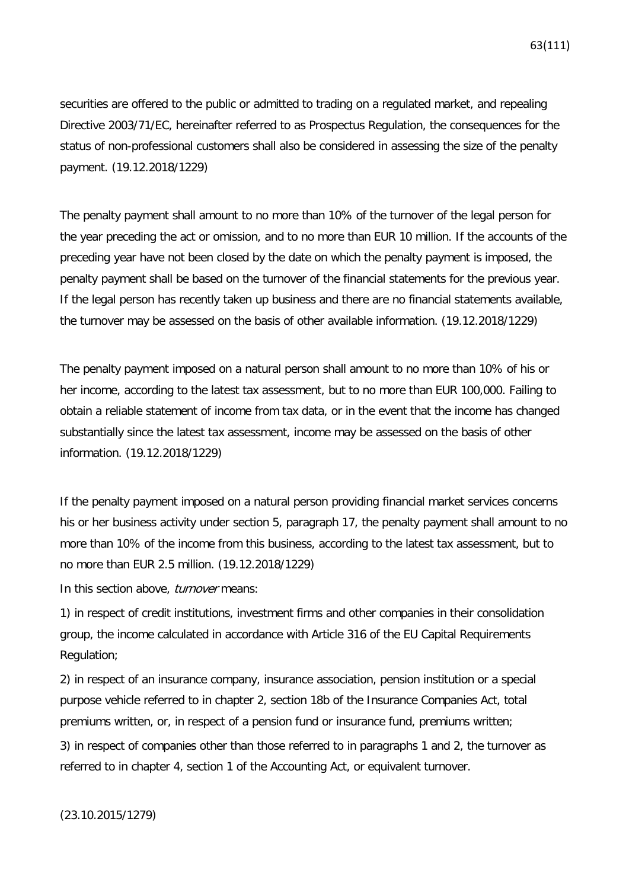securities are offered to the public or admitted to trading on a regulated market, and repealing Directive 2003/71/EC, hereinafter referred to as Prospectus Regulation, the consequences for the status of non-professional customers shall also be considered in assessing the size of the penalty payment. (19.12.2018/1229)

The penalty payment shall amount to no more than 10% of the turnover of the legal person for the year preceding the act or omission, and to no more than EUR 10 million. If the accounts of the preceding year have not been closed by the date on which the penalty payment is imposed, the penalty payment shall be based on the turnover of the financial statements for the previous year. If the legal person has recently taken up business and there are no financial statements available, the turnover may be assessed on the basis of other available information. (19.12.2018/1229)

The penalty payment imposed on a natural person shall amount to no more than 10% of his or her income, according to the latest tax assessment, but to no more than EUR 100,000. Failing to obtain a reliable statement of income from tax data, or in the event that the income has changed substantially since the latest tax assessment, income may be assessed on the basis of other information. (19.12.2018/1229)

If the penalty payment imposed on a natural person providing financial market services concerns his or her business activity under section 5, paragraph 17, the penalty payment shall amount to no more than 10% of the income from this business, according to the latest tax assessment, but to no more than EUR 2.5 million. (19.12.2018/1229)

In this section above, turnover means:

1) in respect of credit institutions, investment firms and other companies in their consolidation group, the income calculated in accordance with Article 316 of the EU Capital Requirements Regulation;

2) in respect of an insurance company, insurance association, pension institution or a special purpose vehicle referred to in chapter 2, section 18b of the Insurance Companies Act, total premiums written, or, in respect of a pension fund or insurance fund, premiums written; 3) in respect of companies other than those referred to in paragraphs 1 and 2, the turnover as referred to in chapter 4, section 1 of the Accounting Act, or equivalent turnover.

(23.10.2015/1279)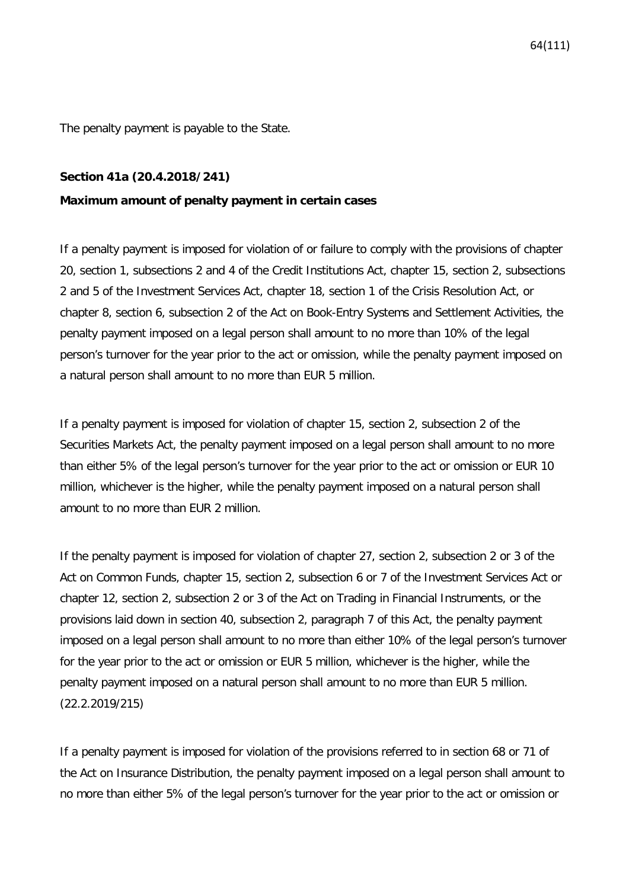The penalty payment is payable to the State.

### **Section 41a (20.4.2018/241)**

#### **Maximum amount of penalty payment in certain cases**

If a penalty payment is imposed for violation of or failure to comply with the provisions of chapter 20, section 1, subsections 2 and 4 of the Credit Institutions Act, chapter 15, section 2, subsections 2 and 5 of the Investment Services Act, chapter 18, section 1 of the Crisis Resolution Act, or chapter 8, section 6, subsection 2 of the Act on Book-Entry Systems and Settlement Activities, the penalty payment imposed on a legal person shall amount to no more than 10% of the legal person's turnover for the year prior to the act or omission, while the penalty payment imposed on a natural person shall amount to no more than EUR 5 million.

If a penalty payment is imposed for violation of chapter 15, section 2, subsection 2 of the Securities Markets Act, the penalty payment imposed on a legal person shall amount to no more than either 5% of the legal person's turnover for the year prior to the act or omission or EUR 10 million, whichever is the higher, while the penalty payment imposed on a natural person shall amount to no more than EUR 2 million.

If the penalty payment is imposed for violation of chapter 27, section 2, subsection 2 or 3 of the Act on Common Funds, chapter 15, section 2, subsection 6 or 7 of the Investment Services Act or chapter 12, section 2, subsection 2 or 3 of the Act on Trading in Financial Instruments, or the provisions laid down in section 40, subsection 2, paragraph 7 of this Act, the penalty payment imposed on a legal person shall amount to no more than either 10% of the legal person's turnover for the year prior to the act or omission or EUR 5 million, whichever is the higher, while the penalty payment imposed on a natural person shall amount to no more than EUR 5 million. (22.2.2019/215)

If a penalty payment is imposed for violation of the provisions referred to in section 68 or 71 of the Act on Insurance Distribution, the penalty payment imposed on a legal person shall amount to no more than either 5% of the legal person's turnover for the year prior to the act or omission or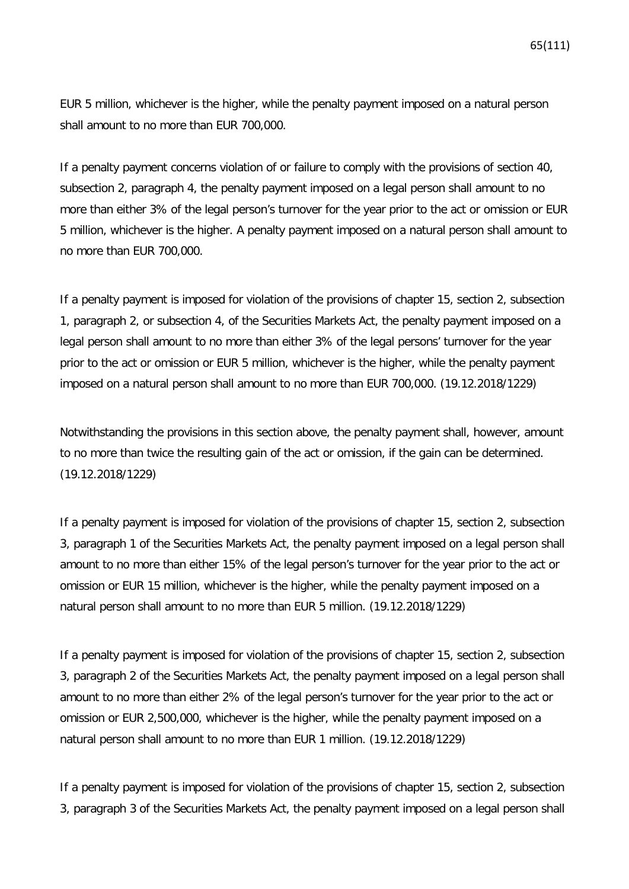EUR 5 million, whichever is the higher, while the penalty payment imposed on a natural person shall amount to no more than EUR 700,000.

If a penalty payment concerns violation of or failure to comply with the provisions of section 40, subsection 2, paragraph 4, the penalty payment imposed on a legal person shall amount to no more than either 3% of the legal person's turnover for the year prior to the act or omission or EUR 5 million, whichever is the higher. A penalty payment imposed on a natural person shall amount to no more than EUR 700,000.

If a penalty payment is imposed for violation of the provisions of chapter 15, section 2, subsection 1, paragraph 2, or subsection 4, of the Securities Markets Act, the penalty payment imposed on a legal person shall amount to no more than either 3% of the legal persons' turnover for the year prior to the act or omission or EUR 5 million, whichever is the higher, while the penalty payment imposed on a natural person shall amount to no more than EUR 700,000. (19.12.2018/1229)

Notwithstanding the provisions in this section above, the penalty payment shall, however, amount to no more than twice the resulting gain of the act or omission, if the gain can be determined. (19.12.2018/1229)

If a penalty payment is imposed for violation of the provisions of chapter 15, section 2, subsection 3, paragraph 1 of the Securities Markets Act, the penalty payment imposed on a legal person shall amount to no more than either 15% of the legal person's turnover for the year prior to the act or omission or EUR 15 million, whichever is the higher, while the penalty payment imposed on a natural person shall amount to no more than EUR 5 million. (19.12.2018/1229)

If a penalty payment is imposed for violation of the provisions of chapter 15, section 2, subsection 3, paragraph 2 of the Securities Markets Act, the penalty payment imposed on a legal person shall amount to no more than either 2% of the legal person's turnover for the year prior to the act or omission or EUR 2,500,000, whichever is the higher, while the penalty payment imposed on a natural person shall amount to no more than EUR 1 million. (19.12.2018/1229)

If a penalty payment is imposed for violation of the provisions of chapter 15, section 2, subsection 3, paragraph 3 of the Securities Markets Act, the penalty payment imposed on a legal person shall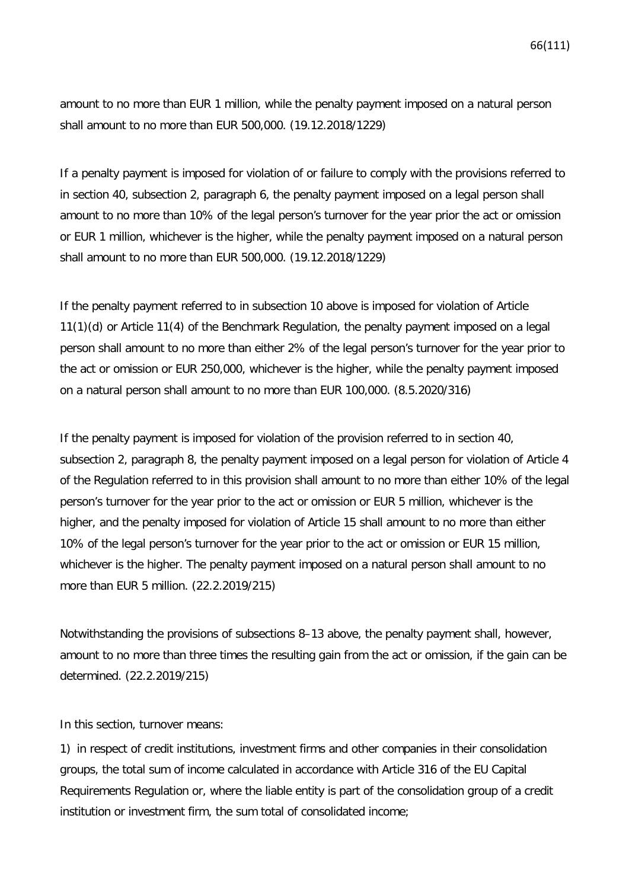amount to no more than EUR 1 million, while the penalty payment imposed on a natural person shall amount to no more than EUR 500,000. (19.12.2018/1229)

If a penalty payment is imposed for violation of or failure to comply with the provisions referred to in section 40, subsection 2, paragraph 6, the penalty payment imposed on a legal person shall amount to no more than 10% of the legal person's turnover for the year prior the act or omission or EUR 1 million, whichever is the higher, while the penalty payment imposed on a natural person shall amount to no more than EUR 500,000. (19.12.2018/1229)

If the penalty payment referred to in subsection 10 above is imposed for violation of Article 11(1)(d) or Article 11(4) of the Benchmark Regulation, the penalty payment imposed on a legal person shall amount to no more than either 2% of the legal person's turnover for the year prior to the act or omission or EUR 250,000, whichever is the higher, while the penalty payment imposed on a natural person shall amount to no more than EUR 100,000. (8.5.2020/316)

If the penalty payment is imposed for violation of the provision referred to in section 40, subsection 2, paragraph 8, the penalty payment imposed on a legal person for violation of Article 4 of the Regulation referred to in this provision shall amount to no more than either 10% of the legal person's turnover for the year prior to the act or omission or EUR 5 million, whichever is the higher, and the penalty imposed for violation of Article 15 shall amount to no more than either 10% of the legal person's turnover for the year prior to the act or omission or EUR 15 million, whichever is the higher. The penalty payment imposed on a natural person shall amount to no more than EUR 5 million. (22.2.2019/215)

Notwithstanding the provisions of subsections 8–13 above, the penalty payment shall, however, amount to no more than three times the resulting gain from the act or omission, if the gain can be determined. (22.2.2019/215)

In this section, turnover means:

1) in respect of credit institutions, investment firms and other companies in their consolidation groups, the total sum of income calculated in accordance with Article 316 of the EU Capital Requirements Regulation or, where the liable entity is part of the consolidation group of a credit institution or investment firm, the sum total of consolidated income;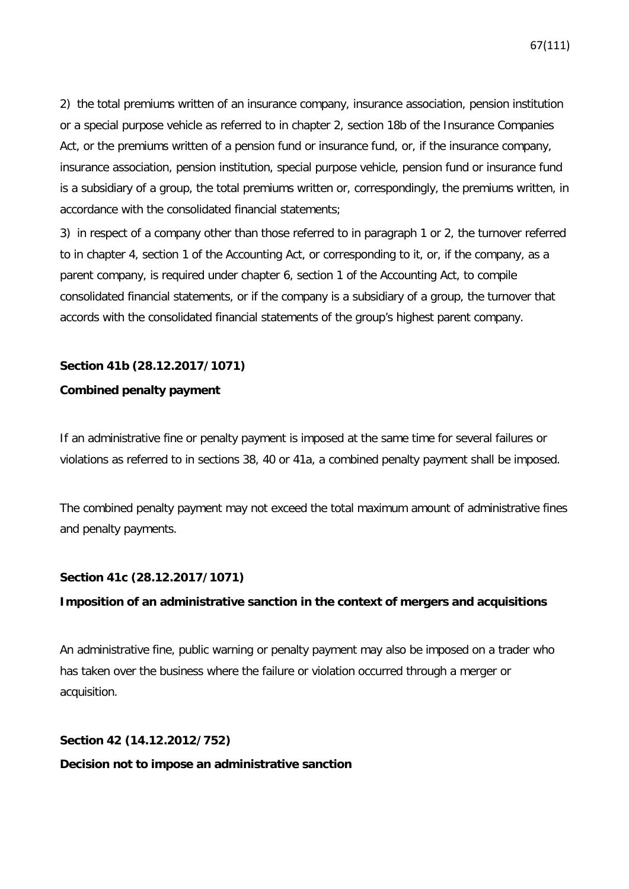2) the total premiums written of an insurance company, insurance association, pension institution or a special purpose vehicle as referred to in chapter 2, section 18b of the Insurance Companies Act, or the premiums written of a pension fund or insurance fund, or, if the insurance company, insurance association, pension institution, special purpose vehicle, pension fund or insurance fund is a subsidiary of a group, the total premiums written or, correspondingly, the premiums written, in accordance with the consolidated financial statements;

3) in respect of a company other than those referred to in paragraph 1 or 2, the turnover referred to in chapter 4, section 1 of the Accounting Act, or corresponding to it, or, if the company, as a parent company, is required under chapter 6, section 1 of the Accounting Act, to compile consolidated financial statements, or if the company is a subsidiary of a group, the turnover that accords with the consolidated financial statements of the group's highest parent company.

# **Section 41b (28.12.2017/1071) Combined penalty payment**

If an administrative fine or penalty payment is imposed at the same time for several failures or violations as referred to in sections 38, 40 or 41a, a combined penalty payment shall be imposed.

The combined penalty payment may not exceed the total maximum amount of administrative fines and penalty payments.

# **Section 41c (28.12.2017/1071)**

### **Imposition of an administrative sanction in the context of mergers and acquisitions**

An administrative fine, public warning or penalty payment may also be imposed on a trader who has taken over the business where the failure or violation occurred through a merger or acquisition.

### **Section 42 (14.12.2012/752)**

### **Decision not to impose an administrative sanction**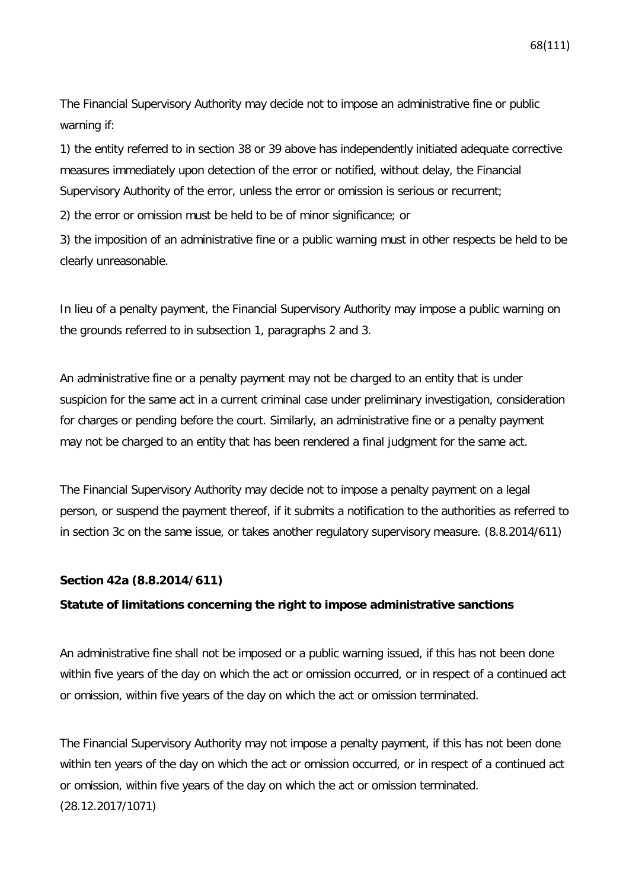The Financial Supervisory Authority may decide not to impose an administrative fine or public warning if:

1) the entity referred to in section 38 or 39 above has independently initiated adequate corrective measures immediately upon detection of the error or notified, without delay, the Financial Supervisory Authority of the error, unless the error or omission is serious or recurrent;

2) the error or omission must be held to be of minor significance; or

3) the imposition of an administrative fine or a public warning must in other respects be held to be clearly unreasonable.

In lieu of a penalty payment, the Financial Supervisory Authority may impose a public warning on the grounds referred to in subsection 1, paragraphs 2 and 3.

An administrative fine or a penalty payment may not be charged to an entity that is under suspicion for the same act in a current criminal case under preliminary investigation, consideration for charges or pending before the court. Similarly, an administrative fine or a penalty payment may not be charged to an entity that has been rendered a final judgment for the same act.

The Financial Supervisory Authority may decide not to impose a penalty payment on a legal person, or suspend the payment thereof, if it submits a notification to the authorities as referred to in section 3c on the same issue, or takes another regulatory supervisory measure. (8.8.2014/611)

### **Section 42a (8.8.2014/611)**

### **Statute of limitations concerning the right to impose administrative sanctions**

An administrative fine shall not be imposed or a public warning issued, if this has not been done within five years of the day on which the act or omission occurred, or in respect of a continued act or omission, within five years of the day on which the act or omission terminated.

The Financial Supervisory Authority may not impose a penalty payment, if this has not been done within ten years of the day on which the act or omission occurred, or in respect of a continued act or omission, within five years of the day on which the act or omission terminated. (28.12.2017/1071)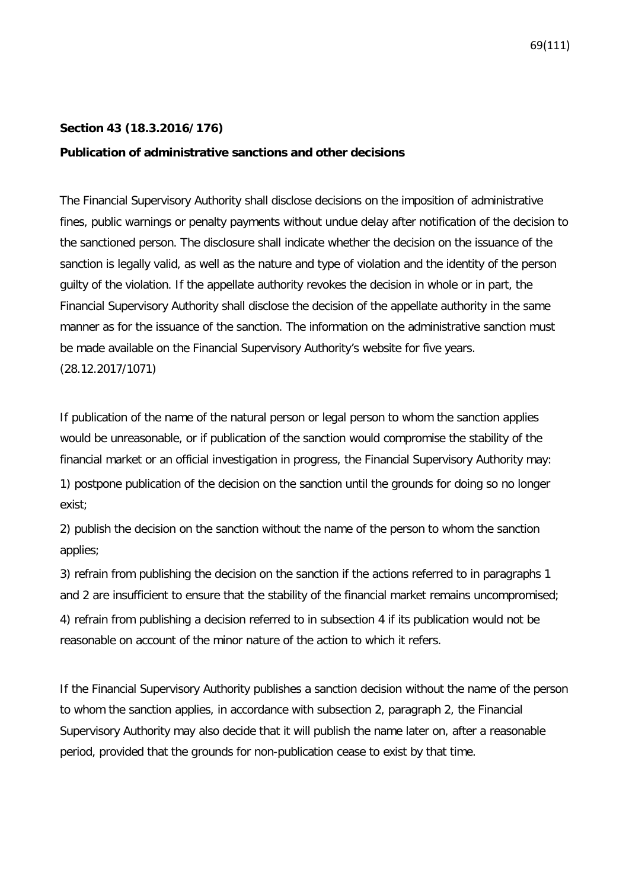### **Section 43 (18.3.2016/176)**

### **Publication of administrative sanctions and other decisions**

The Financial Supervisory Authority shall disclose decisions on the imposition of administrative fines, public warnings or penalty payments without undue delay after notification of the decision to the sanctioned person. The disclosure shall indicate whether the decision on the issuance of the sanction is legally valid, as well as the nature and type of violation and the identity of the person guilty of the violation. If the appellate authority revokes the decision in whole or in part, the Financial Supervisory Authority shall disclose the decision of the appellate authority in the same manner as for the issuance of the sanction. The information on the administrative sanction must be made available on the Financial Supervisory Authority's website for five years. (28.12.2017/1071)

If publication of the name of the natural person or legal person to whom the sanction applies would be unreasonable, or if publication of the sanction would compromise the stability of the financial market or an official investigation in progress, the Financial Supervisory Authority may: 1) postpone publication of the decision on the sanction until the grounds for doing so no longer exist;

2) publish the decision on the sanction without the name of the person to whom the sanction applies;

3) refrain from publishing the decision on the sanction if the actions referred to in paragraphs 1 and 2 are insufficient to ensure that the stability of the financial market remains uncompromised; 4) refrain from publishing a decision referred to in subsection 4 if its publication would not be reasonable on account of the minor nature of the action to which it refers.

If the Financial Supervisory Authority publishes a sanction decision without the name of the person to whom the sanction applies, in accordance with subsection 2, paragraph 2, the Financial Supervisory Authority may also decide that it will publish the name later on, after a reasonable period, provided that the grounds for non-publication cease to exist by that time.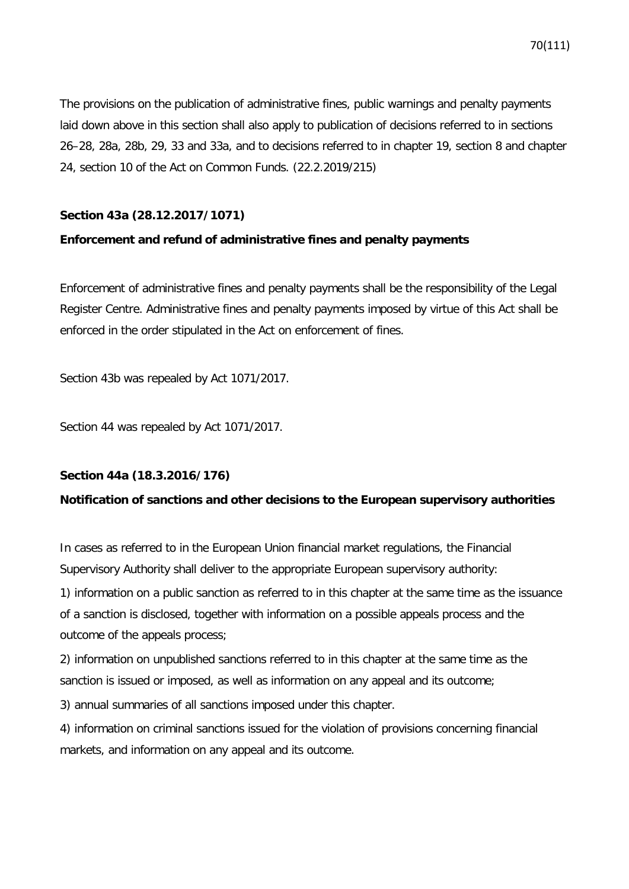The provisions on the publication of administrative fines, public warnings and penalty payments laid down above in this section shall also apply to publication of decisions referred to in sections 26–28, 28a, 28b, 29, 33 and 33a, and to decisions referred to in chapter 19, section 8 and chapter 24, section 10 of the Act on Common Funds. (22.2.2019/215)

# **Section 43a (28.12.2017/1071)**

# **Enforcement and refund of administrative fines and penalty payments**

Enforcement of administrative fines and penalty payments shall be the responsibility of the Legal Register Centre. Administrative fines and penalty payments imposed by virtue of this Act shall be enforced in the order stipulated in the Act on enforcement of fines.

Section 43b was repealed by Act 1071/2017.

Section 44 was repealed by Act 1071/2017.

# **Section 44a (18.3.2016/176)**

# **Notification of sanctions and other decisions to the European supervisory authorities**

In cases as referred to in the European Union financial market regulations, the Financial Supervisory Authority shall deliver to the appropriate European supervisory authority:

1) information on a public sanction as referred to in this chapter at the same time as the issuance of a sanction is disclosed, together with information on a possible appeals process and the outcome of the appeals process;

2) information on unpublished sanctions referred to in this chapter at the same time as the sanction is issued or imposed, as well as information on any appeal and its outcome;

3) annual summaries of all sanctions imposed under this chapter.

4) information on criminal sanctions issued for the violation of provisions concerning financial markets, and information on any appeal and its outcome.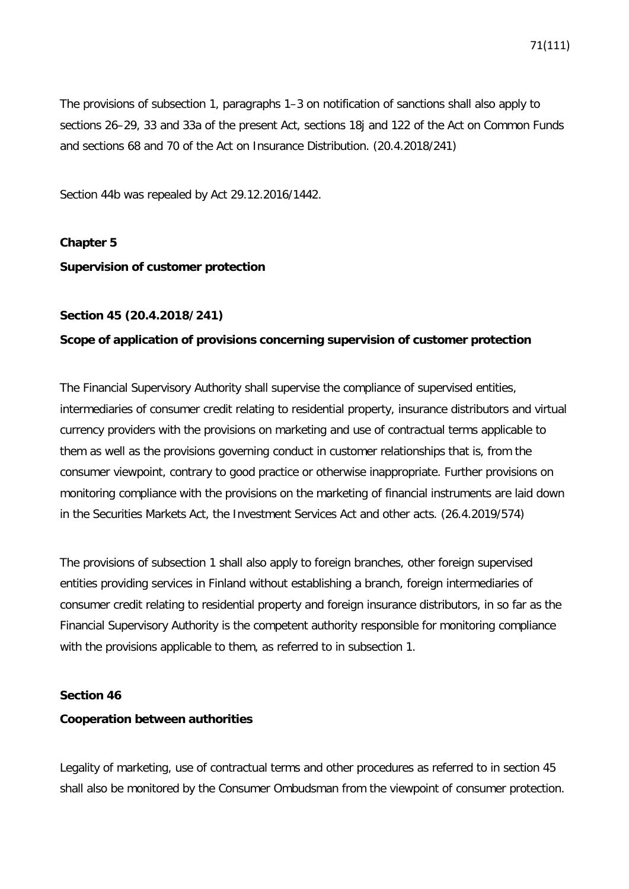The provisions of subsection 1, paragraphs 1–3 on notification of sanctions shall also apply to sections 26–29, 33 and 33a of the present Act, sections 18j and 122 of the Act on Common Funds and sections 68 and 70 of the Act on Insurance Distribution. (20.4.2018/241)

Section 44b was repealed by Act 29.12.2016/1442.

**Chapter 5 Supervision of customer protection**

### **Section 45 (20.4.2018/241)**

# **Scope of application of provisions concerning supervision of customer protection**

The Financial Supervisory Authority shall supervise the compliance of supervised entities, intermediaries of consumer credit relating to residential property, insurance distributors and virtual currency providers with the provisions on marketing and use of contractual terms applicable to them as well as the provisions governing conduct in customer relationships that is, from the consumer viewpoint, contrary to good practice or otherwise inappropriate. Further provisions on monitoring compliance with the provisions on the marketing of financial instruments are laid down in the Securities Markets Act, the Investment Services Act and other acts. (26.4.2019/574)

The provisions of subsection 1 shall also apply to foreign branches, other foreign supervised entities providing services in Finland without establishing a branch, foreign intermediaries of consumer credit relating to residential property and foreign insurance distributors, in so far as the Financial Supervisory Authority is the competent authority responsible for monitoring compliance with the provisions applicable to them, as referred to in subsection 1.

### **Section 46**

### **Cooperation between authorities**

Legality of marketing, use of contractual terms and other procedures as referred to in section 45 shall also be monitored by the Consumer Ombudsman from the viewpoint of consumer protection.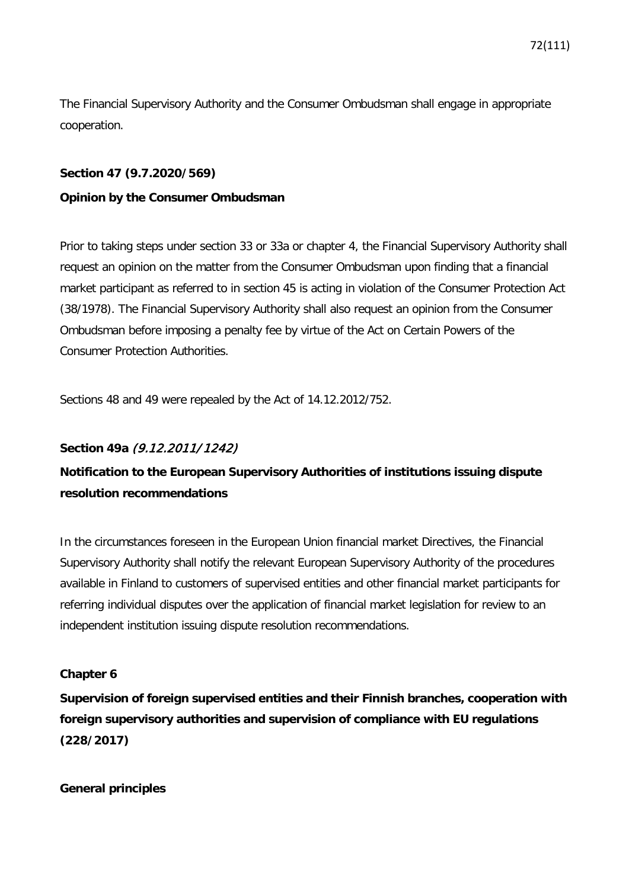The Financial Supervisory Authority and the Consumer Ombudsman shall engage in appropriate cooperation.

### **Section 47 (9.7.2020/569)**

## **Opinion by the Consumer Ombudsman**

Prior to taking steps under section 33 or 33a or chapter 4, the Financial Supervisory Authority shall request an opinion on the matter from the Consumer Ombudsman upon finding that a financial market participant as referred to in section 45 is acting in violation of the Consumer Protection Act (38/1978). The Financial Supervisory Authority shall also request an opinion from the Consumer Ombudsman before imposing a penalty fee by virtue of the Act on Certain Powers of the Consumer Protection Authorities.

Sections 48 and 49 were repealed by the Act of 14.12.2012/752.

# **Section 49a** (9.12.2011/ 1242)

# **Notification to the European Supervisory Authorities of institutions issuing dispute resolution recommendations**

In the circumstances foreseen in the European Union financial market Directives, the Financial Supervisory Authority shall notify the relevant European Supervisory Authority of the procedures available in Finland to customers of supervised entities and other financial market participants for referring individual disputes over the application of financial market legislation for review to an independent institution issuing dispute resolution recommendations.

# **Chapter 6**

**Supervision of foreign supervised entities and their Finnish branches, cooperation with foreign supervisory authorities and supervision of compliance with EU regulations (228/2017)**

**General principles**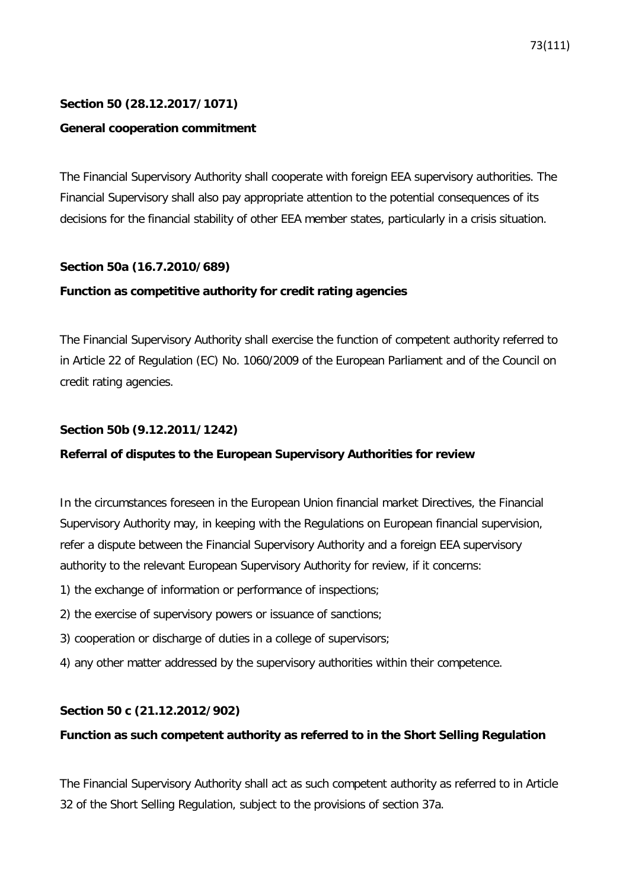# **Section 50 (28.12.2017/1071) General cooperation commitment**

The Financial Supervisory Authority shall cooperate with foreign EEA supervisory authorities. The Financial Supervisory shall also pay appropriate attention to the potential consequences of its decisions for the financial stability of other EEA member states, particularly in a crisis situation.

## **Section 50a (16.7.2010/689)**

## **Function as competitive authority for credit rating agencies**

The Financial Supervisory Authority shall exercise the function of competent authority referred to in Article 22 of Regulation (EC) No. 1060/2009 of the European Parliament and of the Council on credit rating agencies.

## **Section 50b (9.12.2011/1242)**

## **Referral of disputes to the European Supervisory Authorities for review**

In the circumstances foreseen in the European Union financial market Directives, the Financial Supervisory Authority may, in keeping with the Regulations on European financial supervision, refer a dispute between the Financial Supervisory Authority and a foreign EEA supervisory authority to the relevant European Supervisory Authority for review, if it concerns:

- 1) the exchange of information or performance of inspections;
- 2) the exercise of supervisory powers or issuance of sanctions;
- 3) cooperation or discharge of duties in a college of supervisors;
- 4) any other matter addressed by the supervisory authorities within their competence.

## **Section 50 c (21.12.2012/902)**

## **Function as such competent authority as referred to in the Short Selling Regulation**

The Financial Supervisory Authority shall act as such competent authority as referred to in Article 32 of the Short Selling Regulation, subject to the provisions of section 37a.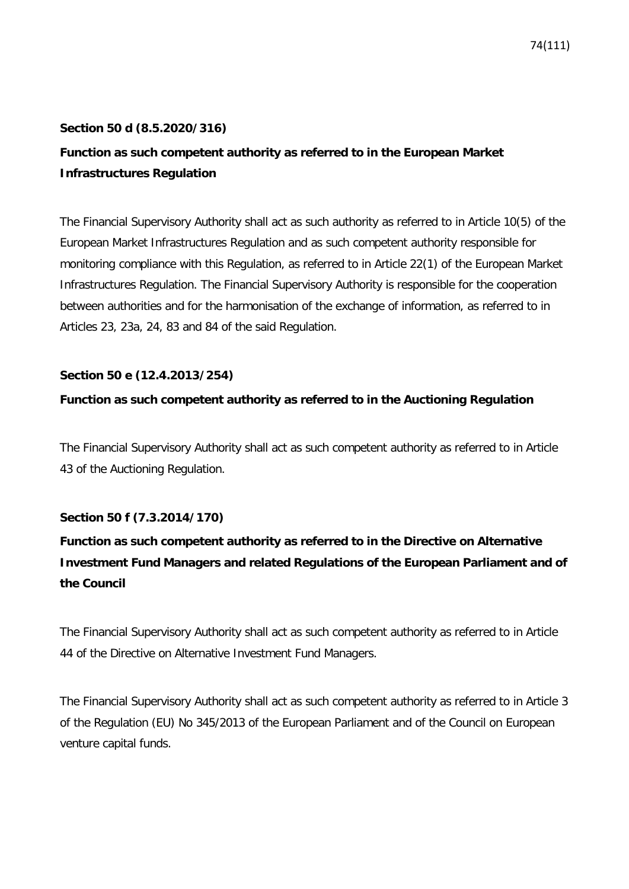## **Section 50 d (8.5.2020/316)**

# **Function as such competent authority as referred to in the European Market Infrastructures Regulation**

The Financial Supervisory Authority shall act as such authority as referred to in Article 10(5) of the European Market Infrastructures Regulation and as such competent authority responsible for monitoring compliance with this Regulation, as referred to in Article 22(1) of the European Market Infrastructures Regulation. The Financial Supervisory Authority is responsible for the cooperation between authorities and for the harmonisation of the exchange of information, as referred to in Articles 23, 23a, 24, 83 and 84 of the said Regulation.

## **Section 50 e (12.4.2013/254)**

## **Function as such competent authority as referred to in the Auctioning Regulation**

The Financial Supervisory Authority shall act as such competent authority as referred to in Article 43 of the Auctioning Regulation.

## **Section 50 f (7.3.2014/170)**

# **Function as such competent authority as referred to in the Directive on Alternative Investment Fund Managers and related Regulations of the European Parliament and of the Council**

The Financial Supervisory Authority shall act as such competent authority as referred to in Article 44 of the Directive on Alternative Investment Fund Managers.

The Financial Supervisory Authority shall act as such competent authority as referred to in Article 3 of the Regulation (EU) No 345/2013 of the European Parliament and of the Council on European venture capital funds.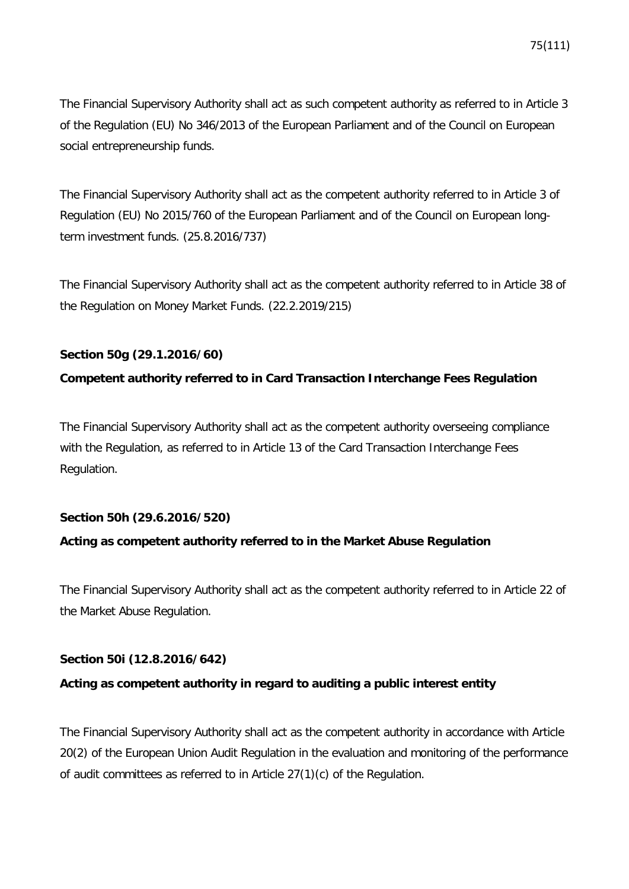The Financial Supervisory Authority shall act as such competent authority as referred to in Article 3 of the Regulation (EU) No 346/2013 of the European Parliament and of the Council on European social entrepreneurship funds.

The Financial Supervisory Authority shall act as the competent authority referred to in Article 3 of Regulation (EU) No 2015/760 of the European Parliament and of the Council on European longterm investment funds. (25.8.2016/737)

The Financial Supervisory Authority shall act as the competent authority referred to in Article 38 of the Regulation on Money Market Funds. (22.2.2019/215)

## **Section 50g (29.1.2016/60)**

### **Competent authority referred to in Card Transaction Interchange Fees Regulation**

The Financial Supervisory Authority shall act as the competent authority overseeing compliance with the Regulation, as referred to in Article 13 of the Card Transaction Interchange Fees Regulation.

### **Section 50h (29.6.2016/520)**

### **Acting as competent authority referred to in the Market Abuse Regulation**

The Financial Supervisory Authority shall act as the competent authority referred to in Article 22 of the Market Abuse Regulation.

## **Section 50i (12.8.2016/642)**

### **Acting as competent authority in regard to auditing a public interest entity**

The Financial Supervisory Authority shall act as the competent authority in accordance with Article 20(2) of the European Union Audit Regulation in the evaluation and monitoring of the performance of audit committees as referred to in Article 27(1)(c) of the Regulation.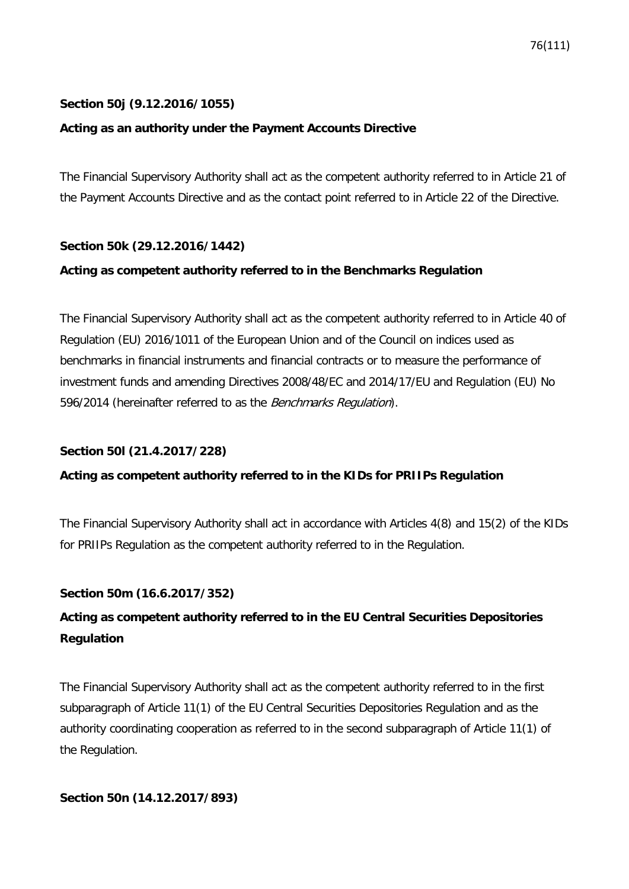## **Section 50j (9.12.2016/1055)**

## **Acting as an authority under the Payment Accounts Directive**

The Financial Supervisory Authority shall act as the competent authority referred to in Article 21 of the Payment Accounts Directive and as the contact point referred to in Article 22 of the Directive.

## **Section 50k (29.12.2016/1442)**

## **Acting as competent authority referred to in the Benchmarks Regulation**

The Financial Supervisory Authority shall act as the competent authority referred to in Article 40 of Regulation (EU) 2016/1011 of the European Union and of the Council on indices used as benchmarks in financial instruments and financial contracts or to measure the performance of investment funds and amending Directives 2008/48/EC and 2014/17/EU and Regulation (EU) No 596/2014 (hereinafter referred to as the Benchmarks Regulation).

## **Section 50l (21.4.2017/228)**

## **Acting as competent authority referred to in the KIDs for PRIIPs Regulation**

The Financial Supervisory Authority shall act in accordance with Articles 4(8) and 15(2) of the KIDs for PRIIPs Regulation as the competent authority referred to in the Regulation.

## **Section 50m (16.6.2017/352)**

# **Acting as competent authority referred to in the EU Central Securities Depositories Regulation**

The Financial Supervisory Authority shall act as the competent authority referred to in the first subparagraph of Article 11(1) of the EU Central Securities Depositories Regulation and as the authority coordinating cooperation as referred to in the second subparagraph of Article 11(1) of the Regulation.

## **Section 50n (14.12.2017/893)**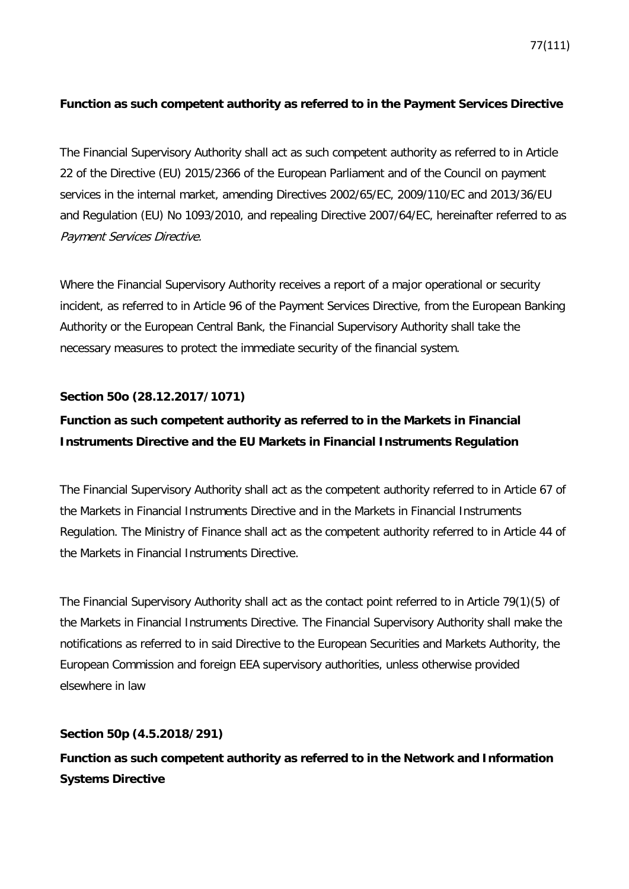## **Function as such competent authority as referred to in the Payment Services Directive**

The Financial Supervisory Authority shall act as such competent authority as referred to in Article 22 of the Directive (EU) 2015/2366 of the European Parliament and of the Council on payment services in the internal market, amending Directives 2002/65/EC, 2009/110/EC and 2013/36/EU and Regulation (EU) No 1093/2010, and repealing Directive 2007/64/EC, hereinafter referred to as Payment Services Directive.

Where the Financial Supervisory Authority receives a report of a major operational or security incident, as referred to in Article 96 of the Payment Services Directive, from the European Banking Authority or the European Central Bank, the Financial Supervisory Authority shall take the necessary measures to protect the immediate security of the financial system.

## **Section 50o (28.12.2017/1071)**

## **Function as such competent authority as referred to in the Markets in Financial Instruments Directive and the EU Markets in Financial Instruments Regulation**

The Financial Supervisory Authority shall act as the competent authority referred to in Article 67 of the Markets in Financial Instruments Directive and in the Markets in Financial Instruments Regulation. The Ministry of Finance shall act as the competent authority referred to in Article 44 of the Markets in Financial Instruments Directive.

The Financial Supervisory Authority shall act as the contact point referred to in Article 79(1)(5) of the Markets in Financial Instruments Directive. The Financial Supervisory Authority shall make the notifications as referred to in said Directive to the European Securities and Markets Authority, the European Commission and foreign EEA supervisory authorities, unless otherwise provided elsewhere in law

### **Section 50p (4.5.2018/291)**

**Function as such competent authority as referred to in the Network and Information Systems Directive**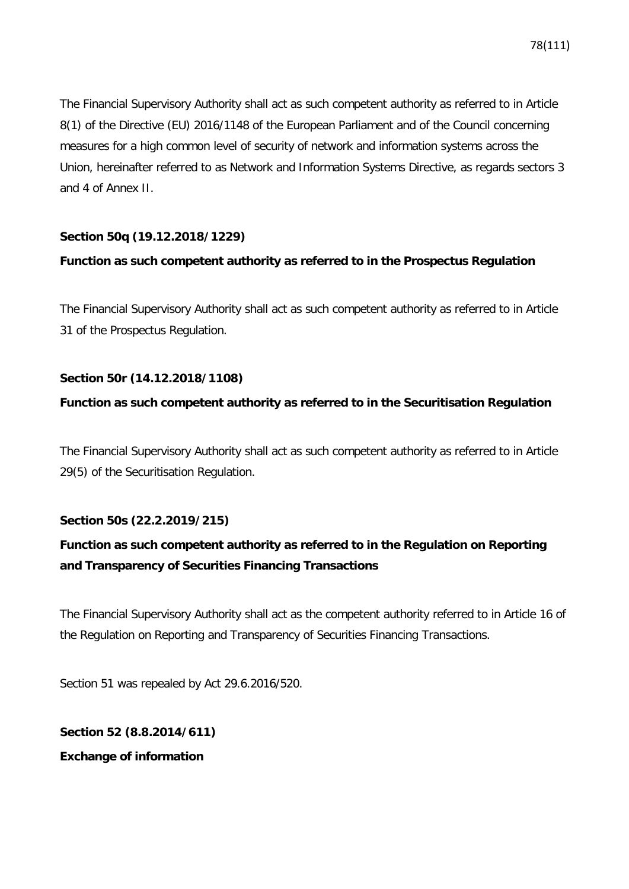The Financial Supervisory Authority shall act as such competent authority as referred to in Article 8(1) of the Directive (EU) 2016/1148 of the European Parliament and of the Council concerning measures for a high common level of security of network and information systems across the Union, hereinafter referred to as Network and Information Systems Directive, as regards sectors 3 and 4 of Annex II.

## **Section 50q (19.12.2018/1229)**

### **Function as such competent authority as referred to in the Prospectus Regulation**

The Financial Supervisory Authority shall act as such competent authority as referred to in Article 31 of the Prospectus Regulation.

### **Section 50r (14.12.2018/1108)**

## **Function as such competent authority as referred to in the Securitisation Regulation**

The Financial Supervisory Authority shall act as such competent authority as referred to in Article 29(5) of the Securitisation Regulation.

## **Section 50s (22.2.2019/215)**

# **Function as such competent authority as referred to in the Regulation on Reporting and Transparency of Securities Financing Transactions**

The Financial Supervisory Authority shall act as the competent authority referred to in Article 16 of the Regulation on Reporting and Transparency of Securities Financing Transactions.

Section 51 was repealed by Act 29.6.2016/520.

# **Section 52 (8.8.2014/611) Exchange of information**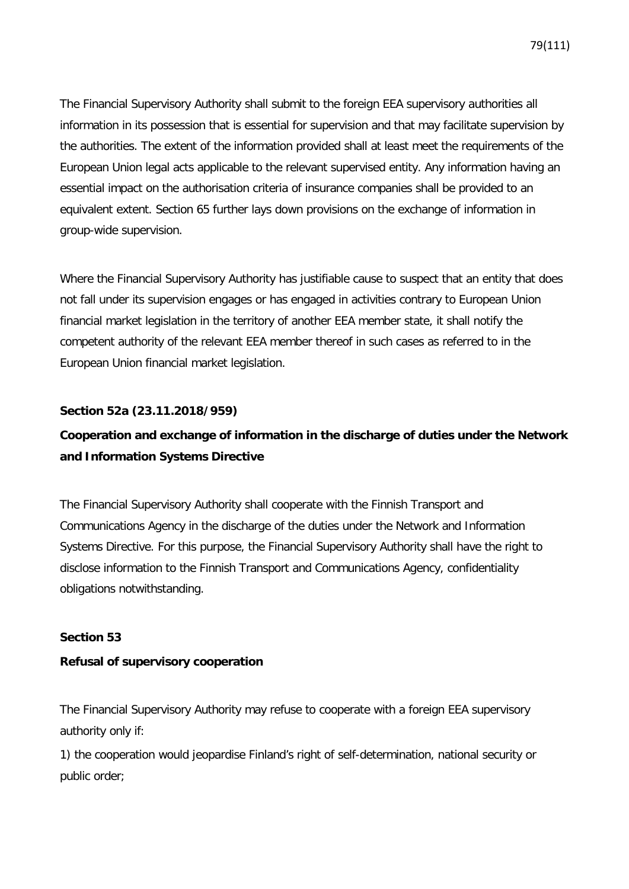The Financial Supervisory Authority shall submit to the foreign EEA supervisory authorities all information in its possession that is essential for supervision and that may facilitate supervision by the authorities. The extent of the information provided shall at least meet the requirements of the European Union legal acts applicable to the relevant supervised entity. Any information having an essential impact on the authorisation criteria of insurance companies shall be provided to an equivalent extent. Section 65 further lays down provisions on the exchange of information in group-wide supervision.

Where the Financial Supervisory Authority has justifiable cause to suspect that an entity that does not fall under its supervision engages or has engaged in activities contrary to European Union financial market legislation in the territory of another EEA member state, it shall notify the competent authority of the relevant EEA member thereof in such cases as referred to in the European Union financial market legislation.

### **Section 52a (23.11.2018/959)**

## **Cooperation and exchange of information in the discharge of duties under the Network and Information Systems Directive**

The Financial Supervisory Authority shall cooperate with the Finnish Transport and Communications Agency in the discharge of the duties under the Network and Information Systems Directive. For this purpose, the Financial Supervisory Authority shall have the right to disclose information to the Finnish Transport and Communications Agency, confidentiality obligations notwithstanding.

### **Section 53**

### **Refusal of supervisory cooperation**

The Financial Supervisory Authority may refuse to cooperate with a foreign EEA supervisory authority only if:

1) the cooperation would jeopardise Finland's right of self-determination, national security or public order;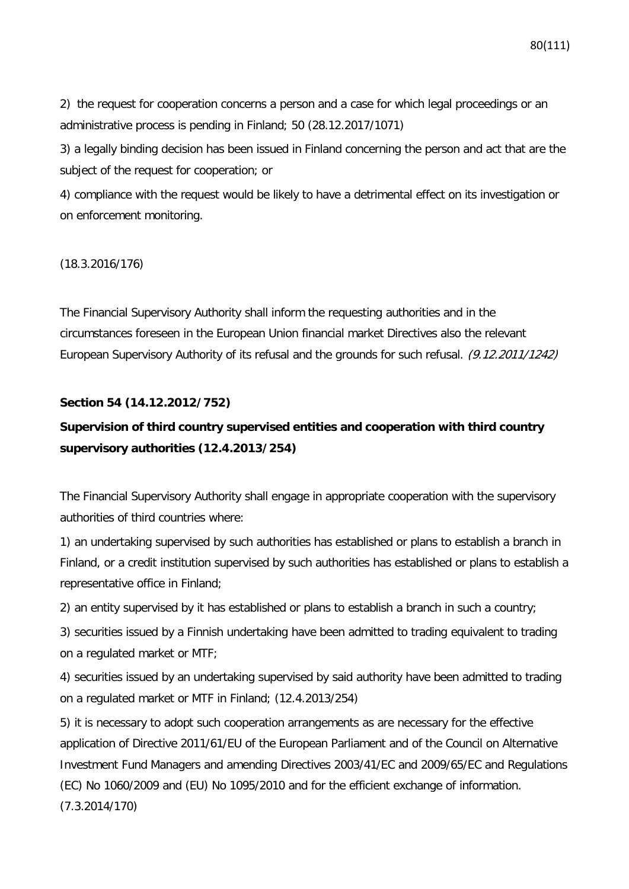2) the request for cooperation concerns a person and a case for which legal proceedings or an administrative process is pending in Finland; 50 (28.12.2017/1071)

3) a legally binding decision has been issued in Finland concerning the person and act that are the subject of the request for cooperation; or

4) compliance with the request would be likely to have a detrimental effect on its investigation or on enforcement monitoring.

### (18.3.2016/176)

The Financial Supervisory Authority shall inform the requesting authorities and in the circumstances foreseen in the European Union financial market Directives also the relevant European Supervisory Authority of its refusal and the grounds for such refusal. (9.12.2011/1242)

### **Section 54 (14.12.2012/752)**

## **Supervision of third country supervised entities and cooperation with third country supervisory authorities (12.4.2013/254)**

The Financial Supervisory Authority shall engage in appropriate cooperation with the supervisory authorities of third countries where:

1) an undertaking supervised by such authorities has established or plans to establish a branch in Finland, or a credit institution supervised by such authorities has established or plans to establish a representative office in Finland;

2) an entity supervised by it has established or plans to establish a branch in such a country;

3) securities issued by a Finnish undertaking have been admitted to trading equivalent to trading on a regulated market or MTF;

4) securities issued by an undertaking supervised by said authority have been admitted to trading on a regulated market or MTF in Finland; (12.4.2013/254)

5) it is necessary to adopt such cooperation arrangements as are necessary for the effective application of Directive 2011/61/EU of the European Parliament and of the Council on Alternative Investment Fund Managers and amending Directives 2003/41/EC and 2009/65/EC and Regulations (EC) No 1060/2009 and (EU) No 1095/2010 and for the efficient exchange of information. (7.3.2014/170)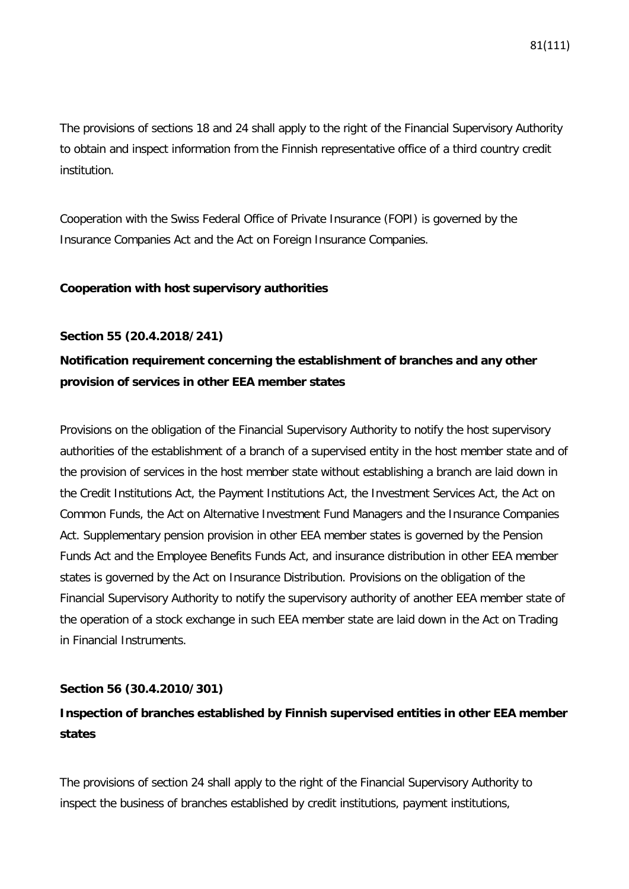The provisions of sections 18 and 24 shall apply to the right of the Financial Supervisory Authority to obtain and inspect information from the Finnish representative office of a third country credit institution.

Cooperation with the Swiss Federal Office of Private Insurance (FOPI) is governed by the Insurance Companies Act and the Act on Foreign Insurance Companies.

### **Cooperation with host supervisory authorities**

### **Section 55 (20.4.2018/241)**

## **Notification requirement concerning the establishment of branches and any other provision of services in other EEA member states**

Provisions on the obligation of the Financial Supervisory Authority to notify the host supervisory authorities of the establishment of a branch of a supervised entity in the host member state and of the provision of services in the host member state without establishing a branch are laid down in the Credit Institutions Act, the Payment Institutions Act, the Investment Services Act, the Act on Common Funds, the Act on Alternative Investment Fund Managers and the Insurance Companies Act. Supplementary pension provision in other EEA member states is governed by the Pension Funds Act and the Employee Benefits Funds Act, and insurance distribution in other EEA member states is governed by the Act on Insurance Distribution. Provisions on the obligation of the Financial Supervisory Authority to notify the supervisory authority of another EEA member state of the operation of a stock exchange in such EEA member state are laid down in the Act on Trading in Financial Instruments.

## **Section 56 (30.4.2010/301)**

# **Inspection of branches established by Finnish supervised entities in other EEA member states**

The provisions of section 24 shall apply to the right of the Financial Supervisory Authority to inspect the business of branches established by credit institutions, payment institutions,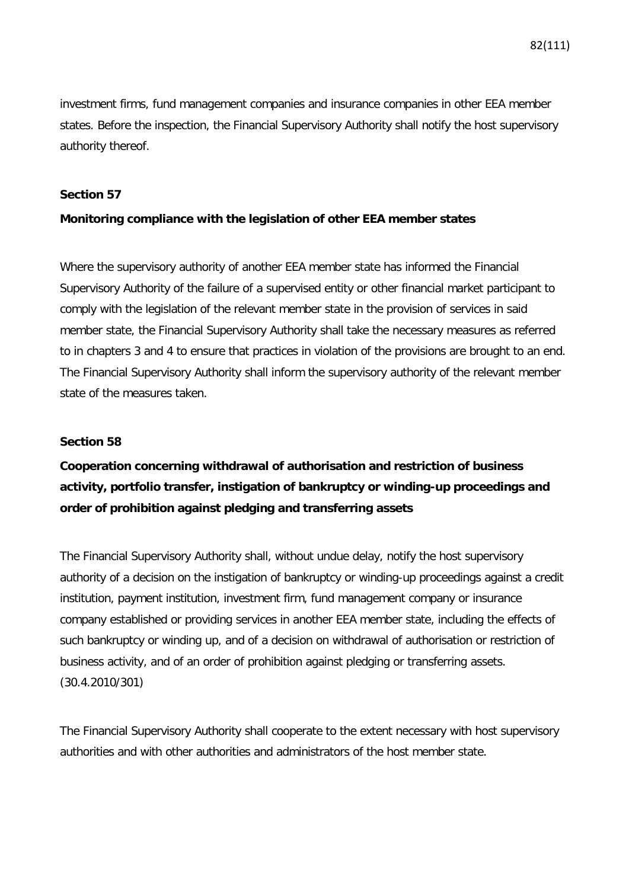investment firms, fund management companies and insurance companies in other EEA member states. Before the inspection, the Financial Supervisory Authority shall notify the host supervisory authority thereof.

### **Section 57**

### **Monitoring compliance with the legislation of other EEA member states**

Where the supervisory authority of another EEA member state has informed the Financial Supervisory Authority of the failure of a supervised entity or other financial market participant to comply with the legislation of the relevant member state in the provision of services in said member state, the Financial Supervisory Authority shall take the necessary measures as referred to in chapters 3 and 4 to ensure that practices in violation of the provisions are brought to an end. The Financial Supervisory Authority shall inform the supervisory authority of the relevant member state of the measures taken.

### **Section 58**

**Cooperation concerning withdrawal of authorisation and restriction of business activity, portfolio transfer, instigation of bankruptcy or winding-up proceedings and order of prohibition against pledging and transferring assets**

The Financial Supervisory Authority shall, without undue delay, notify the host supervisory authority of a decision on the instigation of bankruptcy or winding-up proceedings against a credit institution, payment institution, investment firm, fund management company or insurance company established or providing services in another EEA member state, including the effects of such bankruptcy or winding up, and of a decision on withdrawal of authorisation or restriction of business activity, and of an order of prohibition against pledging or transferring assets. (30.4.2010/301)

The Financial Supervisory Authority shall cooperate to the extent necessary with host supervisory authorities and with other authorities and administrators of the host member state.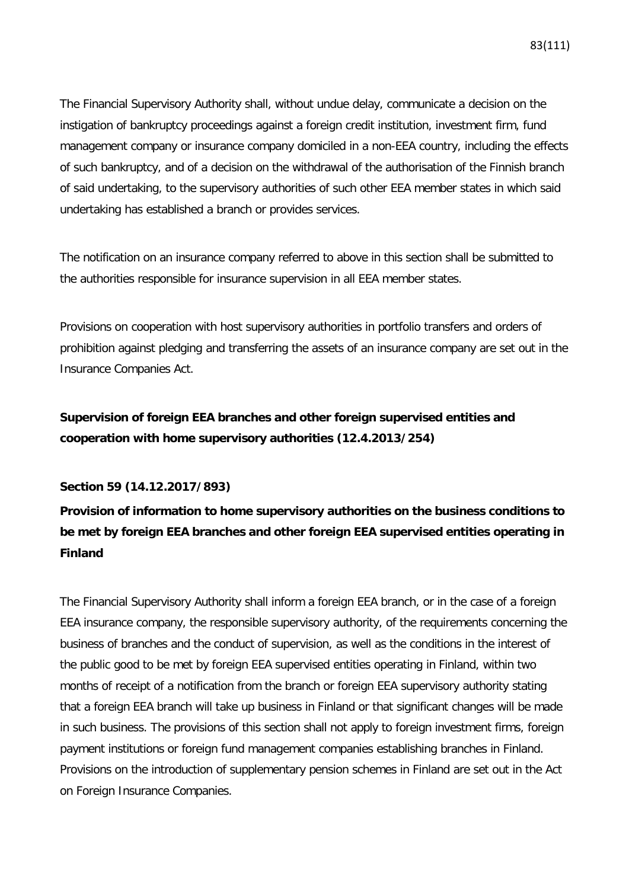The Financial Supervisory Authority shall, without undue delay, communicate a decision on the instigation of bankruptcy proceedings against a foreign credit institution, investment firm, fund management company or insurance company domiciled in a non-EEA country, including the effects of such bankruptcy, and of a decision on the withdrawal of the authorisation of the Finnish branch of said undertaking, to the supervisory authorities of such other EEA member states in which said undertaking has established a branch or provides services.

The notification on an insurance company referred to above in this section shall be submitted to the authorities responsible for insurance supervision in all EEA member states.

Provisions on cooperation with host supervisory authorities in portfolio transfers and orders of prohibition against pledging and transferring the assets of an insurance company are set out in the Insurance Companies Act.

# **Supervision of foreign EEA branches and other foreign supervised entities and cooperation with home supervisory authorities (12.4.2013/254)**

## **Section 59 (14.12.2017/893)**

# **Provision of information to home supervisory authorities on the business conditions to be met by foreign EEA branches and other foreign EEA supervised entities operating in Finland**

The Financial Supervisory Authority shall inform a foreign EEA branch, or in the case of a foreign EEA insurance company, the responsible supervisory authority, of the requirements concerning the business of branches and the conduct of supervision, as well as the conditions in the interest of the public good to be met by foreign EEA supervised entities operating in Finland, within two months of receipt of a notification from the branch or foreign EEA supervisory authority stating that a foreign EEA branch will take up business in Finland or that significant changes will be made in such business. The provisions of this section shall not apply to foreign investment firms, foreign payment institutions or foreign fund management companies establishing branches in Finland. Provisions on the introduction of supplementary pension schemes in Finland are set out in the Act on Foreign Insurance Companies.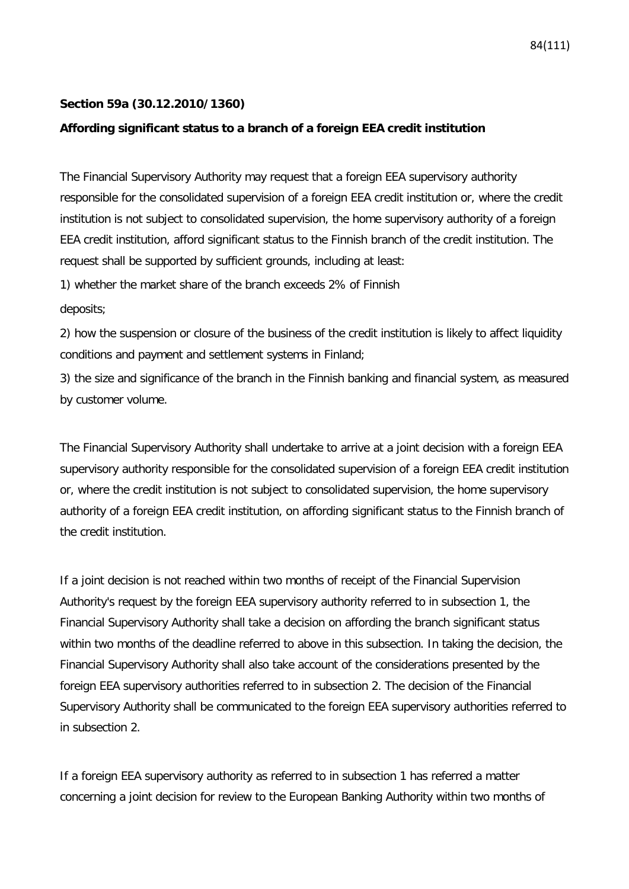### **Section 59a (30.12.2010/1360)**

#### **Affording significant status to a branch of a foreign EEA credit institution**

The Financial Supervisory Authority may request that a foreign EEA supervisory authority responsible for the consolidated supervision of a foreign EEA credit institution or, where the credit institution is not subject to consolidated supervision, the home supervisory authority of a foreign EEA credit institution, afford significant status to the Finnish branch of the credit institution. The request shall be supported by sufficient grounds, including at least:

1) whether the market share of the branch exceeds 2% of Finnish

deposits;

2) how the suspension or closure of the business of the credit institution is likely to affect liquidity conditions and payment and settlement systems in Finland;

3) the size and significance of the branch in the Finnish banking and financial system, as measured by customer volume.

The Financial Supervisory Authority shall undertake to arrive at a joint decision with a foreign EEA supervisory authority responsible for the consolidated supervision of a foreign EEA credit institution or, where the credit institution is not subject to consolidated supervision, the home supervisory authority of a foreign EEA credit institution, on affording significant status to the Finnish branch of the credit institution.

If a joint decision is not reached within two months of receipt of the Financial Supervision Authority's request by the foreign EEA supervisory authority referred to in subsection 1, the Financial Supervisory Authority shall take a decision on affording the branch significant status within two months of the deadline referred to above in this subsection. In taking the decision, the Financial Supervisory Authority shall also take account of the considerations presented by the foreign EEA supervisory authorities referred to in subsection 2. The decision of the Financial Supervisory Authority shall be communicated to the foreign EEA supervisory authorities referred to in subsection 2.

If a foreign EEA supervisory authority as referred to in subsection 1 has referred a matter concerning a joint decision for review to the European Banking Authority within two months of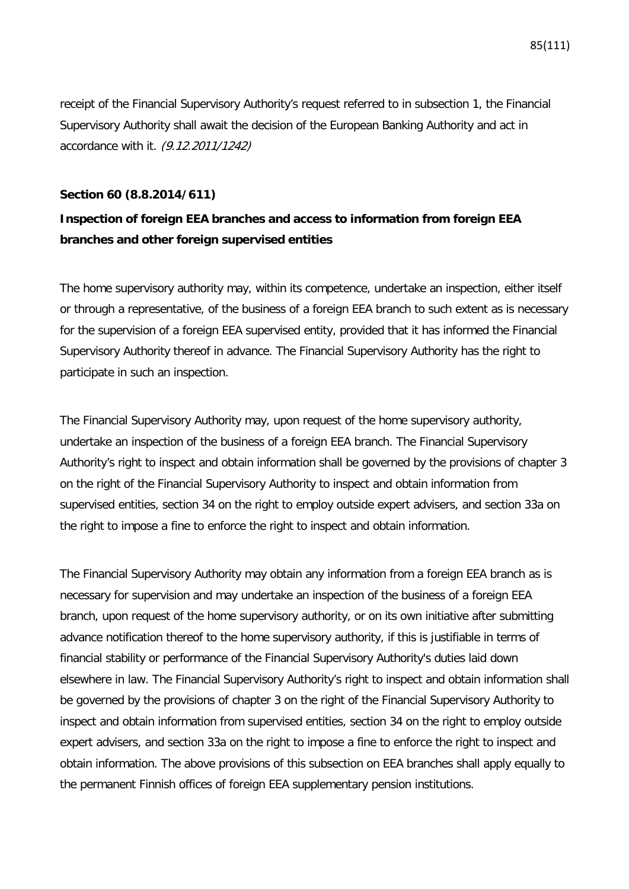receipt of the Financial Supervisory Authority's request referred to in subsection 1, the Financial Supervisory Authority shall await the decision of the European Banking Authority and act in accordance with it. (9.12.2011/1242)

#### **Section 60 (8.8.2014/611)**

## **Inspection of foreign EEA branches and access to information from foreign EEA branches and other foreign supervised entities**

The home supervisory authority may, within its competence, undertake an inspection, either itself or through a representative, of the business of a foreign EEA branch to such extent as is necessary for the supervision of a foreign EEA supervised entity, provided that it has informed the Financial Supervisory Authority thereof in advance. The Financial Supervisory Authority has the right to participate in such an inspection.

The Financial Supervisory Authority may, upon request of the home supervisory authority, undertake an inspection of the business of a foreign EEA branch. The Financial Supervisory Authority's right to inspect and obtain information shall be governed by the provisions of chapter 3 on the right of the Financial Supervisory Authority to inspect and obtain information from supervised entities, section 34 on the right to employ outside expert advisers, and section 33a on the right to impose a fine to enforce the right to inspect and obtain information.

The Financial Supervisory Authority may obtain any information from a foreign EEA branch as is necessary for supervision and may undertake an inspection of the business of a foreign EEA branch, upon request of the home supervisory authority, or on its own initiative after submitting advance notification thereof to the home supervisory authority, if this is justifiable in terms of financial stability or performance of the Financial Supervisory Authority's duties laid down elsewhere in law. The Financial Supervisory Authority's right to inspect and obtain information shall be governed by the provisions of chapter 3 on the right of the Financial Supervisory Authority to inspect and obtain information from supervised entities, section 34 on the right to employ outside expert advisers, and section 33a on the right to impose a fine to enforce the right to inspect and obtain information. The above provisions of this subsection on EEA branches shall apply equally to the permanent Finnish offices of foreign EEA supplementary pension institutions.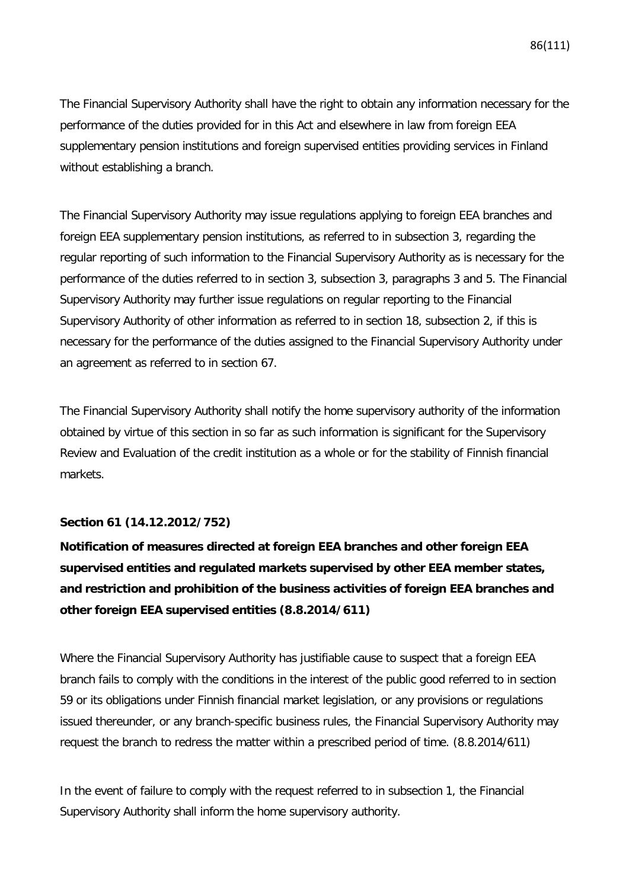The Financial Supervisory Authority shall have the right to obtain any information necessary for the performance of the duties provided for in this Act and elsewhere in law from foreign EEA supplementary pension institutions and foreign supervised entities providing services in Finland without establishing a branch.

The Financial Supervisory Authority may issue regulations applying to foreign EEA branches and foreign EEA supplementary pension institutions, as referred to in subsection 3, regarding the regular reporting of such information to the Financial Supervisory Authority as is necessary for the performance of the duties referred to in section 3, subsection 3, paragraphs 3 and 5. The Financial Supervisory Authority may further issue regulations on regular reporting to the Financial Supervisory Authority of other information as referred to in section 18, subsection 2, if this is necessary for the performance of the duties assigned to the Financial Supervisory Authority under an agreement as referred to in section 67.

The Financial Supervisory Authority shall notify the home supervisory authority of the information obtained by virtue of this section in so far as such information is significant for the Supervisory Review and Evaluation of the credit institution as a whole or for the stability of Finnish financial markets.

## **Section 61 (14.12.2012/752)**

**Notification of measures directed at foreign EEA branches and other foreign EEA supervised entities and regulated markets supervised by other EEA member states, and restriction and prohibition of the business activities of foreign EEA branches and other foreign EEA supervised entities (8.8.2014/611)**

Where the Financial Supervisory Authority has justifiable cause to suspect that a foreign EEA branch fails to comply with the conditions in the interest of the public good referred to in section 59 or its obligations under Finnish financial market legislation, or any provisions or regulations issued thereunder, or any branch-specific business rules, the Financial Supervisory Authority may request the branch to redress the matter within a prescribed period of time. (8.8.2014/611)

In the event of failure to comply with the request referred to in subsection 1, the Financial Supervisory Authority shall inform the home supervisory authority.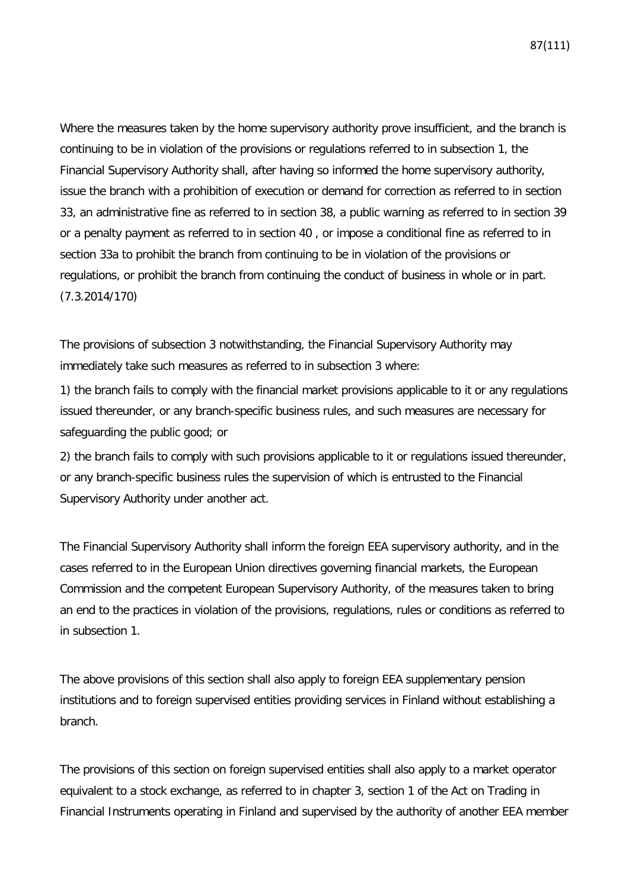Where the measures taken by the home supervisory authority prove insufficient, and the branch is continuing to be in violation of the provisions or regulations referred to in subsection 1, the Financial Supervisory Authority shall, after having so informed the home supervisory authority, issue the branch with a prohibition of execution or demand for correction as referred to in section 33, an administrative fine as referred to in section 38, a public warning as referred to in section 39 or a penalty payment as referred to in section 40 , or impose a conditional fine as referred to in section 33a to prohibit the branch from continuing to be in violation of the provisions or regulations, or prohibit the branch from continuing the conduct of business in whole or in part. (7.3.2014/170)

The provisions of subsection 3 notwithstanding, the Financial Supervisory Authority may immediately take such measures as referred to in subsection 3 where:

1) the branch fails to comply with the financial market provisions applicable to it or any regulations issued thereunder, or any branch-specific business rules, and such measures are necessary for safeguarding the public good; or

2) the branch fails to comply with such provisions applicable to it or regulations issued thereunder, or any branch-specific business rules the supervision of which is entrusted to the Financial Supervisory Authority under another act.

The Financial Supervisory Authority shall inform the foreign EEA supervisory authority, and in the cases referred to in the European Union directives governing financial markets, the European Commission and the competent European Supervisory Authority, of the measures taken to bring an end to the practices in violation of the provisions, regulations, rules or conditions as referred to in subsection 1.

The above provisions of this section shall also apply to foreign EEA supplementary pension institutions and to foreign supervised entities providing services in Finland without establishing a branch.

The provisions of this section on foreign supervised entities shall also apply to a market operator equivalent to a stock exchange, as referred to in chapter 3, section 1 of the Act on Trading in Financial Instruments operating in Finland and supervised by the authority of another EEA member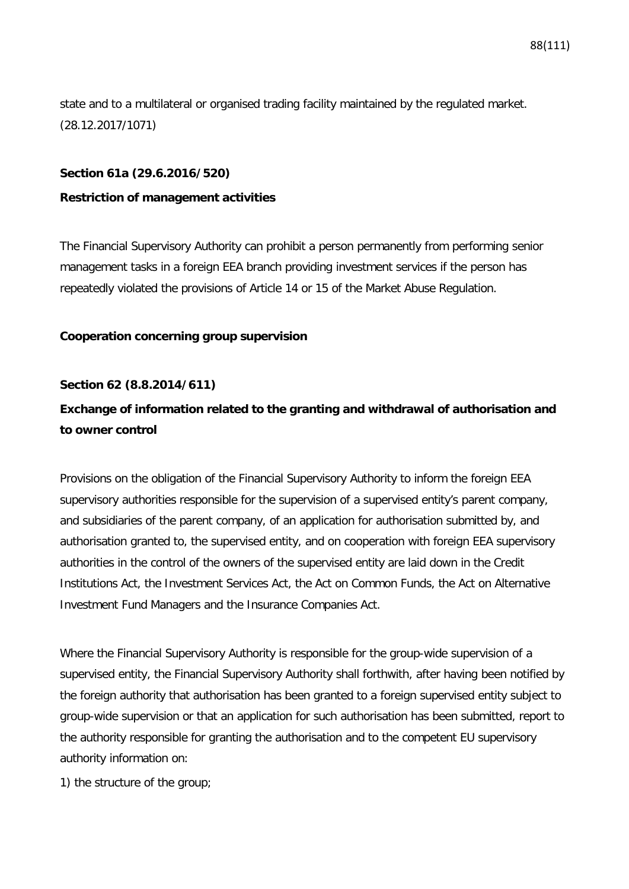state and to a multilateral or organised trading facility maintained by the regulated market. (28.12.2017/1071)

### **Section 61a (29.6.2016/520)**

### **Restriction of management activities**

The Financial Supervisory Authority can prohibit a person permanently from performing senior management tasks in a foreign EEA branch providing investment services if the person has repeatedly violated the provisions of Article 14 or 15 of the Market Abuse Regulation.

### **Cooperation concerning group supervision**

### **Section 62 (8.8.2014/611)**

# **Exchange of information related to the granting and withdrawal of authorisation and to owner control**

Provisions on the obligation of the Financial Supervisory Authority to inform the foreign EEA supervisory authorities responsible for the supervision of a supervised entity's parent company, and subsidiaries of the parent company, of an application for authorisation submitted by, and authorisation granted to, the supervised entity, and on cooperation with foreign EEA supervisory authorities in the control of the owners of the supervised entity are laid down in the Credit Institutions Act, the Investment Services Act, the Act on Common Funds, the Act on Alternative Investment Fund Managers and the Insurance Companies Act.

Where the Financial Supervisory Authority is responsible for the group-wide supervision of a supervised entity, the Financial Supervisory Authority shall forthwith, after having been notified by the foreign authority that authorisation has been granted to a foreign supervised entity subject to group-wide supervision or that an application for such authorisation has been submitted, report to the authority responsible for granting the authorisation and to the competent EU supervisory authority information on:

1) the structure of the group;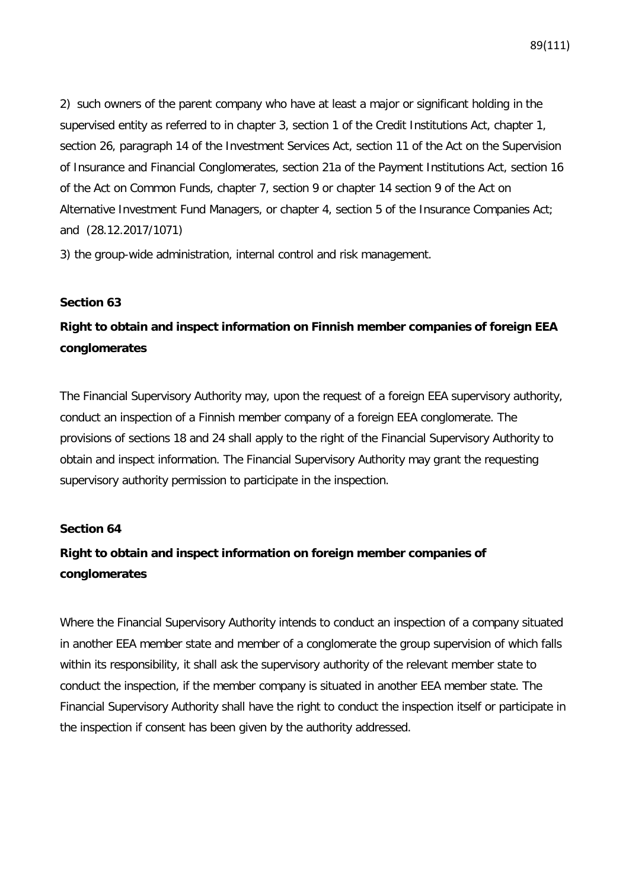2) such owners of the parent company who have at least a major or significant holding in the supervised entity as referred to in chapter 3, section 1 of the Credit Institutions Act, chapter 1, section 26, paragraph 14 of the Investment Services Act, section 11 of the Act on the Supervision of Insurance and Financial Conglomerates, section 21a of the Payment Institutions Act, section 16 of the Act on Common Funds, chapter 7, section 9 or chapter 14 section 9 of the Act on Alternative Investment Fund Managers, or chapter 4, section 5 of the Insurance Companies Act; and (28.12.2017/1071)

3) the group-wide administration, internal control and risk management.

## **Section 63**

# **Right to obtain and inspect information on Finnish member companies of foreign EEA conglomerates**

The Financial Supervisory Authority may, upon the request of a foreign EEA supervisory authority, conduct an inspection of a Finnish member company of a foreign EEA conglomerate. The provisions of sections 18 and 24 shall apply to the right of the Financial Supervisory Authority to obtain and inspect information. The Financial Supervisory Authority may grant the requesting supervisory authority permission to participate in the inspection.

## **Section 64**

# **Right to obtain and inspect information on foreign member companies of conglomerates**

Where the Financial Supervisory Authority intends to conduct an inspection of a company situated in another EEA member state and member of a conglomerate the group supervision of which falls within its responsibility, it shall ask the supervisory authority of the relevant member state to conduct the inspection, if the member company is situated in another EEA member state. The Financial Supervisory Authority shall have the right to conduct the inspection itself or participate in the inspection if consent has been given by the authority addressed.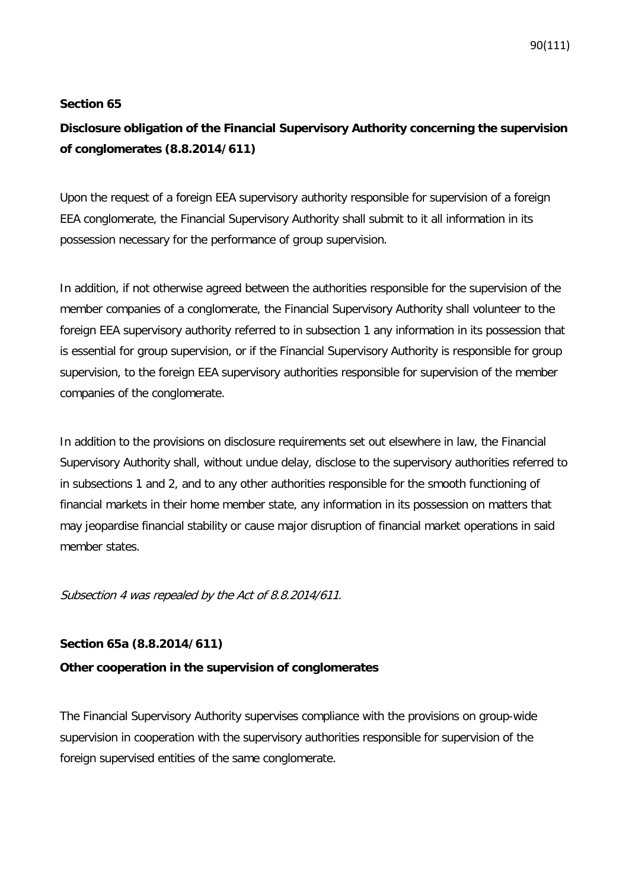### **Section 65**

# **Disclosure obligation of the Financial Supervisory Authority concerning the supervision of conglomerates (8.8.2014/611)**

Upon the request of a foreign EEA supervisory authority responsible for supervision of a foreign EEA conglomerate, the Financial Supervisory Authority shall submit to it all information in its possession necessary for the performance of group supervision.

In addition, if not otherwise agreed between the authorities responsible for the supervision of the member companies of a conglomerate, the Financial Supervisory Authority shall volunteer to the foreign EEA supervisory authority referred to in subsection 1 any information in its possession that is essential for group supervision, or if the Financial Supervisory Authority is responsible for group supervision, to the foreign EEA supervisory authorities responsible for supervision of the member companies of the conglomerate.

In addition to the provisions on disclosure requirements set out elsewhere in law, the Financial Supervisory Authority shall, without undue delay, disclose to the supervisory authorities referred to in subsections 1 and 2, and to any other authorities responsible for the smooth functioning of financial markets in their home member state, any information in its possession on matters that may jeopardise financial stability or cause major disruption of financial market operations in said member states.

Subsection 4 was repealed by the Act of 8.8.2014/611.

### **Section 65a (8.8.2014/611)**

### **Other cooperation in the supervision of conglomerates**

The Financial Supervisory Authority supervises compliance with the provisions on group-wide supervision in cooperation with the supervisory authorities responsible for supervision of the foreign supervised entities of the same conglomerate.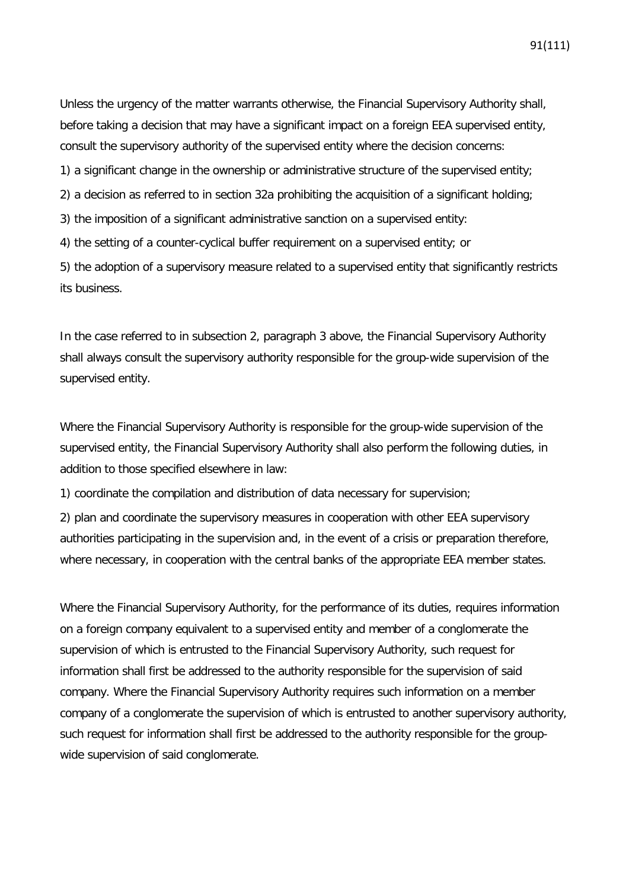Unless the urgency of the matter warrants otherwise, the Financial Supervisory Authority shall, before taking a decision that may have a significant impact on a foreign EEA supervised entity, consult the supervisory authority of the supervised entity where the decision concerns:

1) a significant change in the ownership or administrative structure of the supervised entity;

2) a decision as referred to in section 32a prohibiting the acquisition of a significant holding;

3) the imposition of a significant administrative sanction on a supervised entity:

4) the setting of a counter-cyclical buffer requirement on a supervised entity; or

5) the adoption of a supervisory measure related to a supervised entity that significantly restricts its business.

In the case referred to in subsection 2, paragraph 3 above, the Financial Supervisory Authority shall always consult the supervisory authority responsible for the group-wide supervision of the supervised entity.

Where the Financial Supervisory Authority is responsible for the group-wide supervision of the supervised entity, the Financial Supervisory Authority shall also perform the following duties, in addition to those specified elsewhere in law:

1) coordinate the compilation and distribution of data necessary for supervision;

2) plan and coordinate the supervisory measures in cooperation with other EEA supervisory authorities participating in the supervision and, in the event of a crisis or preparation therefore, where necessary, in cooperation with the central banks of the appropriate EEA member states.

Where the Financial Supervisory Authority, for the performance of its duties, requires information on a foreign company equivalent to a supervised entity and member of a conglomerate the supervision of which is entrusted to the Financial Supervisory Authority, such request for information shall first be addressed to the authority responsible for the supervision of said company. Where the Financial Supervisory Authority requires such information on a member company of a conglomerate the supervision of which is entrusted to another supervisory authority, such request for information shall first be addressed to the authority responsible for the groupwide supervision of said conglomerate.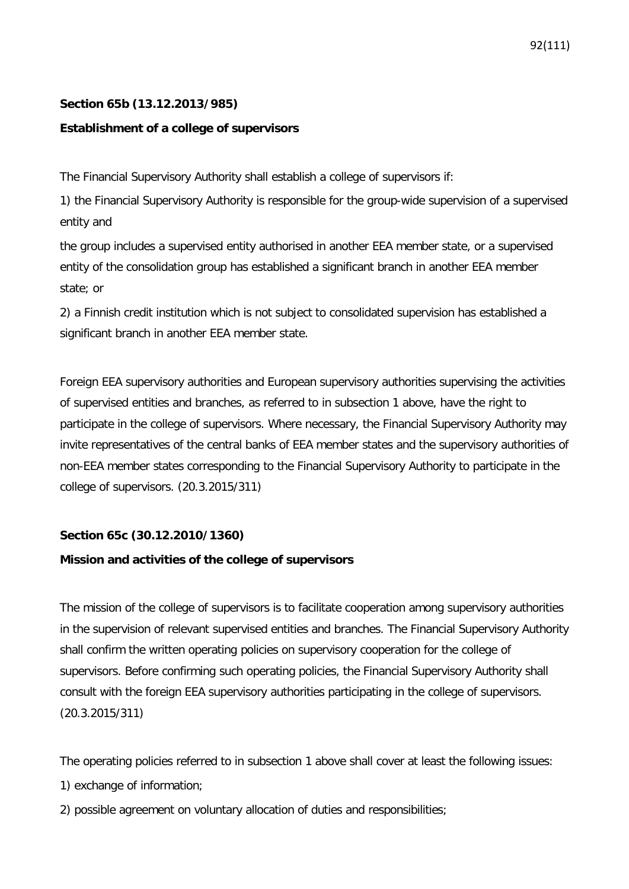## **Section 65b (13.12.2013/985)**

### **Establishment of a college of supervisors**

The Financial Supervisory Authority shall establish a college of supervisors if:

1) the Financial Supervisory Authority is responsible for the group-wide supervision of a supervised entity and

the group includes a supervised entity authorised in another EEA member state, or a supervised entity of the consolidation group has established a significant branch in another EEA member state; or

2) a Finnish credit institution which is not subject to consolidated supervision has established a significant branch in another EEA member state.

Foreign EEA supervisory authorities and European supervisory authorities supervising the activities of supervised entities and branches, as referred to in subsection 1 above, have the right to participate in the college of supervisors. Where necessary, the Financial Supervisory Authority may invite representatives of the central banks of EEA member states and the supervisory authorities of non-EEA member states corresponding to the Financial Supervisory Authority to participate in the college of supervisors. (20.3.2015/311)

## **Section 65c (30.12.2010/1360)**

### **Mission and activities of the college of supervisors**

The mission of the college of supervisors is to facilitate cooperation among supervisory authorities in the supervision of relevant supervised entities and branches. The Financial Supervisory Authority shall confirm the written operating policies on supervisory cooperation for the college of supervisors. Before confirming such operating policies, the Financial Supervisory Authority shall consult with the foreign EEA supervisory authorities participating in the college of supervisors. (20.3.2015/311)

The operating policies referred to in subsection 1 above shall cover at least the following issues:

- 1) exchange of information;
- 2) possible agreement on voluntary allocation of duties and responsibilities;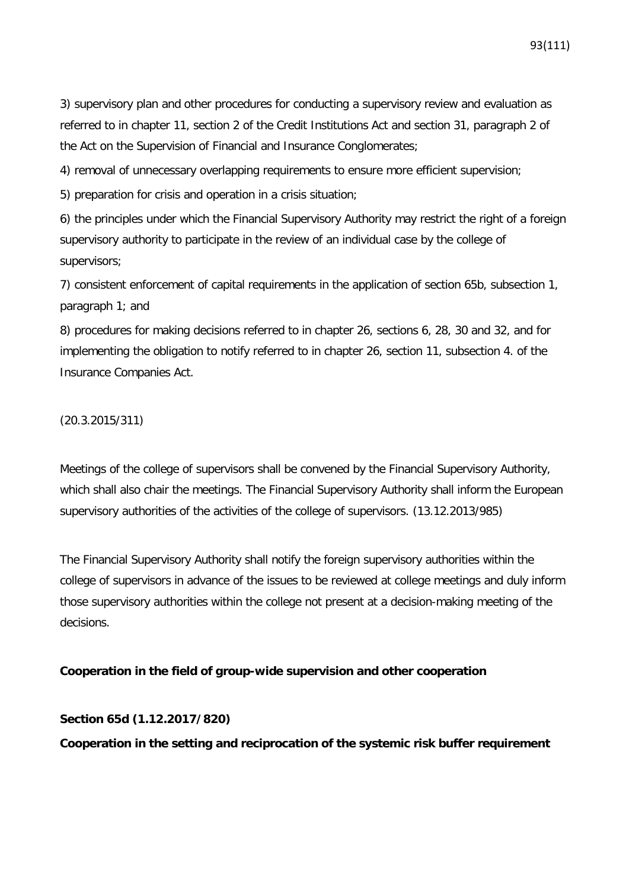3) supervisory plan and other procedures for conducting a supervisory review and evaluation as referred to in chapter 11, section 2 of the Credit Institutions Act and section 31, paragraph 2 of the Act on the Supervision of Financial and Insurance Conglomerates;

4) removal of unnecessary overlapping requirements to ensure more efficient supervision;

5) preparation for crisis and operation in a crisis situation;

6) the principles under which the Financial Supervisory Authority may restrict the right of a foreign supervisory authority to participate in the review of an individual case by the college of supervisors;

7) consistent enforcement of capital requirements in the application of section 65b, subsection 1, paragraph 1; and

8) procedures for making decisions referred to in chapter 26, sections 6, 28, 30 and 32, and for implementing the obligation to notify referred to in chapter 26, section 11, subsection 4. of the Insurance Companies Act.

(20.3.2015/311)

Meetings of the college of supervisors shall be convened by the Financial Supervisory Authority, which shall also chair the meetings. The Financial Supervisory Authority shall inform the European supervisory authorities of the activities of the college of supervisors. (13.12.2013/985)

The Financial Supervisory Authority shall notify the foreign supervisory authorities within the college of supervisors in advance of the issues to be reviewed at college meetings and duly inform those supervisory authorities within the college not present at a decision-making meeting of the decisions.

#### **Cooperation in the field of group-wide supervision and other cooperation**

### **Section 65d (1.12.2017/820)**

**Cooperation in the setting and reciprocation of the systemic risk buffer requirement**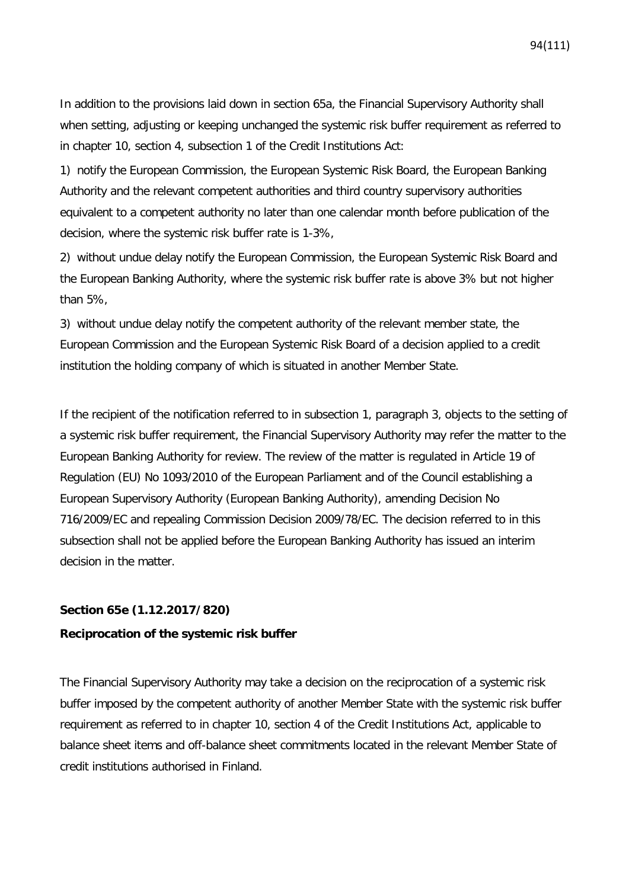In addition to the provisions laid down in section 65a, the Financial Supervisory Authority shall when setting, adjusting or keeping unchanged the systemic risk buffer requirement as referred to in chapter 10, section 4, subsection 1 of the Credit Institutions Act:

1) notify the European Commission, the European Systemic Risk Board, the European Banking Authority and the relevant competent authorities and third country supervisory authorities equivalent to a competent authority no later than one calendar month before publication of the decision, where the systemic risk buffer rate is 1-3%,

2) without undue delay notify the European Commission, the European Systemic Risk Board and the European Banking Authority, where the systemic risk buffer rate is above 3% but not higher than 5%,

3) without undue delay notify the competent authority of the relevant member state, the European Commission and the European Systemic Risk Board of a decision applied to a credit institution the holding company of which is situated in another Member State.

If the recipient of the notification referred to in subsection 1, paragraph 3, objects to the setting of a systemic risk buffer requirement, the Financial Supervisory Authority may refer the matter to the European Banking Authority for review. The review of the matter is regulated in Article 19 of Regulation (EU) No 1093/2010 of the European Parliament and of the Council establishing a European Supervisory Authority (European Banking Authority), amending Decision No 716/2009/EC and repealing Commission Decision 2009/78/EC. The decision referred to in this subsection shall not be applied before the European Banking Authority has issued an interim decision in the matter.

### **Section 65e (1.12.2017/820)**

### **Reciprocation of the systemic risk buffer**

The Financial Supervisory Authority may take a decision on the reciprocation of a systemic risk buffer imposed by the competent authority of another Member State with the systemic risk buffer requirement as referred to in chapter 10, section 4 of the Credit Institutions Act, applicable to balance sheet items and off-balance sheet commitments located in the relevant Member State of credit institutions authorised in Finland.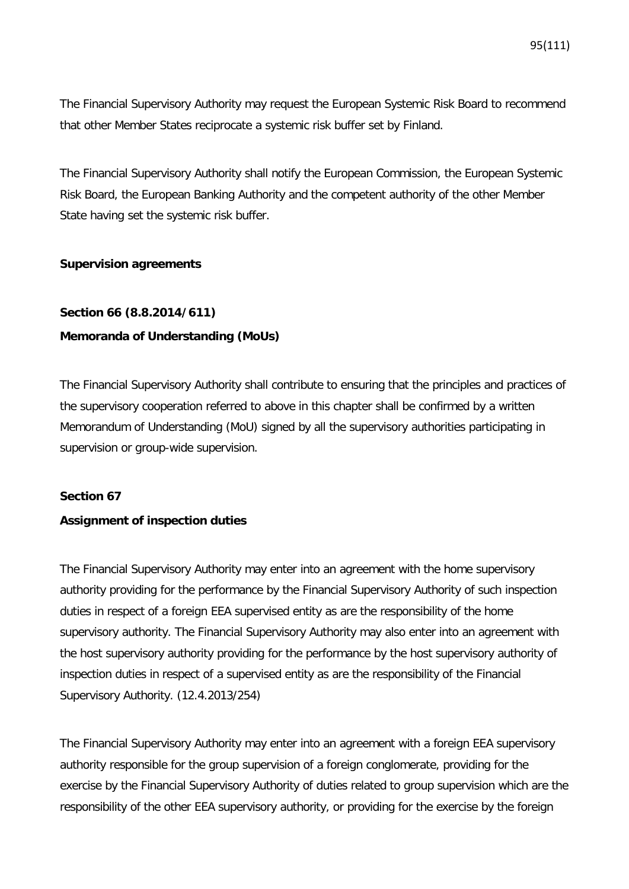The Financial Supervisory Authority may request the European Systemic Risk Board to recommend that other Member States reciprocate a systemic risk buffer set by Finland.

The Financial Supervisory Authority shall notify the European Commission, the European Systemic Risk Board, the European Banking Authority and the competent authority of the other Member State having set the systemic risk buffer.

### **Supervision agreements**

# **Section 66 (8.8.2014/611) Memoranda of Understanding (MoUs)**

The Financial Supervisory Authority shall contribute to ensuring that the principles and practices of the supervisory cooperation referred to above in this chapter shall be confirmed by a written Memorandum of Understanding (MoU) signed by all the supervisory authorities participating in supervision or group-wide supervision.

#### **Section 67**

### **Assignment of inspection duties**

The Financial Supervisory Authority may enter into an agreement with the home supervisory authority providing for the performance by the Financial Supervisory Authority of such inspection duties in respect of a foreign EEA supervised entity as are the responsibility of the home supervisory authority. The Financial Supervisory Authority may also enter into an agreement with the host supervisory authority providing for the performance by the host supervisory authority of inspection duties in respect of a supervised entity as are the responsibility of the Financial Supervisory Authority. (12.4.2013/254)

The Financial Supervisory Authority may enter into an agreement with a foreign EEA supervisory authority responsible for the group supervision of a foreign conglomerate, providing for the exercise by the Financial Supervisory Authority of duties related to group supervision which are the responsibility of the other EEA supervisory authority, or providing for the exercise by the foreign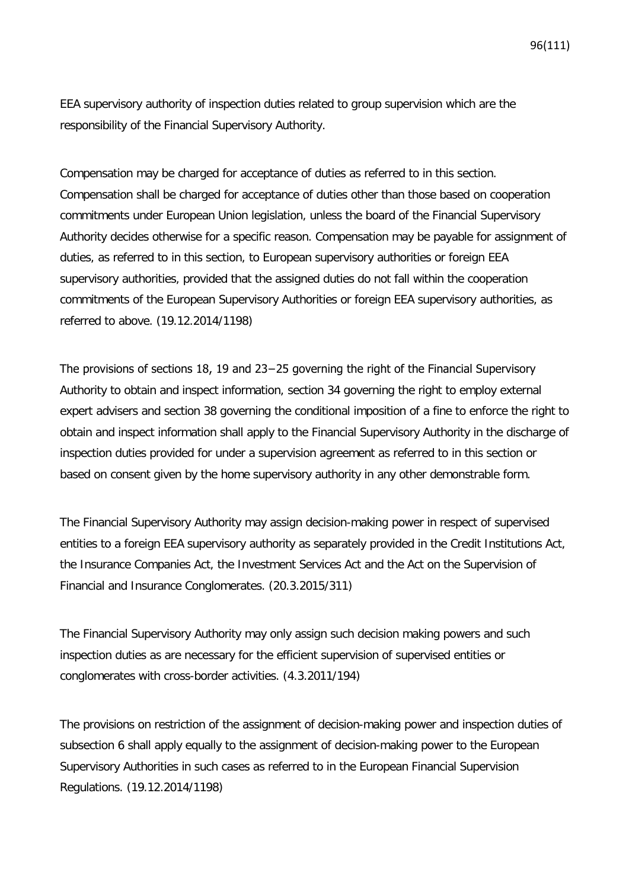EEA supervisory authority of inspection duties related to group supervision which are the responsibility of the Financial Supervisory Authority.

Compensation may be charged for acceptance of duties as referred to in this section. Compensation shall be charged for acceptance of duties other than those based on cooperation commitments under European Union legislation, unless the board of the Financial Supervisory Authority decides otherwise for a specific reason. Compensation may be payable for assignment of duties, as referred to in this section, to European supervisory authorities or foreign EEA supervisory authorities, provided that the assigned duties do not fall within the cooperation commitments of the European Supervisory Authorities or foreign EEA supervisory authorities, as referred to above. (19.12.2014/1198)

The provisions of sections 18, 19 and 23−25 governing the right of the Financial Supervisory Authority to obtain and inspect information, section 34 governing the right to employ external expert advisers and section 38 governing the conditional imposition of a fine to enforce the right to obtain and inspect information shall apply to the Financial Supervisory Authority in the discharge of inspection duties provided for under a supervision agreement as referred to in this section or based on consent given by the home supervisory authority in any other demonstrable form.

The Financial Supervisory Authority may assign decision-making power in respect of supervised entities to a foreign EEA supervisory authority as separately provided in the Credit Institutions Act, the Insurance Companies Act, the Investment Services Act and the Act on the Supervision of Financial and Insurance Conglomerates. (20.3.2015/311)

The Financial Supervisory Authority may only assign such decision making powers and such inspection duties as are necessary for the efficient supervision of supervised entities or conglomerates with cross-border activities. (4.3.2011/194)

The provisions on restriction of the assignment of decision-making power and inspection duties of subsection 6 shall apply equally to the assignment of decision-making power to the European Supervisory Authorities in such cases as referred to in the European Financial Supervision Regulations. (19.12.2014/1198)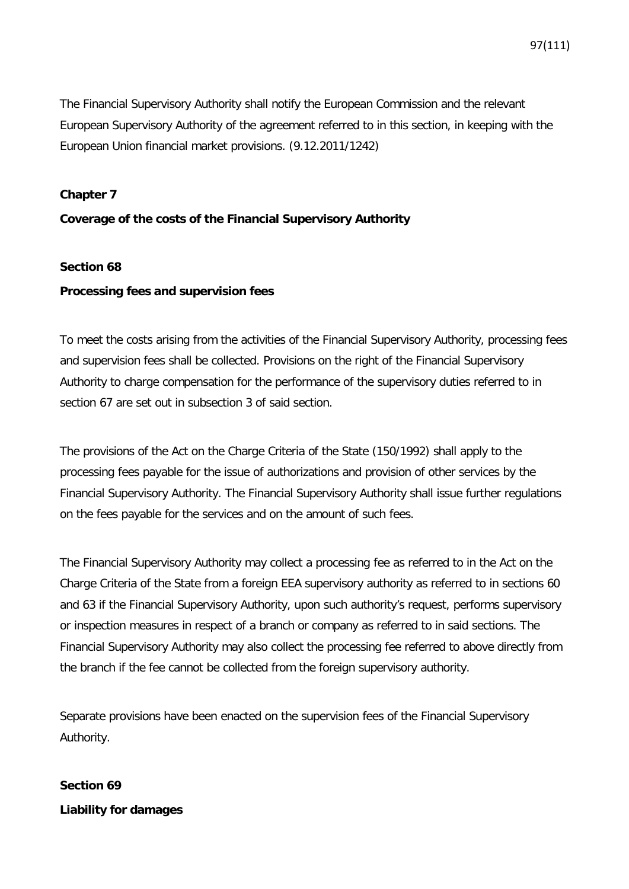The Financial Supervisory Authority shall notify the European Commission and the relevant European Supervisory Authority of the agreement referred to in this section, in keeping with the European Union financial market provisions. (9.12.2011/1242)

### **Chapter 7**

### **Coverage of the costs of the Financial Supervisory Authority**

### **Section 68**

### **Processing fees and supervision fees**

To meet the costs arising from the activities of the Financial Supervisory Authority, processing fees and supervision fees shall be collected. Provisions on the right of the Financial Supervisory Authority to charge compensation for the performance of the supervisory duties referred to in section 67 are set out in subsection 3 of said section.

The provisions of the Act on the Charge Criteria of the State (150/1992) shall apply to the processing fees payable for the issue of authorizations and provision of other services by the Financial Supervisory Authority. The Financial Supervisory Authority shall issue further regulations on the fees payable for the services and on the amount of such fees.

The Financial Supervisory Authority may collect a processing fee as referred to in the Act on the Charge Criteria of the State from a foreign EEA supervisory authority as referred to in sections 60 and 63 if the Financial Supervisory Authority, upon such authority's request, performs supervisory or inspection measures in respect of a branch or company as referred to in said sections. The Financial Supervisory Authority may also collect the processing fee referred to above directly from the branch if the fee cannot be collected from the foreign supervisory authority.

Separate provisions have been enacted on the supervision fees of the Financial Supervisory Authority.

# **Section 69 Liability for damages**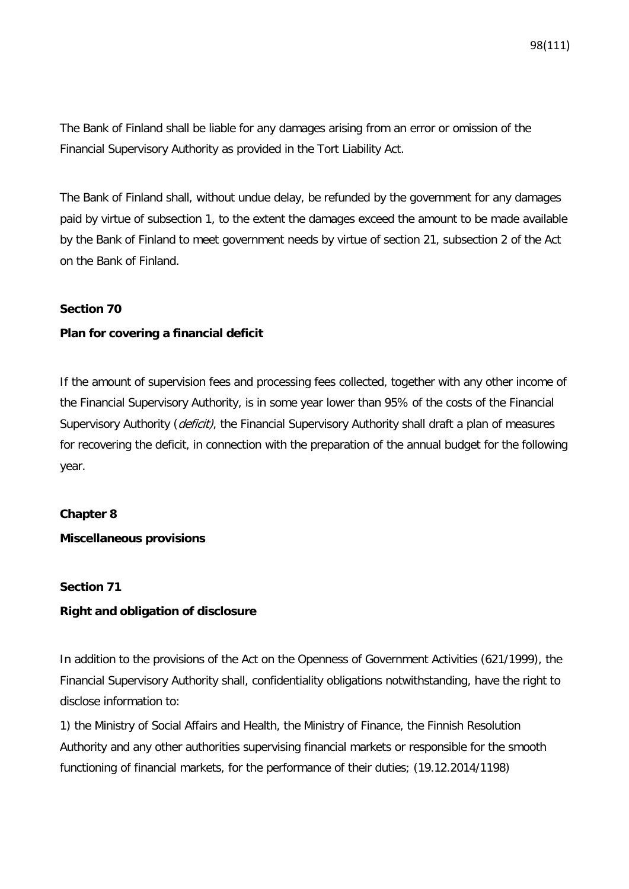The Bank of Finland shall be liable for any damages arising from an error or omission of the Financial Supervisory Authority as provided in the Tort Liability Act.

The Bank of Finland shall, without undue delay, be refunded by the government for any damages paid by virtue of subsection 1, to the extent the damages exceed the amount to be made available by the Bank of Finland to meet government needs by virtue of section 21, subsection 2 of the Act on the Bank of Finland.

### **Section 70**

### **Plan for covering a financial deficit**

If the amount of supervision fees and processing fees collected, together with any other income of the Financial Supervisory Authority, is in some year lower than 95% of the costs of the Financial Supervisory Authority (*deficit)*, the Financial Supervisory Authority shall draft a plan of measures for recovering the deficit, in connection with the preparation of the annual budget for the following year.

#### **Chapter 8**

#### **Miscellaneous provisions**

### **Section 71**

### **Right and obligation of disclosure**

In addition to the provisions of the Act on the Openness of Government Activities (621/1999), the Financial Supervisory Authority shall, confidentiality obligations notwithstanding, have the right to disclose information to:

1) the Ministry of Social Affairs and Health, the Ministry of Finance, the Finnish Resolution Authority and any other authorities supervising financial markets or responsible for the smooth functioning of financial markets, for the performance of their duties; (19.12.2014/1198)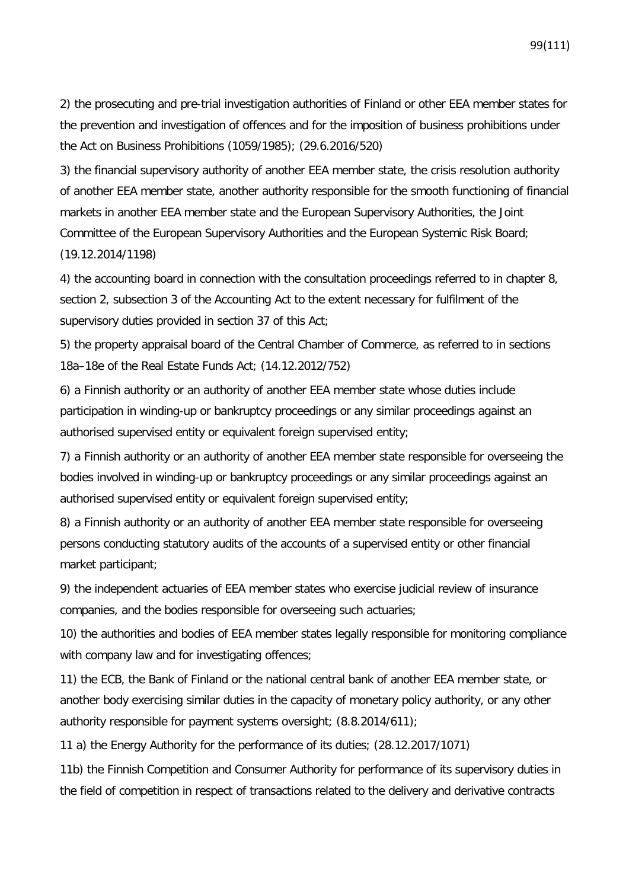2) the prosecuting and pre-trial investigation authorities of Finland or other EEA member states for the prevention and investigation of offences and for the imposition of business prohibitions under the Act on Business Prohibitions (1059/1985); (29.6.2016/520)

3) the financial supervisory authority of another EEA member state, the crisis resolution authority of another EEA member state, another authority responsible for the smooth functioning of financial markets in another EEA member state and the European Supervisory Authorities, the Joint Committee of the European Supervisory Authorities and the European Systemic Risk Board; (19.12.2014/1198)

4) the accounting board in connection with the consultation proceedings referred to in chapter 8, section 2, subsection 3 of the Accounting Act to the extent necessary for fulfilment of the supervisory duties provided in section 37 of this Act;

5) the property appraisal board of the Central Chamber of Commerce, as referred to in sections 18a–18e of the Real Estate Funds Act; (14.12.2012/752)

6) a Finnish authority or an authority of another EEA member state whose duties include participation in winding-up or bankruptcy proceedings or any similar proceedings against an authorised supervised entity or equivalent foreign supervised entity;

7) a Finnish authority or an authority of another EEA member state responsible for overseeing the bodies involved in winding-up or bankruptcy proceedings or any similar proceedings against an authorised supervised entity or equivalent foreign supervised entity;

8) a Finnish authority or an authority of another EEA member state responsible for overseeing persons conducting statutory audits of the accounts of a supervised entity or other financial market participant;

9) the independent actuaries of EEA member states who exercise judicial review of insurance companies, and the bodies responsible for overseeing such actuaries;

10) the authorities and bodies of EEA member states legally responsible for monitoring compliance with company law and for investigating offences;

11) the ECB, the Bank of Finland or the national central bank of another EEA member state, or another body exercising similar duties in the capacity of monetary policy authority, or any other authority responsible for payment systems oversight; (8.8.2014/611);

11 a) the Energy Authority for the performance of its duties; (28.12.2017/1071)

11b) the Finnish Competition and Consumer Authority for performance of its supervisory duties in the field of competition in respect of transactions related to the delivery and derivative contracts

99(111)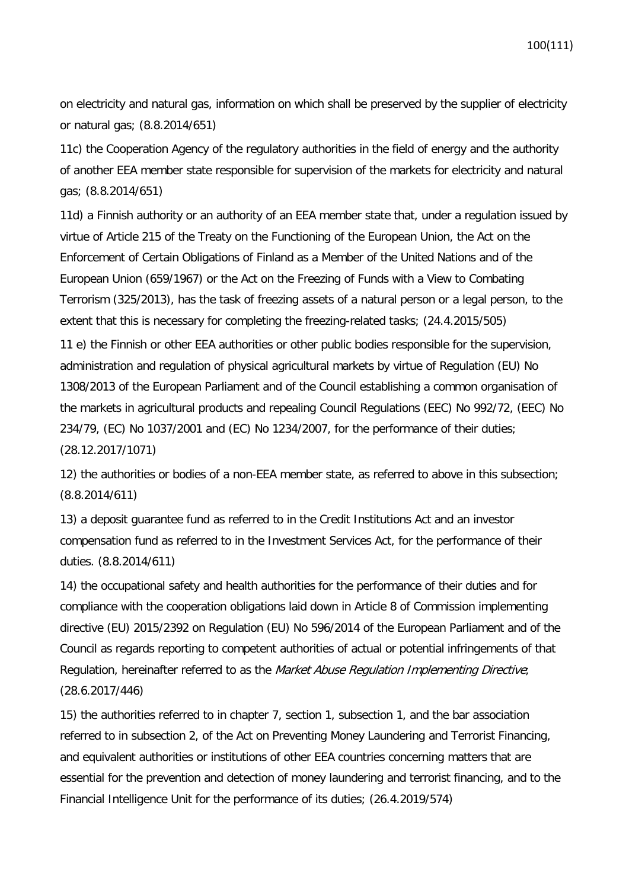on electricity and natural gas, information on which shall be preserved by the supplier of electricity or natural gas; (8.8.2014/651)

11c) the Cooperation Agency of the regulatory authorities in the field of energy and the authority of another EEA member state responsible for supervision of the markets for electricity and natural gas; (8.8.2014/651)

11d) a Finnish authority or an authority of an EEA member state that, under a regulation issued by virtue of Article 215 of the Treaty on the Functioning of the European Union, the Act on the Enforcement of Certain Obligations of Finland as a Member of the United Nations and of the European Union (659/1967) or the Act on the Freezing of Funds with a View to Combating Terrorism (325/2013), has the task of freezing assets of a natural person or a legal person, to the extent that this is necessary for completing the freezing-related tasks; (24.4.2015/505)

11 e) the Finnish or other EEA authorities or other public bodies responsible for the supervision, administration and regulation of physical agricultural markets by virtue of Regulation (EU) No 1308/2013 of the European Parliament and of the Council establishing a common organisation of the markets in agricultural products and repealing Council Regulations (EEC) No 992/72, (EEC) No 234/79, (EC) No 1037/2001 and (EC) No 1234/2007, for the performance of their duties; (28.12.2017/1071)

12) the authorities or bodies of a non-EEA member state, as referred to above in this subsection; (8.8.2014/611)

13) a deposit guarantee fund as referred to in the Credit Institutions Act and an investor compensation fund as referred to in the Investment Services Act, for the performance of their duties. (8.8.2014/611)

14) the occupational safety and health authorities for the performance of their duties and for compliance with the cooperation obligations laid down in Article 8 of Commission implementing directive (EU) 2015/2392 on Regulation (EU) No 596/2014 of the European Parliament and of the Council as regards reporting to competent authorities of actual or potential infringements of that Regulation, hereinafter referred to as the Market Abuse Regulation Implementing Directive; (28.6.2017/446)

15) the authorities referred to in chapter 7, section 1, subsection 1, and the bar association referred to in subsection 2, of the Act on Preventing Money Laundering and Terrorist Financing, and equivalent authorities or institutions of other EEA countries concerning matters that are essential for the prevention and detection of money laundering and terrorist financing, and to the Financial Intelligence Unit for the performance of its duties; (26.4.2019/574)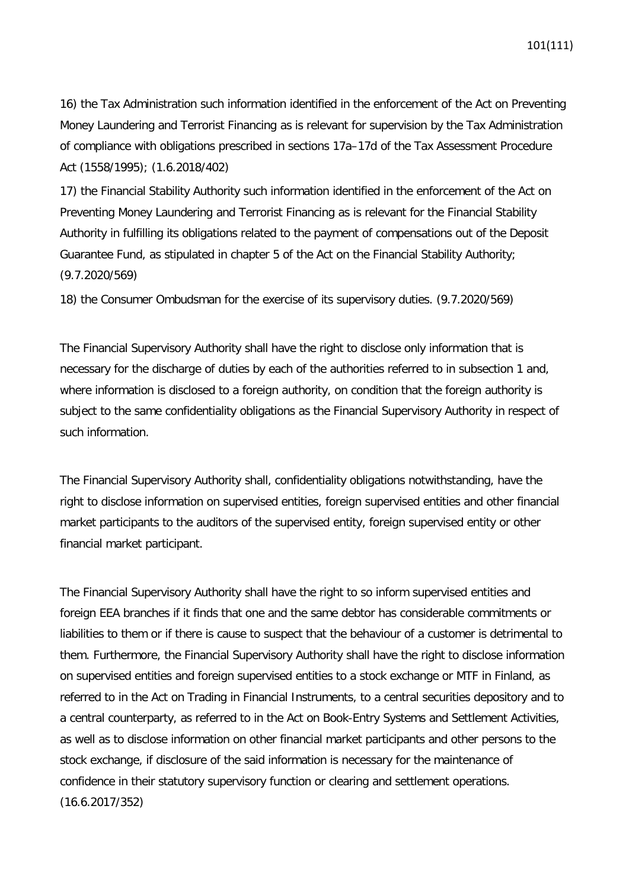16) the Tax Administration such information identified in the enforcement of the Act on Preventing Money Laundering and Terrorist Financing as is relevant for supervision by the Tax Administration of compliance with obligations prescribed in sections 17a–17d of the Tax Assessment Procedure Act (1558/1995); (1.6.2018/402)

17) the Financial Stability Authority such information identified in the enforcement of the Act on Preventing Money Laundering and Terrorist Financing as is relevant for the Financial Stability Authority in fulfilling its obligations related to the payment of compensations out of the Deposit Guarantee Fund, as stipulated in chapter 5 of the Act on the Financial Stability Authority; (9.7.2020/569)

18) the Consumer Ombudsman for the exercise of its supervisory duties. (9.7.2020/569)

The Financial Supervisory Authority shall have the right to disclose only information that is necessary for the discharge of duties by each of the authorities referred to in subsection 1 and, where information is disclosed to a foreign authority, on condition that the foreign authority is subject to the same confidentiality obligations as the Financial Supervisory Authority in respect of such information.

The Financial Supervisory Authority shall, confidentiality obligations notwithstanding, have the right to disclose information on supervised entities, foreign supervised entities and other financial market participants to the auditors of the supervised entity, foreign supervised entity or other financial market participant.

The Financial Supervisory Authority shall have the right to so inform supervised entities and foreign EEA branches if it finds that one and the same debtor has considerable commitments or liabilities to them or if there is cause to suspect that the behaviour of a customer is detrimental to them. Furthermore, the Financial Supervisory Authority shall have the right to disclose information on supervised entities and foreign supervised entities to a stock exchange or MTF in Finland, as referred to in the Act on Trading in Financial Instruments, to a central securities depository and to a central counterparty, as referred to in the Act on Book-Entry Systems and Settlement Activities, as well as to disclose information on other financial market participants and other persons to the stock exchange, if disclosure of the said information is necessary for the maintenance of confidence in their statutory supervisory function or clearing and settlement operations. (16.6.2017/352)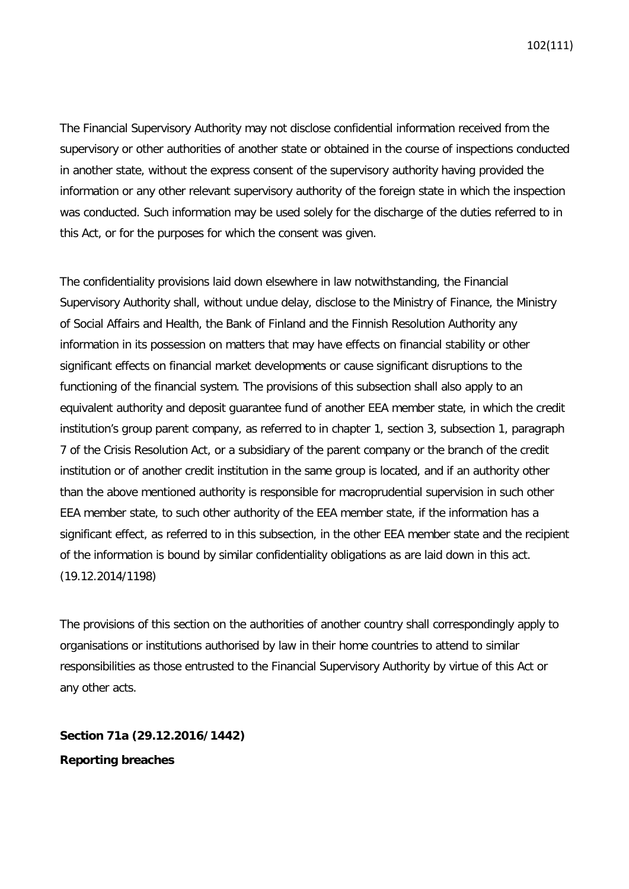The Financial Supervisory Authority may not disclose confidential information received from the supervisory or other authorities of another state or obtained in the course of inspections conducted in another state, without the express consent of the supervisory authority having provided the information or any other relevant supervisory authority of the foreign state in which the inspection was conducted. Such information may be used solely for the discharge of the duties referred to in this Act, or for the purposes for which the consent was given.

The confidentiality provisions laid down elsewhere in law notwithstanding, the Financial Supervisory Authority shall, without undue delay, disclose to the Ministry of Finance, the Ministry of Social Affairs and Health, the Bank of Finland and the Finnish Resolution Authority any information in its possession on matters that may have effects on financial stability or other significant effects on financial market developments or cause significant disruptions to the functioning of the financial system. The provisions of this subsection shall also apply to an equivalent authority and deposit guarantee fund of another EEA member state, in which the credit institution's group parent company, as referred to in chapter 1, section 3, subsection 1, paragraph 7 of the Crisis Resolution Act, or a subsidiary of the parent company or the branch of the credit institution or of another credit institution in the same group is located, and if an authority other than the above mentioned authority is responsible for macroprudential supervision in such other EEA member state, to such other authority of the EEA member state, if the information has a significant effect, as referred to in this subsection, in the other EEA member state and the recipient of the information is bound by similar confidentiality obligations as are laid down in this act. (19.12.2014/1198)

The provisions of this section on the authorities of another country shall correspondingly apply to organisations or institutions authorised by law in their home countries to attend to similar responsibilities as those entrusted to the Financial Supervisory Authority by virtue of this Act or any other acts.

**Section 71a (29.12.2016/1442) Reporting breaches**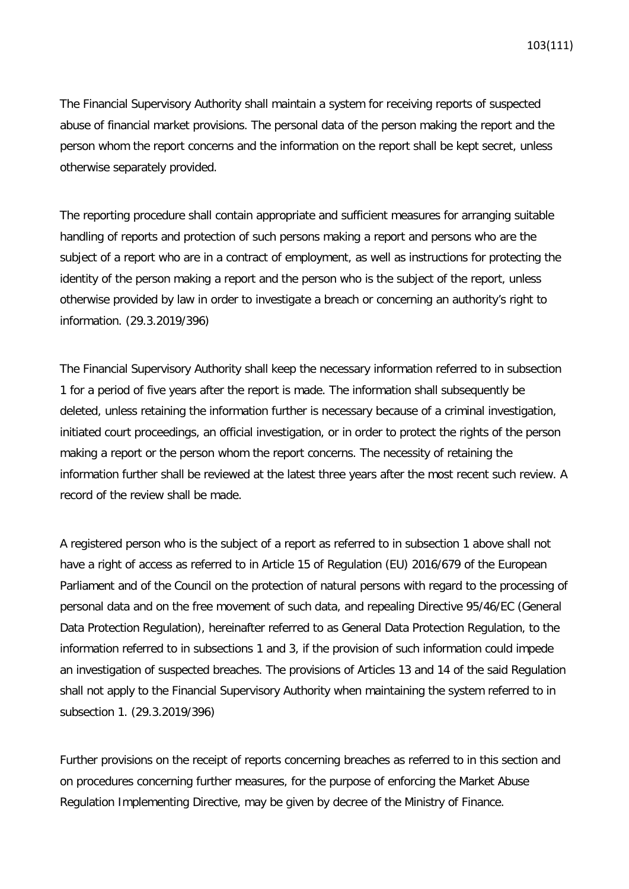The Financial Supervisory Authority shall maintain a system for receiving reports of suspected abuse of financial market provisions. The personal data of the person making the report and the person whom the report concerns and the information on the report shall be kept secret, unless otherwise separately provided.

The reporting procedure shall contain appropriate and sufficient measures for arranging suitable handling of reports and protection of such persons making a report and persons who are the subject of a report who are in a contract of employment, as well as instructions for protecting the identity of the person making a report and the person who is the subject of the report, unless otherwise provided by law in order to investigate a breach or concerning an authority's right to information. (29.3.2019/396)

The Financial Supervisory Authority shall keep the necessary information referred to in subsection 1 for a period of five years after the report is made. The information shall subsequently be deleted, unless retaining the information further is necessary because of a criminal investigation, initiated court proceedings, an official investigation, or in order to protect the rights of the person making a report or the person whom the report concerns. The necessity of retaining the information further shall be reviewed at the latest three years after the most recent such review. A record of the review shall be made.

A registered person who is the subject of a report as referred to in subsection 1 above shall not have a right of access as referred to in Article 15 of Regulation (EU) 2016/679 of the European Parliament and of the Council on the protection of natural persons with regard to the processing of personal data and on the free movement of such data, and repealing Directive 95/46/EC (General Data Protection Regulation), hereinafter referred to as General Data Protection Regulation, to the information referred to in subsections 1 and 3, if the provision of such information could impede an investigation of suspected breaches. The provisions of Articles 13 and 14 of the said Regulation shall not apply to the Financial Supervisory Authority when maintaining the system referred to in subsection 1. (29.3.2019/396)

Further provisions on the receipt of reports concerning breaches as referred to in this section and on procedures concerning further measures, for the purpose of enforcing the Market Abuse Regulation Implementing Directive, may be given by decree of the Ministry of Finance.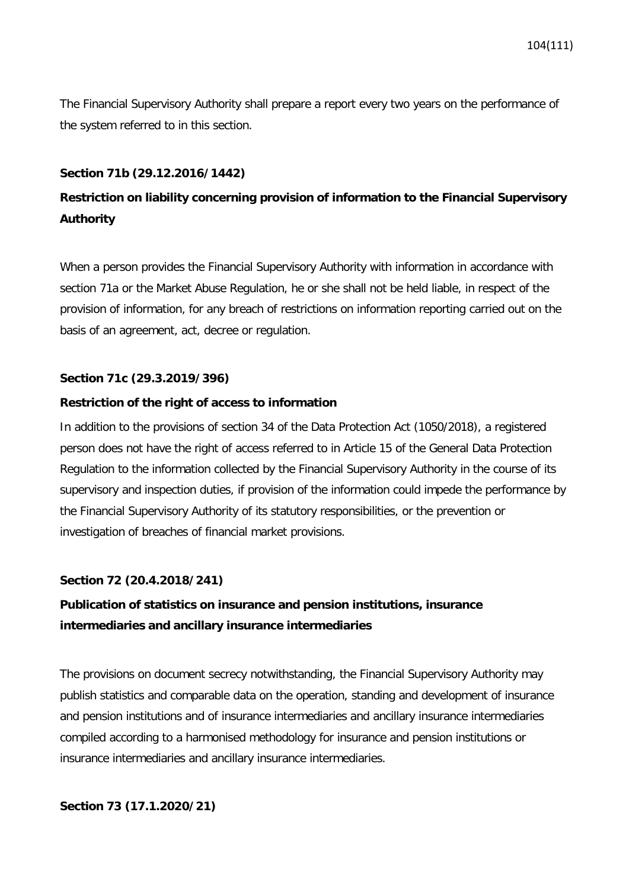The Financial Supervisory Authority shall prepare a report every two years on the performance of the system referred to in this section.

## **Section 71b (29.12.2016/1442)**

# **Restriction on liability concerning provision of information to the Financial Supervisory Authority**

When a person provides the Financial Supervisory Authority with information in accordance with section 71a or the Market Abuse Regulation, he or she shall not be held liable, in respect of the provision of information, for any breach of restrictions on information reporting carried out on the basis of an agreement, act, decree or regulation.

### **Section 71c (29.3.2019/396)**

### **Restriction of the right of access to information**

In addition to the provisions of section 34 of the Data Protection Act (1050/2018), a registered person does not have the right of access referred to in Article 15 of the General Data Protection Regulation to the information collected by the Financial Supervisory Authority in the course of its supervisory and inspection duties, if provision of the information could impede the performance by the Financial Supervisory Authority of its statutory responsibilities, or the prevention or investigation of breaches of financial market provisions.

## **Section 72 (20.4.2018/241)**

## **Publication of statistics on insurance and pension institutions, insurance intermediaries and ancillary insurance intermediaries**

The provisions on document secrecy notwithstanding, the Financial Supervisory Authority may publish statistics and comparable data on the operation, standing and development of insurance and pension institutions and of insurance intermediaries and ancillary insurance intermediaries compiled according to a harmonised methodology for insurance and pension institutions or insurance intermediaries and ancillary insurance intermediaries.

### **Section 73 (17.1.2020/21)**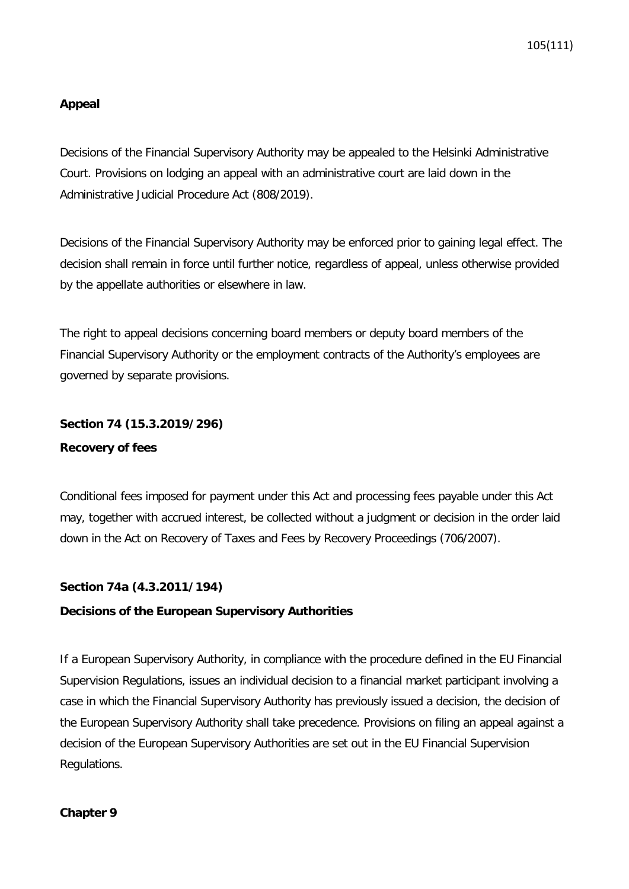### **Appeal**

Decisions of the Financial Supervisory Authority may be appealed to the Helsinki Administrative Court. Provisions on lodging an appeal with an administrative court are laid down in the Administrative Judicial Procedure Act (808/2019).

Decisions of the Financial Supervisory Authority may be enforced prior to gaining legal effect. The decision shall remain in force until further notice, regardless of appeal, unless otherwise provided by the appellate authorities or elsewhere in law.

The right to appeal decisions concerning board members or deputy board members of the Financial Supervisory Authority or the employment contracts of the Authority's employees are governed by separate provisions.

## **Section 74 (15.3.2019/296)**

### **Recovery of fees**

Conditional fees imposed for payment under this Act and processing fees payable under this Act may, together with accrued interest, be collected without a judgment or decision in the order laid down in the Act on Recovery of Taxes and Fees by Recovery Proceedings (706/2007).

### **Section 74a (4.3.2011/194)**

### **Decisions of the European Supervisory Authorities**

If a European Supervisory Authority, in compliance with the procedure defined in the EU Financial Supervision Regulations, issues an individual decision to a financial market participant involving a case in which the Financial Supervisory Authority has previously issued a decision, the decision of the European Supervisory Authority shall take precedence. Provisions on filing an appeal against a decision of the European Supervisory Authorities are set out in the EU Financial Supervision Regulations.

### **Chapter 9**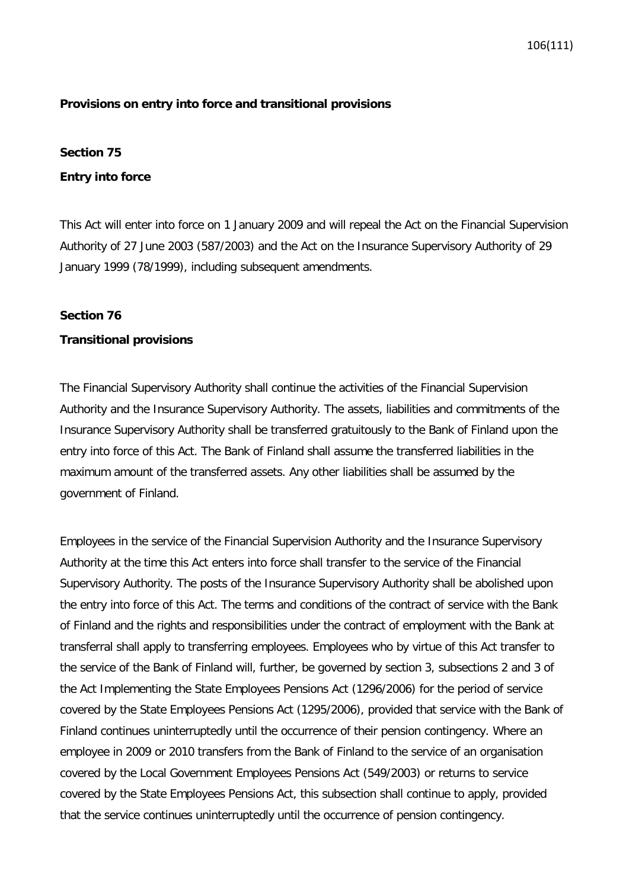### **Provisions on entry into force and transitional provisions**

#### **Section 75**

### **Entry into force**

This Act will enter into force on 1 January 2009 and will repeal the Act on the Financial Supervision Authority of 27 June 2003 (587/2003) and the Act on the Insurance Supervisory Authority of 29 January 1999 (78/1999), including subsequent amendments.

### **Section 76**

### **Transitional provisions**

The Financial Supervisory Authority shall continue the activities of the Financial Supervision Authority and the Insurance Supervisory Authority. The assets, liabilities and commitments of the Insurance Supervisory Authority shall be transferred gratuitously to the Bank of Finland upon the entry into force of this Act. The Bank of Finland shall assume the transferred liabilities in the maximum amount of the transferred assets. Any other liabilities shall be assumed by the government of Finland.

Employees in the service of the Financial Supervision Authority and the Insurance Supervisory Authority at the time this Act enters into force shall transfer to the service of the Financial Supervisory Authority. The posts of the Insurance Supervisory Authority shall be abolished upon the entry into force of this Act. The terms and conditions of the contract of service with the Bank of Finland and the rights and responsibilities under the contract of employment with the Bank at transferral shall apply to transferring employees. Employees who by virtue of this Act transfer to the service of the Bank of Finland will, further, be governed by section 3, subsections 2 and 3 of the Act Implementing the State Employees Pensions Act (1296/2006) for the period of service covered by the State Employees Pensions Act (1295/2006), provided that service with the Bank of Finland continues uninterruptedly until the occurrence of their pension contingency. Where an employee in 2009 or 2010 transfers from the Bank of Finland to the service of an organisation covered by the Local Government Employees Pensions Act (549/2003) or returns to service covered by the State Employees Pensions Act, this subsection shall continue to apply, provided that the service continues uninterruptedly until the occurrence of pension contingency.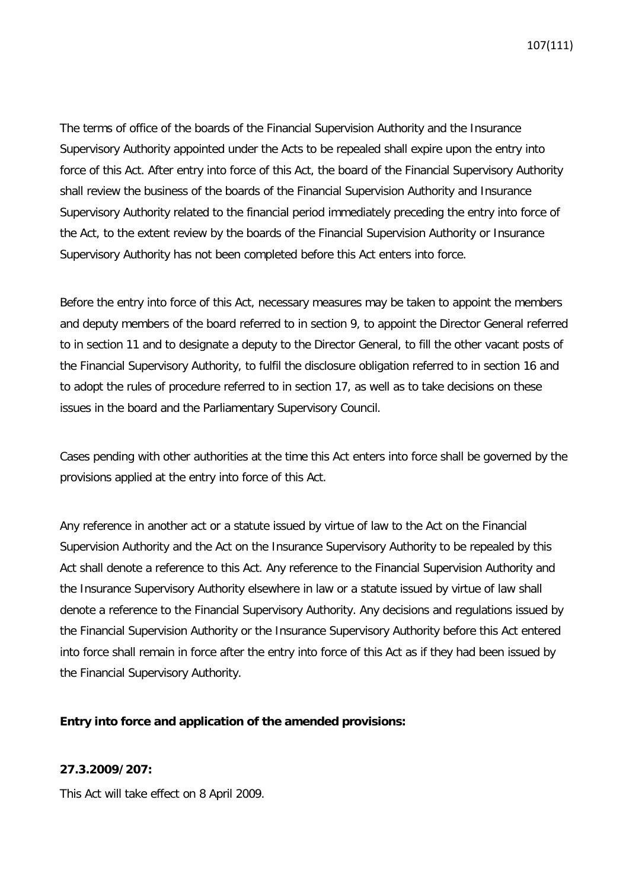The terms of office of the boards of the Financial Supervision Authority and the Insurance Supervisory Authority appointed under the Acts to be repealed shall expire upon the entry into force of this Act. After entry into force of this Act, the board of the Financial Supervisory Authority shall review the business of the boards of the Financial Supervision Authority and Insurance Supervisory Authority related to the financial period immediately preceding the entry into force of the Act, to the extent review by the boards of the Financial Supervision Authority or Insurance Supervisory Authority has not been completed before this Act enters into force.

Before the entry into force of this Act, necessary measures may be taken to appoint the members and deputy members of the board referred to in section 9, to appoint the Director General referred to in section 11 and to designate a deputy to the Director General, to fill the other vacant posts of the Financial Supervisory Authority, to fulfil the disclosure obligation referred to in section 16 and to adopt the rules of procedure referred to in section 17, as well as to take decisions on these issues in the board and the Parliamentary Supervisory Council.

Cases pending with other authorities at the time this Act enters into force shall be governed by the provisions applied at the entry into force of this Act.

Any reference in another act or a statute issued by virtue of law to the Act on the Financial Supervision Authority and the Act on the Insurance Supervisory Authority to be repealed by this Act shall denote a reference to this Act. Any reference to the Financial Supervision Authority and the Insurance Supervisory Authority elsewhere in law or a statute issued by virtue of law shall denote a reference to the Financial Supervisory Authority. Any decisions and regulations issued by the Financial Supervision Authority or the Insurance Supervisory Authority before this Act entered into force shall remain in force after the entry into force of this Act as if they had been issued by the Financial Supervisory Authority.

### **Entry into force and application of the amended provisions:**

### **27.3.2009/207:**

This Act will take effect on 8 April 2009.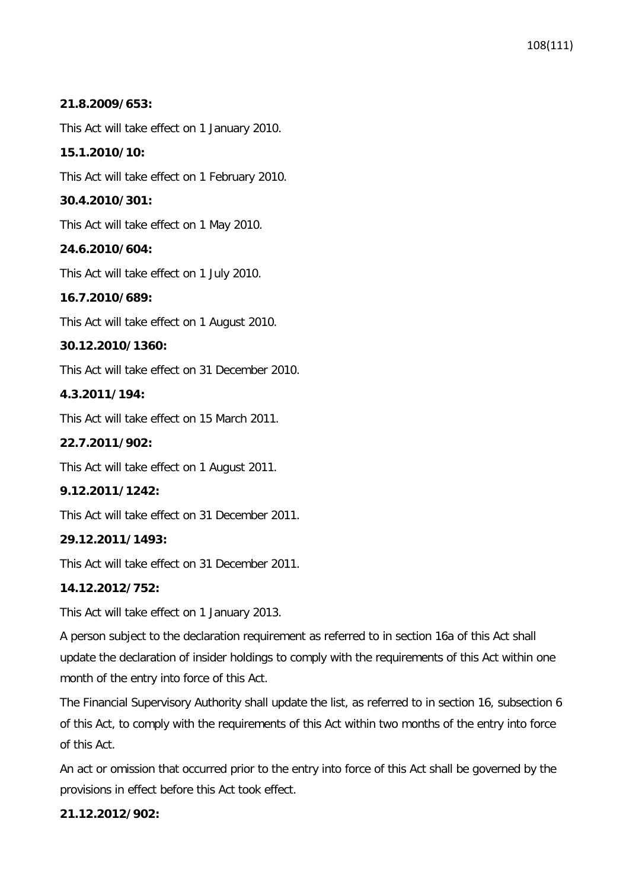## **21.8.2009/653:**

This Act will take effect on 1 January 2010.

## **15.1.2010/10:**

This Act will take effect on 1 February 2010.

## **30.4.2010/301:**

This Act will take effect on 1 May 2010.

## **24.6.2010/604:**

This Act will take effect on 1 July 2010.

## **16.7.2010/689:**

This Act will take effect on 1 August 2010.

## **30.12.2010/1360:**

This Act will take effect on 31 December 2010.

## **4.3.2011/194:**

This Act will take effect on 15 March 2011.

## **22.7.2011/902:**

This Act will take effect on 1 August 2011.

## **9.12.2011/1242:**

This Act will take effect on 31 December 2011.

## **29.12.2011/1493:**

This Act will take effect on 31 December 2011.

## **14.12.2012/752:**

This Act will take effect on 1 January 2013.

A person subject to the declaration requirement as referred to in section 16a of this Act shall update the declaration of insider holdings to comply with the requirements of this Act within one month of the entry into force of this Act.

The Financial Supervisory Authority shall update the list, as referred to in section 16, subsection 6 of this Act, to comply with the requirements of this Act within two months of the entry into force of this Act.

An act or omission that occurred prior to the entry into force of this Act shall be governed by the provisions in effect before this Act took effect.

## **21.12.2012/902:**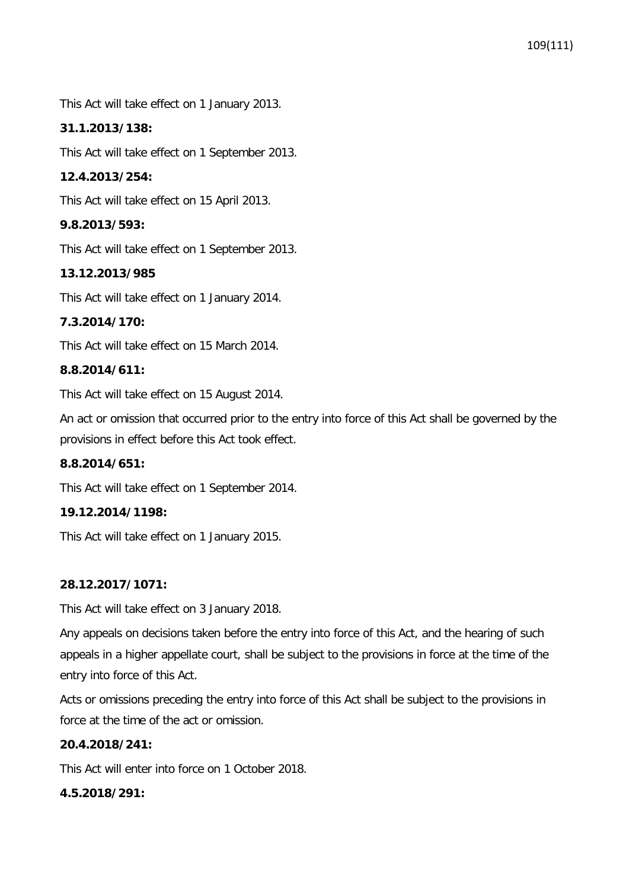This Act will take effect on 1 January 2013.

### **31.1.2013/138:**

This Act will take effect on 1 September 2013.

### **12.4.2013/254:**

This Act will take effect on 15 April 2013.

### **9.8.2013/593:**

This Act will take effect on 1 September 2013.

### **13.12.2013/985**

This Act will take effect on 1 January 2014.

### **7.3.2014/170:**

This Act will take effect on 15 March 2014.

### **8.8.2014/611:**

This Act will take effect on 15 August 2014.

An act or omission that occurred prior to the entry into force of this Act shall be governed by the provisions in effect before this Act took effect.

### **8.8.2014/651:**

This Act will take effect on 1 September 2014.

# **19.12.2014/1198:**

This Act will take effect on 1 January 2015.

### **28.12.2017/1071:**

This Act will take effect on 3 January 2018.

Any appeals on decisions taken before the entry into force of this Act, and the hearing of such appeals in a higher appellate court, shall be subject to the provisions in force at the time of the entry into force of this Act.

Acts or omissions preceding the entry into force of this Act shall be subject to the provisions in force at the time of the act or omission.

# **20.4.2018/241:**

This Act will enter into force on 1 October 2018.

# **4.5.2018/291:**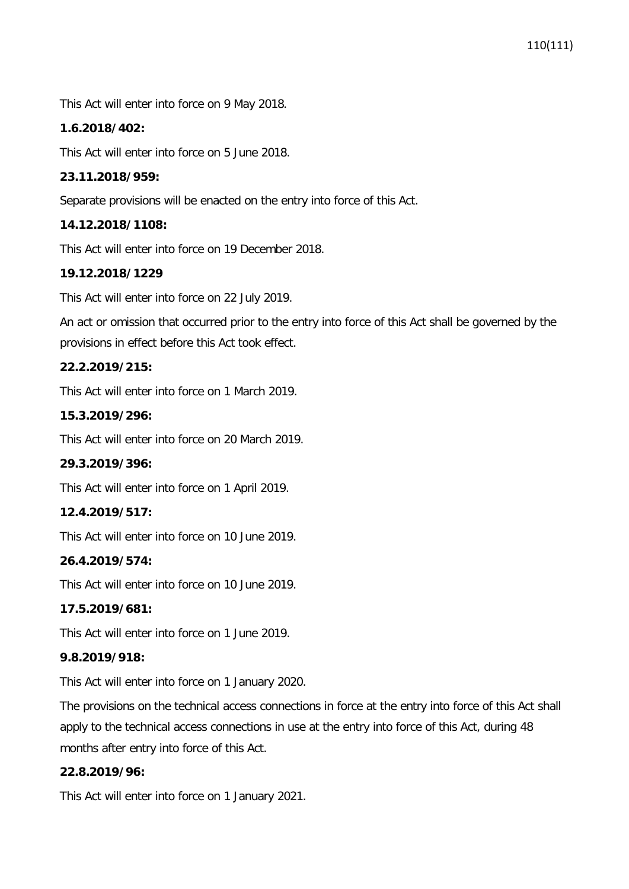This Act will enter into force on 9 May 2018.

# **1.6.2018/402:**

This Act will enter into force on 5 June 2018.

# **23.11.2018/959:**

Separate provisions will be enacted on the entry into force of this Act.

# **14.12.2018/1108:**

This Act will enter into force on 19 December 2018.

# **19.12.2018/1229**

This Act will enter into force on 22 July 2019.

An act or omission that occurred prior to the entry into force of this Act shall be governed by the provisions in effect before this Act took effect.

# **22.2.2019/215:**

This Act will enter into force on 1 March 2019.

# **15.3.2019/296:**

This Act will enter into force on 20 March 2019.

# **29.3.2019/396:**

This Act will enter into force on 1 April 2019.

# **12.4.2019/517:**

This Act will enter into force on 10 June 2019.

# **26.4.2019/574:**

This Act will enter into force on 10 June 2019.

# **17.5.2019/681:**

This Act will enter into force on 1 June 2019.

# **9.8.2019/918:**

This Act will enter into force on 1 January 2020.

The provisions on the technical access connections in force at the entry into force of this Act shall apply to the technical access connections in use at the entry into force of this Act, during 48 months after entry into force of this Act.

# **22.8.2019/96:**

This Act will enter into force on 1 January 2021.